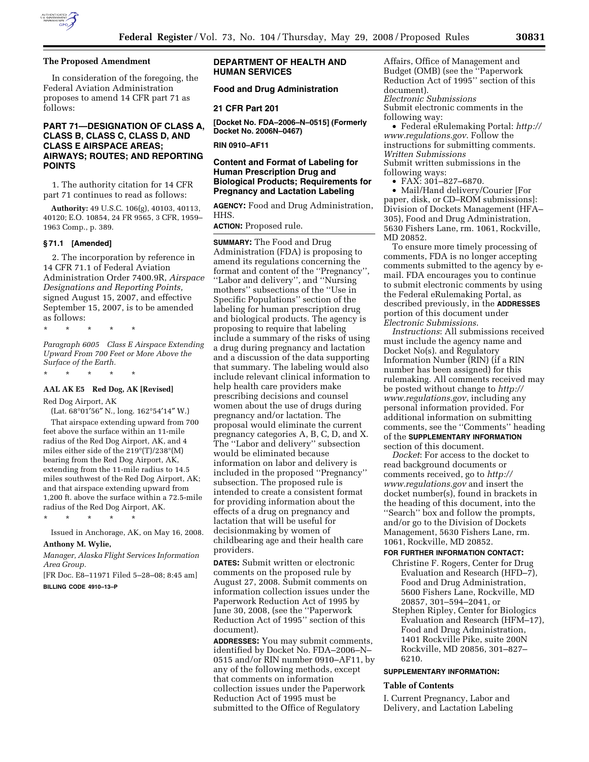

# **The Proposed Amendment**

In consideration of the foregoing, the Federal Aviation Administration proposes to amend 14 CFR part 71 as follows:

# **PART 71—DESIGNATION OF CLASS A, CLASS B, CLASS C, CLASS D, AND CLASS E AIRSPACE AREAS; AIRWAYS; ROUTES; AND REPORTING POINTS**

1. The authority citation for 14 CFR part 71 continues to read as follows:

**Authority:** 49 U.S.C. 106(g), 40103, 40113, 40120; E.O. 10854, 24 FR 9565, 3 CFR, 1959– 1963 Comp., p. 389.

#### **§ 71.1 [Amended]**

2. The incorporation by reference in 14 CFR 71.1 of Federal Aviation Administration Order 7400.9R, *Airspace Designations and Reporting Points,*  signed August 15, 2007, and effective September 15, 2007, is to be amended as follows:

\* \* \* \* \*

*Paragraph 6005 Class E Airspace Extending Upward From 700 Feet or More Above the Surface of the Earth.* 

\* \* \* \* \*

# **AAL AK E5 Red Dog, AK [Revised]**

Red Dog Airport, AK

(Lat. 68°01′56″ N., long. 162°54′14″ W.)

That airspace extending upward from 700 feet above the surface within an 11-mile radius of the Red Dog Airport, AK, and 4 miles either side of the 219°(T)/238°(M) bearing from the Red Dog Airport, AK, extending from the 11-mile radius to 14.5 miles southwest of the Red Dog Airport, AK; and that airspace extending upward from 1,200 ft. above the surface within a 72.5-mile radius of the Red Dog Airport, AK.

\* \* \* \* \*

Issued in Anchorage, AK, on May 16, 2008. **Anthony M. Wylie,** 

*Manager, Alaska Flight Services Information Area Group.* 

[FR Doc. E8–11971 Filed 5–28–08; 8:45 am] **BILLING CODE 4910–13–P** 

# **DEPARTMENT OF HEALTH AND HUMAN SERVICES**

# **Food and Drug Administration**

#### **21 CFR Part 201**

**[Docket No. FDA–2006–N–0515] (Formerly Docket No. 2006N–0467)** 

**RIN 0910–AF11** 

# **Content and Format of Labeling for Human Prescription Drug and Biological Products; Requirements for Pregnancy and Lactation Labeling**

**AGENCY:** Food and Drug Administration, HHS.

**ACTION:** Proposed rule.

**SUMMARY:** The Food and Drug Administration (FDA) is proposing to amend its regulations concerning the format and content of the ''Pregnancy'', ''Labor and delivery'', and ''Nursing mothers'' subsections of the ''Use in Specific Populations'' section of the labeling for human prescription drug and biological products. The agency is proposing to require that labeling include a summary of the risks of using a drug during pregnancy and lactation and a discussion of the data supporting that summary. The labeling would also include relevant clinical information to help health care providers make prescribing decisions and counsel women about the use of drugs during pregnancy and/or lactation. The proposal would eliminate the current pregnancy categories A, B, C, D, and X. The ''Labor and delivery'' subsection would be eliminated because information on labor and delivery is included in the proposed ''Pregnancy'' subsection. The proposed rule is intended to create a consistent format for providing information about the effects of a drug on pregnancy and lactation that will be useful for decisionmaking by women of childbearing age and their health care providers.

**DATES:** Submit written or electronic comments on the proposed rule by August 27, 2008. Submit comments on information collection issues under the Paperwork Reduction Act of 1995 by June 30, 2008, (see the ''Paperwork Reduction Act of 1995'' section of this document).

**ADDRESSES:** You may submit comments, identified by Docket No. FDA–2006–N– 0515 and/or RIN number 0910–AF11, by any of the following methods, except that comments on information collection issues under the Paperwork Reduction Act of 1995 must be submitted to the Office of Regulatory

Affairs, Office of Management and Budget (OMB) (see the ''Paperwork Reduction Act of 1995'' section of this document). *Electronic Submissions*  Submit electronic comments in the following way:

• Federal eRulemaking Portal: *http:// www.regulations.gov*. Follow the instructions for submitting comments. *Written Submissions*  Submit written submissions in the following ways:

• FAX:  $301 - 827 - 6870$ .

• Mail/Hand delivery/Courier [For paper, disk, or CD–ROM submissions]: Division of Dockets Management (HFA– 305), Food and Drug Administration, 5630 Fishers Lane, rm. 1061, Rockville, MD 20852.

To ensure more timely processing of comments, FDA is no longer accepting comments submitted to the agency by email. FDA encourages you to continue to submit electronic comments by using the Federal eRulemaking Portal, as described previously, in the **ADDRESSES** portion of this document under *Electronic Submissions*.

*Instructions*: All submissions received must include the agency name and Docket No(s). and Regulatory Information Number (RIN) (if a RIN number has been assigned) for this rulemaking. All comments received may be posted without change to *http:// www.regulations.gov*, including any personal information provided. For additional information on submitting comments, see the ''Comments'' heading of the **SUPPLEMENTARY INFORMATION** section of this document.

*Docket*: For access to the docket to read background documents or comments received, go to *http:// www.regulations.gov* and insert the docket number(s), found in brackets in the heading of this document, into the ''Search'' box and follow the prompts, and/or go to the Division of Dockets Management, 5630 Fishers Lane, rm. 1061, Rockville, MD 20852.

## **FOR FURTHER INFORMATION CONTACT:**

- Christine F. Rogers, Center for Drug Evaluation and Research (HFD–7), Food and Drug Administration, 5600 Fishers Lane, Rockville, MD 20857, 301–594–2041, or
- Stephen Ripley, Center for Biologics Evaluation and Research (HFM–17), Food and Drug Administration, 1401 Rockville Pike, suite 200N Rockville, MD 20856, 301–827– 6210.

# **SUPPLEMENTARY INFORMATION:**

## **Table of Contents**

I. Current Pregnancy, Labor and Delivery, and Lactation Labeling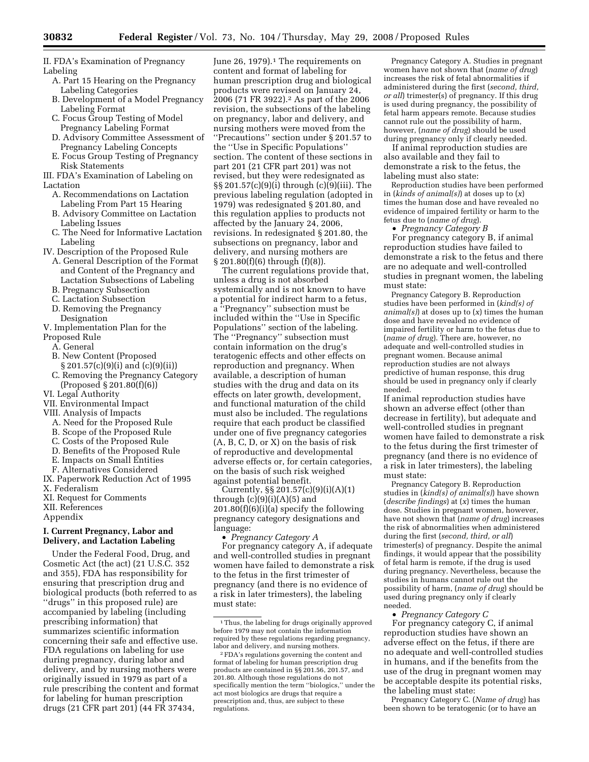II. FDA's Examination of Pregnancy Labeling

- A. Part 15 Hearing on the Pregnancy Labeling Categories
- B. Development of a Model Pregnancy Labeling Format
- C. Focus Group Testing of Model Pregnancy Labeling Format
- D. Advisory Committee Assessment of Pregnancy Labeling Concepts
- E. Focus Group Testing of Pregnancy Risk Statements

III. FDA's Examination of Labeling on Lactation

- A. Recommendations on Lactation Labeling From Part 15 Hearing
- B. Advisory Committee on Lactation Labeling Issues
- C. The Need for Informative Lactation Labeling

IV. Description of the Proposed Rule

- A. General Description of the Format and Content of the Pregnancy and Lactation Subsections of Labeling
- B. Pregnancy Subsection
- C. Lactation Subsection
- D. Removing the Pregnancy Designation
- V. Implementation Plan for the Proposed Rule
- A. General
- B. New Content (Proposed
- § 201.57(c)(9)(i) and (c)(9)(ii))
- C. Removing the Pregnancy Category (Proposed § 201.80(f)(6))
- VI. Legal Authority
- VII. Environmental Impact
- VIII. Analysis of Impacts
- A. Need for the Proposed Rule
- B. Scope of the Proposed Rule
- C. Costs of the Proposed Rule
- D. Benefits of the Proposed Rule
- E. Impacts on Small Entities
- F. Alternatives Considered
- IX. Paperwork Reduction Act of 1995 X. Federalism
- XI. Request for Comments
- XII. References
- 
- Appendix

# **I. Current Pregnancy, Labor and Delivery, and Lactation Labeling**

Under the Federal Food, Drug, and Cosmetic Act (the act) (21 U.S.C. 352 and 355), FDA has responsibility for ensuring that prescription drug and biological products (both referred to as ''drugs'' in this proposed rule) are accompanied by labeling (including prescribing information) that summarizes scientific information concerning their safe and effective use. FDA regulations on labeling for use during pregnancy, during labor and delivery, and by nursing mothers were originally issued in 1979 as part of a rule prescribing the content and format for labeling for human prescription drugs (21 CFR part 201) (44 FR 37434,

June 26, 1979).<sup>1</sup> The requirements on content and format of labeling for human prescription drug and biological products were revised on January 24, 2006 (71 FR 3922).2 As part of the 2006 revision, the subsections of the labeling on pregnancy, labor and delivery, and nursing mothers were moved from the ''Precautions'' section under § 201.57 to the ''Use in Specific Populations'' section. The content of these sections in part 201 (21 CFR part 201) was not revised, but they were redesignated as §§ 201.57(c)(9)(i) through (c)(9)(iii). The previous labeling regulation (adopted in 1979) was redesignated § 201.80, and this regulation applies to products not affected by the January 24, 2006, revisions. In redesignated § 201.80, the subsections on pregnancy, labor and delivery, and nursing mothers are § 201.80(f)(6) through (f)(8)).

The current regulations provide that, unless a drug is not absorbed systemically and is not known to have a potential for indirect harm to a fetus, a ''Pregnancy'' subsection must be included within the ''Use in Specific Populations'' section of the labeling. The ''Pregnancy'' subsection must contain information on the drug's teratogenic effects and other effects on reproduction and pregnancy. When available, a description of human studies with the drug and data on its effects on later growth, development, and functional maturation of the child must also be included. The regulations require that each product be classified under one of five pregnancy categories (A, B, C, D, or X) on the basis of risk of reproductive and developmental adverse effects or, for certain categories, on the basis of such risk weighed against potential benefit.

Currently, §§ 201.57(c)(9)(i)(A)(1) through  $(c)(9)(i)(A)(5)$  and 201.80(f)(6)(i)(a) specify the following pregnancy category designations and language:

• *Pregnancy Category A* 

For pregnancy category A, if adequate and well-controlled studies in pregnant women have failed to demonstrate a risk to the fetus in the first trimester of pregnancy (and there is no evidence of a risk in later trimesters), the labeling must state:

Pregnancy Category A. Studies in pregnant women have not shown that (*name of drug*) increases the risk of fetal abnormalities if administered during the first (*second, third, or all*) trimester(s) of pregnancy. If this drug is used during pregnancy, the possibility of fetal harm appears remote. Because studies cannot rule out the possibility of harm, however, (*name of drug*) should be used during pregnancy only if clearly needed.

If animal reproduction studies are also available and they fail to demonstrate a risk to the fetus, the labeling must also state:

Reproduction studies have been performed in (*kinds of animal(s)*) at doses up to (*x*) times the human dose and have revealed no evidence of impaired fertility or harm to the fetus due to (*name of drug*).

• *Pregnancy Category B* 

For pregnancy category B, if animal reproduction studies have failed to demonstrate a risk to the fetus and there are no adequate and well-controlled studies in pregnant women, the labeling must state:

Pregnancy Category B. Reproduction studies have been performed in (*kind(s) of animal(s)*) at doses up to (*x*) times the human dose and have revealed no evidence of impaired fertility or harm to the fetus due to (*name of drug*). There are, however, no adequate and well-controlled studies in pregnant women. Because animal reproduction studies are not always predictive of human response, this drug should be used in pregnancy only if clearly needed.

If animal reproduction studies have shown an adverse effect (other than decrease in fertility), but adequate and well-controlled studies in pregnant women have failed to demonstrate a risk to the fetus during the first trimester of pregnancy (and there is no evidence of a risk in later trimesters), the labeling must state:

Pregnancy Category B. Reproduction studies in (*kind(s) of animal(s)*) have shown (*describe findings*) at (*x*) times the human dose. Studies in pregnant women, however, have not shown that (*name of drug*) increases the risk of abnormalities when administered during the first (*second, third, or all*) trimester(s) of pregnancy. Despite the animal findings, it would appear that the possibility of fetal harm is remote, if the drug is used during pregnancy. Nevertheless, because the studies in humans cannot rule out the possibility of harm, (*name of drug*) should be used during pregnancy only if clearly needed.

• *Pregnancy Category C* 

For pregnancy category C, if animal reproduction studies have shown an adverse effect on the fetus, if there are no adequate and well-controlled studies in humans, and if the benefits from the use of the drug in pregnant women may be acceptable despite its potential risks, the labeling must state:

Pregnancy Category C. (*Name of drug*) has been shown to be teratogenic (or to have an

<sup>1</sup>Thus, the labeling for drugs originally approved before 1979 may not contain the information required by these regulations regarding pregnancy, labor and delivery, and nursing mothers.

<sup>2</sup>FDA's regulations governing the content and format of labeling for human prescription drug products are contained in §§ 201.56, 201.57, and 201.80. Although those regulations do not specifically mention the term ''biologics,'' under the act most biologics are drugs that require a prescription and, thus, are subject to these regulations.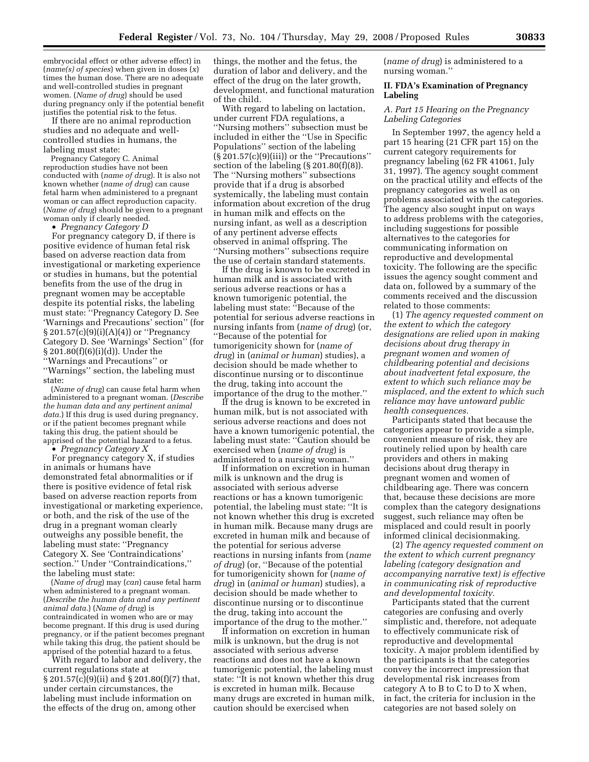embryocidal effect or other adverse effect) in (*name(s) of species*) when given in doses (*x*) times the human dose. There are no adequate and well-controlled studies in pregnant women. (*Name of drug*) should be used during pregnancy only if the potential benefit justifies the potential risk to the fetus.

If there are no animal reproduction studies and no adequate and wellcontrolled studies in humans, the labeling must state:

Pregnancy Category C. Animal reproduction studies have not been conducted with (*name of drug*). It is also not known whether (*name of drug*) can cause fetal harm when administered to a pregnant woman or can affect reproduction capacity. (*Name of drug*) should be given to a pregnant woman only if clearly needed.

• *Pregnancy Category D* 

For pregnancy category D, if there is positive evidence of human fetal risk based on adverse reaction data from investigational or marketing experience or studies in humans, but the potential benefits from the use of the drug in pregnant women may be acceptable despite its potential risks, the labeling must state: ''Pregnancy Category D. See 'Warnings and Precautions' section'' (for § 201.57(c)(9)(i)(A)(4)) or ''Pregnancy Category D. See 'Warnings' Section'' (for § 201.80(f)(6)(i)(d)). Under the ''Warnings and Precautions'' or ''Warnings'' section, the labeling must state:

(*Name of drug*) can cause fetal harm when administered to a pregnant woman. (*Describe the human data and any pertinent animal data.*) If this drug is used during pregnancy, or if the patient becomes pregnant while taking this drug, the patient should be apprised of the potential hazard to a fetus.

• *Pregnancy Category X* 

For pregnancy category X, if studies in animals or humans have demonstrated fetal abnormalities or if there is positive evidence of fetal risk based on adverse reaction reports from investigational or marketing experience, or both, and the risk of the use of the drug in a pregnant woman clearly outweighs any possible benefit, the labeling must state: ''Pregnancy Category X. See 'Contraindications' section.'' Under ''Contraindications,'' the labeling must state:

(*Name of drug*) may (*can*) cause fetal harm when administered to a pregnant woman. (*Describe the human data and any pertinent animal data.*) (*Name of drug*) is contraindicated in women who are or may become pregnant. If this drug is used during pregnancy, or if the patient becomes pregnant while taking this drug, the patient should be apprised of the potential hazard to a fetus.

With regard to labor and delivery, the current regulations state at § 201.57(c)(9)(ii) and § 201.80(f)(7) that, under certain circumstances, the labeling must include information on the effects of the drug on, among other

things, the mother and the fetus, the duration of labor and delivery, and the effect of the drug on the later growth, development, and functional maturation of the child.

With regard to labeling on lactation, under current FDA regulations, a ''Nursing mothers'' subsection must be included in either the ''Use in Specific Populations'' section of the labeling  $(\S 201.57(c)(9)(iii))$  or the "Precautions" section of the labeling (§ 201.80(f)(8)). The ''Nursing mothers'' subsections provide that if a drug is absorbed systemically, the labeling must contain information about excretion of the drug in human milk and effects on the nursing infant, as well as a description of any pertinent adverse effects observed in animal offspring. The ''Nursing mothers'' subsections require the use of certain standard statements.

If the drug is known to be excreted in human milk and is associated with serious adverse reactions or has a known tumorigenic potential, the labeling must state: ''Because of the potential for serious adverse reactions in nursing infants from (*name of drug*) (or, ''Because of the potential for tumorigenicity shown for (*name of drug*) in (*animal or human*) studies), a decision should be made whether to discontinue nursing or to discontinue the drug, taking into account the importance of the drug to the mother.''

If the drug is known to be excreted in human milk, but is not associated with serious adverse reactions and does not have a known tumorigenic potential, the labeling must state: ''Caution should be exercised when (*name of drug*) is administered to a nursing woman.''

If information on excretion in human milk is unknown and the drug is associated with serious adverse reactions or has a known tumorigenic potential, the labeling must state: ''It is not known whether this drug is excreted in human milk. Because many drugs are excreted in human milk and because of the potential for serious adverse reactions in nursing infants from (*name of drug*) (or, ''Because of the potential for tumorigenicity shown for (*name of drug*) in (*animal or human*) studies), a decision should be made whether to discontinue nursing or to discontinue the drug, taking into account the importance of the drug to the mother.''

If information on excretion in human milk is unknown, but the drug is not associated with serious adverse reactions and does not have a known tumorigenic potential, the labeling must state: ''It is not known whether this drug is excreted in human milk. Because many drugs are excreted in human milk, caution should be exercised when

(*name of drug*) is administered to a nursing woman.''

# **II. FDA's Examination of Pregnancy Labeling**

# *A. Part 15 Hearing on the Pregnancy Labeling Categories*

In September 1997, the agency held a part 15 hearing (21 CFR part 15) on the current category requirements for pregnancy labeling (62 FR 41061, July 31, 1997). The agency sought comment on the practical utility and effects of the pregnancy categories as well as on problems associated with the categories. The agency also sought input on ways to address problems with the categories, including suggestions for possible alternatives to the categories for communicating information on reproductive and developmental toxicity. The following are the specific issues the agency sought comment and data on, followed by a summary of the comments received and the discussion related to those comments:

(1) *The agency requested comment on the extent to which the category designations are relied upon in making decisions about drug therapy in pregnant women and women of childbearing potential and decisions about inadvertent fetal exposure, the extent to which such reliance may be misplaced, and the extent to which such reliance may have untoward public health consequences.* 

Participants stated that because the categories appear to provide a simple, convenient measure of risk, they are routinely relied upon by health care providers and others in making decisions about drug therapy in pregnant women and women of childbearing age. There was concern that, because these decisions are more complex than the category designations suggest, such reliance may often be misplaced and could result in poorly informed clinical decisionmaking.

(2) *The agency requested comment on the extent to which current pregnancy labeling (category designation and accompanying narrative text) is effective in communicating risk of reproductive and developmental toxicity.* 

Participants stated that the current categories are confusing and overly simplistic and, therefore, not adequate to effectively communicate risk of reproductive and developmental toxicity. A major problem identified by the participants is that the categories convey the incorrect impression that developmental risk increases from category A to B to C to D to X when, in fact, the criteria for inclusion in the categories are not based solely on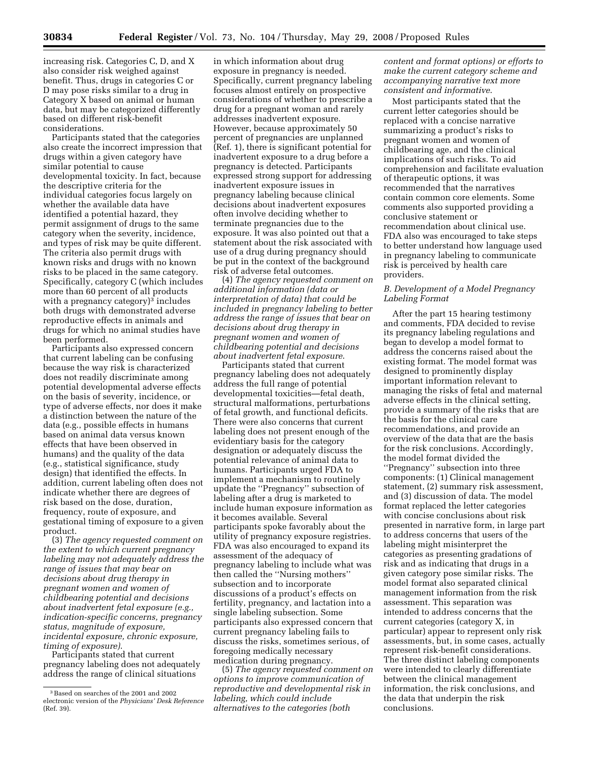increasing risk. Categories C, D, and X also consider risk weighed against benefit. Thus, drugs in categories C or D may pose risks similar to a drug in Category X based on animal or human data, but may be categorized differently based on different risk-benefit considerations.

Participants stated that the categories also create the incorrect impression that drugs within a given category have similar potential to cause developmental toxicity. In fact, because the descriptive criteria for the individual categories focus largely on whether the available data have identified a potential hazard, they permit assignment of drugs to the same category when the severity, incidence, and types of risk may be quite different. The criteria also permit drugs with known risks and drugs with no known risks to be placed in the same category. Specifically, category C (which includes more than 60 percent of all products with a pregnancy category)<sup>3</sup> includes both drugs with demonstrated adverse reproductive effects in animals and drugs for which no animal studies have been performed.

Participants also expressed concern that current labeling can be confusing because the way risk is characterized does not readily discriminate among potential developmental adverse effects on the basis of severity, incidence, or type of adverse effects, nor does it make a distinction between the nature of the data (e.g., possible effects in humans based on animal data versus known effects that have been observed in humans) and the quality of the data (e.g., statistical significance, study design) that identified the effects. In addition, current labeling often does not indicate whether there are degrees of risk based on the dose, duration, frequency, route of exposure, and gestational timing of exposure to a given product.

(3) *The agency requested comment on the extent to which current pregnancy labeling may not adequately address the range of issues that may bear on decisions about drug therapy in pregnant women and women of childbearing potential and decisions about inadvertent fetal exposure (e.g., indication-specific concerns, pregnancy status, magnitude of exposure, incidental exposure, chronic exposure, timing of exposure)*.

Participants stated that current pregnancy labeling does not adequately address the range of clinical situations

in which information about drug exposure in pregnancy is needed. Specifically, current pregnancy labeling focuses almost entirely on prospective considerations of whether to prescribe a drug for a pregnant woman and rarely addresses inadvertent exposure. However, because approximately 50 percent of pregnancies are unplanned (Ref. 1), there is significant potential for inadvertent exposure to a drug before a pregnancy is detected. Participants expressed strong support for addressing inadvertent exposure issues in pregnancy labeling because clinical decisions about inadvertent exposures often involve deciding whether to terminate pregnancies due to the exposure. It was also pointed out that a statement about the risk associated with use of a drug during pregnancy should be put in the context of the background risk of adverse fetal outcomes.

(4) *The agency requested comment on additional information (data or interpretation of data) that could be included in pregnancy labeling to better address the range of issues that bear on decisions about drug therapy in pregnant women and women of childbearing potential and decisions about inadvertent fetal exposure*.

Participants stated that current pregnancy labeling does not adequately address the full range of potential developmental toxicities—fetal death, structural malformations, perturbations of fetal growth, and functional deficits. There were also concerns that current labeling does not present enough of the evidentiary basis for the category designation or adequately discuss the potential relevance of animal data to humans. Participants urged FDA to implement a mechanism to routinely update the ''Pregnancy'' subsection of labeling after a drug is marketed to include human exposure information as it becomes available. Several participants spoke favorably about the utility of pregnancy exposure registries. FDA was also encouraged to expand its assessment of the adequacy of pregnancy labeling to include what was then called the ''Nursing mothers'' subsection and to incorporate discussions of a product's effects on fertility, pregnancy, and lactation into a single labeling subsection. Some participants also expressed concern that current pregnancy labeling fails to discuss the risks, sometimes serious, of foregoing medically necessary medication during pregnancy.

(5) *The agency requested comment on options to improve communication of reproductive and developmental risk in labeling, which could include alternatives to the categories (both* 

# *content and format options) or efforts to make the current category scheme and accompanying narrative text more consistent and informative*.

Most participants stated that the current letter categories should be replaced with a concise narrative summarizing a product's risks to pregnant women and women of childbearing age, and the clinical implications of such risks. To aid comprehension and facilitate evaluation of therapeutic options, it was recommended that the narratives contain common core elements. Some comments also supported providing a conclusive statement or recommendation about clinical use. FDA also was encouraged to take steps to better understand how language used in pregnancy labeling to communicate risk is perceived by health care providers.

# *B. Development of a Model Pregnancy Labeling Format*

After the part 15 hearing testimony and comments, FDA decided to revise its pregnancy labeling regulations and began to develop a model format to address the concerns raised about the existing format. The model format was designed to prominently display important information relevant to managing the risks of fetal and maternal adverse effects in the clinical setting, provide a summary of the risks that are the basis for the clinical care recommendations, and provide an overview of the data that are the basis for the risk conclusions. Accordingly, the model format divided the ''Pregnancy'' subsection into three components: (1) Clinical management statement, (2) summary risk assessment, and (3) discussion of data. The model format replaced the letter categories with concise conclusions about risk presented in narrative form, in large part to address concerns that users of the labeling might misinterpret the categories as presenting gradations of risk and as indicating that drugs in a given category pose similar risks. The model format also separated clinical management information from the risk assessment. This separation was intended to address concerns that the current categories (category X, in particular) appear to represent only risk assessments, but, in some cases, actually represent risk-benefit considerations. The three distinct labeling components were intended to clearly differentiate between the clinical management information, the risk conclusions, and the data that underpin the risk conclusions.

<sup>3</sup>Based on searches of the 2001 and 2002 electronic version of the *Physicians' Desk Reference*  (Ref. 39).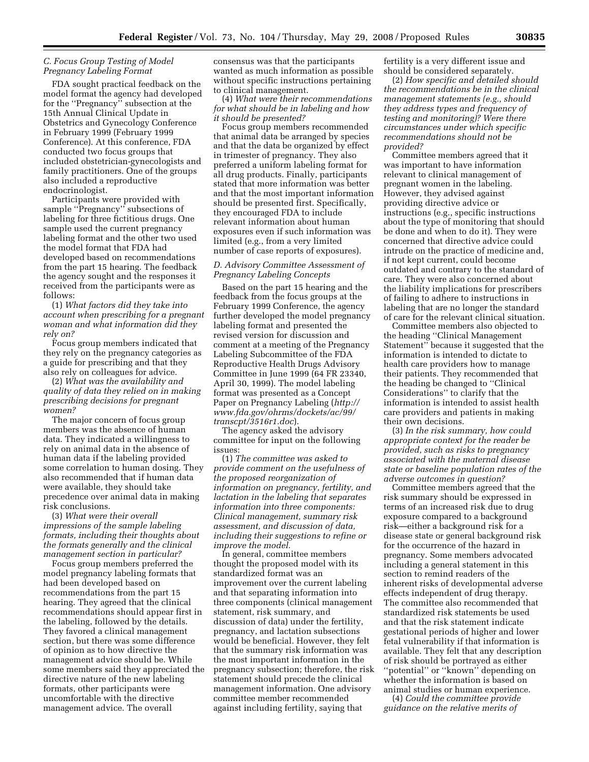# *C. Focus Group Testing of Model Pregnancy Labeling Format*

FDA sought practical feedback on the model format the agency had developed for the ''Pregnancy'' subsection at the 15th Annual Clinical Update in Obstetrics and Gynecology Conference in February 1999 (February 1999 Conference). At this conference, FDA conducted two focus groups that included obstetrician-gynecologists and family practitioners. One of the groups also included a reproductive endocrinologist.

Participants were provided with sample ''Pregnancy'' subsections of labeling for three fictitious drugs. One sample used the current pregnancy labeling format and the other two used the model format that FDA had developed based on recommendations from the part 15 hearing. The feedback the agency sought and the responses it received from the participants were as follows:

(1) *What factors did they take into account when prescribing for a pregnant woman and what information did they rely on?* 

Focus group members indicated that they rely on the pregnancy categories as a guide for prescribing and that they also rely on colleagues for advice.

(2) *What was the availability and quality of data they relied on in making prescribing decisions for pregnant women?* 

The major concern of focus group members was the absence of human data. They indicated a willingness to rely on animal data in the absence of human data if the labeling provided some correlation to human dosing. They also recommended that if human data were available, they should take precedence over animal data in making risk conclusions.

(3) *What were their overall impressions of the sample labeling formats, including their thoughts about the formats generally and the clinical management section in particular?* 

Focus group members preferred the model pregnancy labeling formats that had been developed based on recommendations from the part 15 hearing. They agreed that the clinical recommendations should appear first in the labeling, followed by the details. They favored a clinical management section, but there was some difference of opinion as to how directive the management advice should be. While some members said they appreciated the directive nature of the new labeling formats, other participants were uncomfortable with the directive management advice. The overall

consensus was that the participants wanted as much information as possible without specific instructions pertaining to clinical management.

(4) *What were their recommendations for what should be in labeling and how it should be presented?* 

Focus group members recommended that animal data be arranged by species and that the data be organized by effect in trimester of pregnancy. They also preferred a uniform labeling format for all drug products. Finally, participants stated that more information was better and that the most important information should be presented first. Specifically, they encouraged FDA to include relevant information about human exposures even if such information was limited (e.g., from a very limited number of case reports of exposures).

# *D. Advisory Committee Assessment of Pregnancy Labeling Concepts*

Based on the part 15 hearing and the feedback from the focus groups at the February 1999 Conference, the agency further developed the model pregnancy labeling format and presented the revised version for discussion and comment at a meeting of the Pregnancy Labeling Subcommittee of the FDA Reproductive Health Drugs Advisory Committee in June 1999 (64 FR 23340, April 30, 1999). The model labeling format was presented as a Concept Paper on Pregnancy Labeling (*http:// www.fda.gov/ohrms/dockets/ac/99/ transcpt/3516r1.doc*).

The agency asked the advisory committee for input on the following issues:

(1) *The committee was asked to provide comment on the usefulness of the proposed reorganization of information on pregnancy, fertility, and lactation in the labeling that separates information into three components: Clinical management, summary risk assessment, and discussion of data, including their suggestions to refine or improve the model.* 

In general, committee members thought the proposed model with its standardized format was an improvement over the current labeling and that separating information into three components (clinical management statement, risk summary, and discussion of data) under the fertility, pregnancy, and lactation subsections would be beneficial. However, they felt that the summary risk information was the most important information in the pregnancy subsection; therefore, the risk statement should precede the clinical management information. One advisory committee member recommended against including fertility, saying that

fertility is a very different issue and should be considered separately.

(2) *How specific and detailed should the recommendations be in the clinical management statements (e.g., should they address types and frequency of testing and monitoring)? Were there circumstances under which specific recommendations should not be provided?* 

Committee members agreed that it was important to have information relevant to clinical management of pregnant women in the labeling. However, they advised against providing directive advice or instructions (e.g., specific instructions about the type of monitoring that should be done and when to do it). They were concerned that directive advice could intrude on the practice of medicine and, if not kept current, could become outdated and contrary to the standard of care. They were also concerned about the liability implications for prescribers of failing to adhere to instructions in labeling that are no longer the standard of care for the relevant clinical situation.

Committee members also objected to the heading ''Clinical Management Statement'' because it suggested that the information is intended to dictate to health care providers how to manage their patients. They recommended that the heading be changed to ''Clinical Considerations'' to clarify that the information is intended to assist health care providers and patients in making their own decisions.

(3) *In the risk summary, how could appropriate context for the reader be provided, such as risks to pregnancy associated with the maternal disease state or baseline population rates of the adverse outcomes in question?* 

Committee members agreed that the risk summary should be expressed in terms of an increased risk due to drug exposure compared to a background risk—either a background risk for a disease state or general background risk for the occurrence of the hazard in pregnancy. Some members advocated including a general statement in this section to remind readers of the inherent risks of developmental adverse effects independent of drug therapy. The committee also recommended that standardized risk statements be used and that the risk statement indicate gestational periods of higher and lower fetal vulnerability if that information is available. They felt that any description of risk should be portrayed as either ''potential'' or ''known'' depending on whether the information is based on animal studies or human experience.

(4) *Could the committee provide guidance on the relative merits of*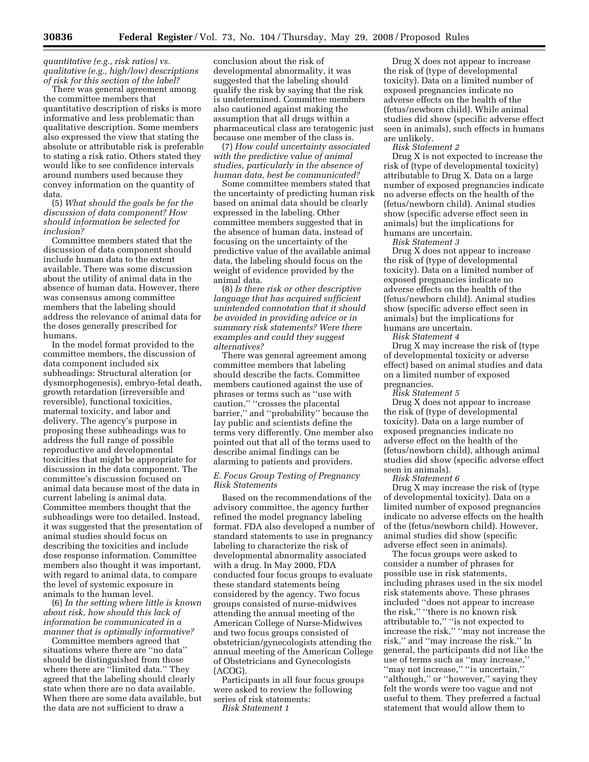*quantitative (e.g., risk ratios) vs. qualitative (e.g., high/low) descriptions of risk for this section of the label?* 

There was general agreement among the committee members that quantitative description of risks is more informative and less problematic than qualitative description. Some members also expressed the view that stating the absolute or attributable risk is preferable to stating a risk ratio. Others stated they would like to see confidence intervals around numbers used because they convey information on the quantity of data.

(5) *What should the goals be for the discussion of data component? How should information be selected for inclusion?* 

Committee members stated that the discussion of data component should include human data to the extent available. There was some discussion about the utility of animal data in the absence of human data. However, there was consensus among committee members that the labeling should address the relevance of animal data for the doses generally prescribed for humans.

In the model format provided to the committee members, the discussion of data component included six subheadings: Structural alteration (or dysmorphogenesis), embryo-fetal death, growth retardation (irreversible and reversible), functional toxicities, maternal toxicity, and labor and delivery. The agency's purpose in proposing these subheadings was to address the full range of possible reproductive and developmental toxicities that might be appropriate for discussion in the data component. The committee's discussion focused on animal data because most of the data in current labeling is animal data. Committee members thought that the subheadings were too detailed. Instead, it was suggested that the presentation of animal studies should focus on describing the toxicities and include dose response information. Committee members also thought it was important, with regard to animal data, to compare the level of systemic exposure in animals to the human level.

(6) *In the setting where little is known about risk, how should this lack of information be communicated in a manner that is optimally informative?* 

Committee members agreed that situations where there are ''no data'' should be distinguished from those where there are "limited data." They agreed that the labeling should clearly state when there are no data available. When there are some data available, but the data are not sufficient to draw a

conclusion about the risk of developmental abnormality, it was suggested that the labeling should qualify the risk by saying that the risk is undetermined. Committee members also cautioned against making the assumption that all drugs within a pharmaceutical class are teratogenic just because one member of the class is.

(7) *How could uncertainty associated with the predictive value of animal studies, particularly in the absence of human data, best be communicated?* 

Some committee members stated that the uncertainty of predicting human risk based on animal data should be clearly expressed in the labeling. Other committee members suggested that in the absence of human data, instead of focusing on the uncertainty of the predictive value of the available animal data, the labeling should focus on the weight of evidence provided by the animal data.

(8) *Is there risk or other descriptive language that has acquired sufficient unintended connotation that it should be avoided in providing advice or in summary risk statements? Were there examples and could they suggest alternatives?* 

There was general agreement among committee members that labeling should describe the facts. Committee members cautioned against the use of phrases or terms such as ''use with caution,'' ''crosses the placental barrier,'' and ''probability'' because the lay public and scientists define the terms very differently. One member also pointed out that all of the terms used to describe animal findings can be alarming to patients and providers.

# *E. Focus Group Testing of Pregnancy Risk Statements*

Based on the recommendations of the advisory committee, the agency further refined the model pregnancy labeling format. FDA also developed a number of standard statements to use in pregnancy labeling to characterize the risk of developmental abnormality associated with a drug. In May 2000, FDA conducted four focus groups to evaluate these standard statements being considered by the agency. Two focus groups consisted of nurse-midwives attending the annual meeting of the American College of Nurse-Midwives and two focus groups consisted of obstetrician/gynecologists attending the annual meeting of the American College of Obstetricians and Gynecologists (ACOG).

Participants in all four focus groups were asked to review the following series of risk statements: *Risk Statement 1* 

Drug X does not appear to increase the risk of (type of developmental toxicity). Data on a limited number of exposed pregnancies indicate no adverse effects on the health of the (fetus/newborn child). While animal studies did show (specific adverse effect seen in animals), such effects in humans are unlikely.

*Risk Statement 2* 

Drug X is not expected to increase the risk of (type of developmental toxicity) attributable to Drug X. Data on a large number of exposed pregnancies indicate no adverse effects on the health of the (fetus/newborn child). Animal studies show (specific adverse effect seen in animals) but the implications for humans are uncertain.

*Risk Statement 3* 

Drug X does not appear to increase the risk of (type of developmental toxicity). Data on a limited number of exposed pregnancies indicate no adverse effects on the health of the (fetus/newborn child). Animal studies show (specific adverse effect seen in animals) but the implications for humans are uncertain.

*Risk Statement 4* 

Drug X may increase the risk of (type of developmental toxicity or adverse effect) based on animal studies and data on a limited number of exposed pregnancies.

*Risk Statement 5* 

Drug X does not appear to increase the risk of (type of developmental toxicity). Data on a large number of exposed pregnancies indicate no adverse effect on the health of the (fetus/newborn child), although animal studies did show (specific adverse effect seen in animals).

*Risk Statement 6* 

Drug X may increase the risk of (type of developmental toxicity). Data on a limited number of exposed pregnancies indicate no adverse effects on the health of the (fetus/newborn child). However, animal studies did show (specific adverse effect seen in animals).

The focus groups were asked to consider a number of phrases for possible use in risk statements, including phrases used in the six model risk statements above. These phrases included ''does not appear to increase the risk,'' ''there is no known risk attributable to,'' ''is not expected to increase the risk,'' ''may not increase the risk,'' and ''may increase the risk.'' In general, the participants did not like the use of terms such as ''may increase,'' ''may not increase,'' ''is uncertain,'' ''although,'' or ''however,'' saying they felt the words were too vague and not useful to them. They preferred a factual statement that would allow them to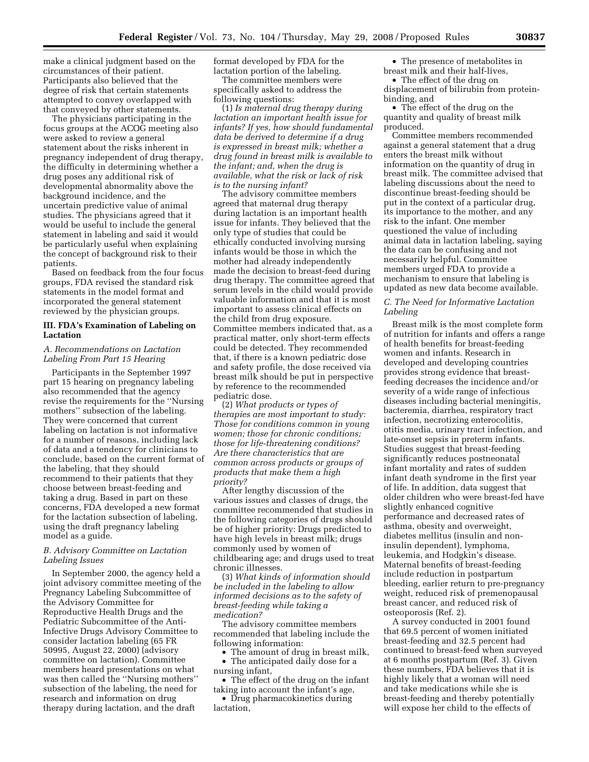make a clinical judgment based on the circumstances of their patient. Participants also believed that the degree of risk that certain statements attempted to convey overlapped with that conveyed by other statements.

The physicians participating in the focus groups at the ACOG meeting also were asked to review a general statement about the risks inherent in pregnancy independent of drug therapy, the difficulty in determining whether a drug poses any additional risk of developmental abnormality above the background incidence, and the uncertain predictive value of animal studies. The physicians agreed that it would be useful to include the general statement in labeling and said it would be particularly useful when explaining the concept of background risk to their patients.

Based on feedback from the four focus groups, FDA revised the standard risk statements in the model format and incorporated the general statement reviewed by the physician groups.

# **III. FDA's Examination of Labeling on Lactation**

# *A. Recommendations on Lactation Labeling From Part 15 Hearing*

Participants in the September 1997 part 15 hearing on pregnancy labeling also recommended that the agency revise the requirements for the ''Nursing mothers'' subsection of the labeling. They were concerned that current labeling on lactation is not informative for a number of reasons, including lack of data and a tendency for clinicians to conclude, based on the current format of the labeling, that they should recommend to their patients that they choose between breast-feeding and taking a drug. Based in part on these concerns, FDA developed a new format for the lactation subsection of labeling, using the draft pregnancy labeling model as a guide.

## *B. Advisory Committee on Lactation Labeling Issues*

In September 2000, the agency held a joint advisory committee meeting of the Pregnancy Labeling Subcommittee of the Advisory Committee for Reproductive Health Drugs and the Pediatric Subcommittee of the Anti-Infective Drugs Advisory Committee to consider lactation labeling (65 FR 50995, August 22, 2000) (advisory committee on lactation). Committee members heard presentations on what was then called the ''Nursing mothers'' subsection of the labeling, the need for research and information on drug therapy during lactation, and the draft

format developed by FDA for the lactation portion of the labeling.

The committee members were specifically asked to address the following questions:

(1) *Is maternal drug therapy during lactation an important health issue for infants? If yes, how should fundamental data be derived to determine if a drug is expressed in breast milk; whether a drug found in breast milk is available to the infant; and, when the drug is available, what the risk or lack of risk is to the nursing infant?* 

The advisory committee members agreed that maternal drug therapy during lactation is an important health issue for infants. They believed that the only type of studies that could be ethically conducted involving nursing infants would be those in which the mother had already independently made the decision to breast-feed during drug therapy. The committee agreed that serum levels in the child would provide valuable information and that it is most important to assess clinical effects on the child from drug exposure. Committee members indicated that, as a practical matter, only short-term effects could be detected. They recommended that, if there is a known pediatric dose and safety profile, the dose received via breast milk should be put in perspective by reference to the recommended pediatric dose.

(2) *What products or types of therapies are most important to study: Those for conditions common in young women; those for chronic conditions; those for life-threatening conditions? Are there characteristics that are common across products or groups of products that make them a high priority?* 

After lengthy discussion of the various issues and classes of drugs, the committee recommended that studies in the following categories of drugs should be of higher priority: Drugs predicted to have high levels in breast milk; drugs commonly used by women of childbearing age; and drugs used to treat chronic illnesses.

(3) *What kinds of information should be included in the labeling to allow informed decisions as to the safety of breast-feeding while taking a medication?* 

The advisory committee members recommended that labeling include the following information:

• The amount of drug in breast milk, • The anticipated daily dose for a

nursing infant, • The effect of the drug on the infant

taking into account the infant's age, • Drug pharmacokinetics during

lactation,

• The presence of metabolites in breast milk and their half-lives,

• The effect of the drug on

displacement of bilirubin from proteinbinding, and

• The effect of the drug on the quantity and quality of breast milk produced.

Committee members recommended against a general statement that a drug enters the breast milk without information on the quantity of drug in breast milk. The committee advised that labeling discussions about the need to discontinue breast-feeding should be put in the context of a particular drug, its importance to the mother, and any risk to the infant. One member questioned the value of including animal data in lactation labeling, saying the data can be confusing and not necessarily helpful. Committee members urged FDA to provide a mechanism to ensure that labeling is updated as new data become available.

## *C. The Need for Informative Lactation Labeling*

Breast milk is the most complete form of nutrition for infants and offers a range of health benefits for breast-feeding women and infants. Research in developed and developing countries provides strong evidence that breastfeeding decreases the incidence and/or severity of a wide range of infectious diseases including bacterial meningitis, bacteremia, diarrhea, respiratory tract infection, necrotizing enterocolitis, otitis media, urinary tract infection, and late-onset sepsis in preterm infants. Studies suggest that breast-feeding significantly reduces postneonatal infant mortality and rates of sudden infant death syndrome in the first year of life. In addition, data suggest that older children who were breast-fed have slightly enhanced cognitive performance and decreased rates of asthma, obesity and overweight, diabetes mellitus (insulin and noninsulin dependent), lymphoma, leukemia, and Hodgkin's disease. Maternal benefits of breast-feeding include reduction in postpartum bleeding, earlier return to pre-pregnancy weight, reduced risk of premenopausal breast cancer, and reduced risk of osteoporosis (Ref. 2).

A survey conducted in 2001 found that 69.5 percent of women initiated breast-feeding and 32.5 percent had continued to breast-feed when surveyed at 6 months postpartum (Ref. 3). Given these numbers, FDA believes that it is highly likely that a woman will need and take medications while she is breast-feeding and thereby potentially will expose her child to the effects of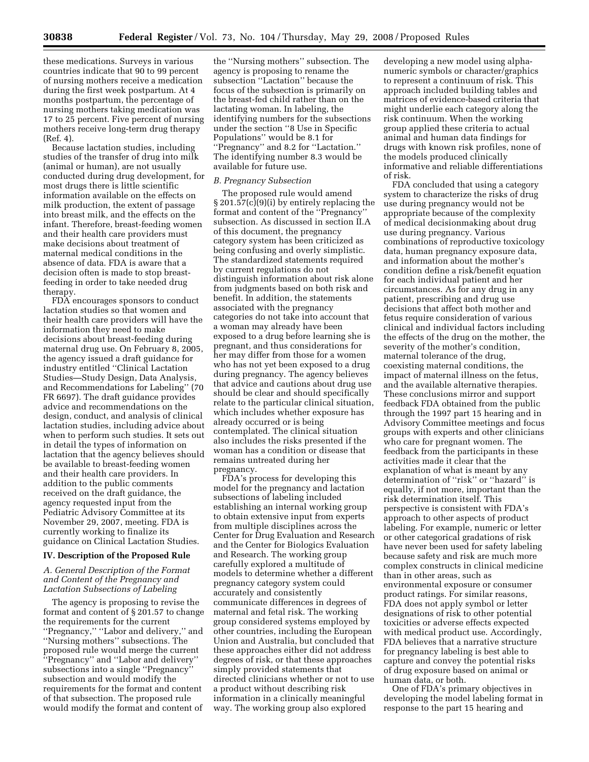these medications. Surveys in various countries indicate that 90 to 99 percent of nursing mothers receive a medication during the first week postpartum. At 4 months postpartum, the percentage of nursing mothers taking medication was 17 to 25 percent. Five percent of nursing mothers receive long-term drug therapy (Ref. 4).

Because lactation studies, including studies of the transfer of drug into milk (animal or human), are not usually conducted during drug development, for most drugs there is little scientific information available on the effects on milk production, the extent of passage into breast milk, and the effects on the infant. Therefore, breast-feeding women and their health care providers must make decisions about treatment of maternal medical conditions in the absence of data. FDA is aware that a decision often is made to stop breastfeeding in order to take needed drug therapy.

FDA encourages sponsors to conduct lactation studies so that women and their health care providers will have the information they need to make decisions about breast-feeding during maternal drug use. On February 8, 2005, the agency issued a draft guidance for industry entitled ''Clinical Lactation Studies—Study Design, Data Analysis, and Recommendations for Labeling'' (70 FR 6697). The draft guidance provides advice and recommendations on the design, conduct, and analysis of clinical lactation studies, including advice about when to perform such studies. It sets out in detail the types of information on lactation that the agency believes should be available to breast-feeding women and their health care providers. In addition to the public comments received on the draft guidance, the agency requested input from the Pediatric Advisory Committee at its November 29, 2007, meeting. FDA is currently working to finalize its guidance on Clinical Lactation Studies.

#### **IV. Description of the Proposed Rule**

# *A. General Description of the Format and Content of the Pregnancy and Lactation Subsections of Labeling*

The agency is proposing to revise the format and content of § 201.57 to change the requirements for the current ''Pregnancy,'' ''Labor and delivery,'' and ''Nursing mothers'' subsections. The proposed rule would merge the current ''Pregnancy'' and ''Labor and delivery'' subsections into a single ''Pregnancy'' subsection and would modify the requirements for the format and content of that subsection. The proposed rule would modify the format and content of

the ''Nursing mothers'' subsection. The agency is proposing to rename the subsection ''Lactation'' because the focus of the subsection is primarily on the breast-fed child rather than on the lactating woman. In labeling, the identifying numbers for the subsections under the section ''8 Use in Specific Populations'' would be 8.1 for ''Pregnancy'' and 8.2 for ''Lactation.'' The identifying number 8.3 would be available for future use.

## *B. Pregnancy Subsection*

The proposed rule would amend § 201.57(c)(9)(i) by entirely replacing the format and content of the ''Pregnancy'' subsection. As discussed in section II.A of this document, the pregnancy category system has been criticized as being confusing and overly simplistic. The standardized statements required by current regulations do not distinguish information about risk alone from judgments based on both risk and benefit. In addition, the statements associated with the pregnancy categories do not take into account that a woman may already have been exposed to a drug before learning she is pregnant, and thus considerations for her may differ from those for a women who has not yet been exposed to a drug during pregnancy. The agency believes that advice and cautions about drug use should be clear and should specifically relate to the particular clinical situation, which includes whether exposure has already occurred or is being contemplated. The clinical situation also includes the risks presented if the woman has a condition or disease that remains untreated during her pregnancy.

FDA's process for developing this model for the pregnancy and lactation subsections of labeling included establishing an internal working group to obtain extensive input from experts from multiple disciplines across the Center for Drug Evaluation and Research and the Center for Biologics Evaluation and Research. The working group carefully explored a multitude of models to determine whether a different pregnancy category system could accurately and consistently communicate differences in degrees of maternal and fetal risk. The working group considered systems employed by other countries, including the European Union and Australia, but concluded that these approaches either did not address degrees of risk, or that these approaches simply provided statements that directed clinicians whether or not to use a product without describing risk information in a clinically meaningful way. The working group also explored

developing a new model using alphanumeric symbols or character/graphics to represent a continuum of risk. This approach included building tables and matrices of evidence-based criteria that might underlie each category along the risk continuum. When the working group applied these criteria to actual animal and human data findings for drugs with known risk profiles, none of the models produced clinically informative and reliable differentiations of risk.

FDA concluded that using a category system to characterize the risks of drug use during pregnancy would not be appropriate because of the complexity of medical decisionmaking about drug use during pregnancy. Various combinations of reproductive toxicology data, human pregnancy exposure data, and information about the mother's condition define a risk/benefit equation for each individual patient and her circumstances. As for any drug in any patient, prescribing and drug use decisions that affect both mother and fetus require consideration of various clinical and individual factors including the effects of the drug on the mother, the severity of the mother's condition, maternal tolerance of the drug, coexisting maternal conditions, the impact of maternal illness on the fetus, and the available alternative therapies. These conclusions mirror and support feedback FDA obtained from the public through the 1997 part 15 hearing and in Advisory Committee meetings and focus groups with experts and other clinicians who care for pregnant women. The feedback from the participants in these activities made it clear that the explanation of what is meant by any determination of ''risk'' or ''hazard'' is equally, if not more, important than the risk determination itself. This perspective is consistent with FDA's approach to other aspects of product labeling. For example, numeric or letter or other categorical gradations of risk have never been used for safety labeling because safety and risk are much more complex constructs in clinical medicine than in other areas, such as environmental exposure or consumer product ratings. For similar reasons, FDA does not apply symbol or letter designations of risk to other potential toxicities or adverse effects expected with medical product use. Accordingly, FDA believes that a narrative structure for pregnancy labeling is best able to capture and convey the potential risks of drug exposure based on animal or human data, or both.

One of FDA's primary objectives in developing the model labeling format in response to the part 15 hearing and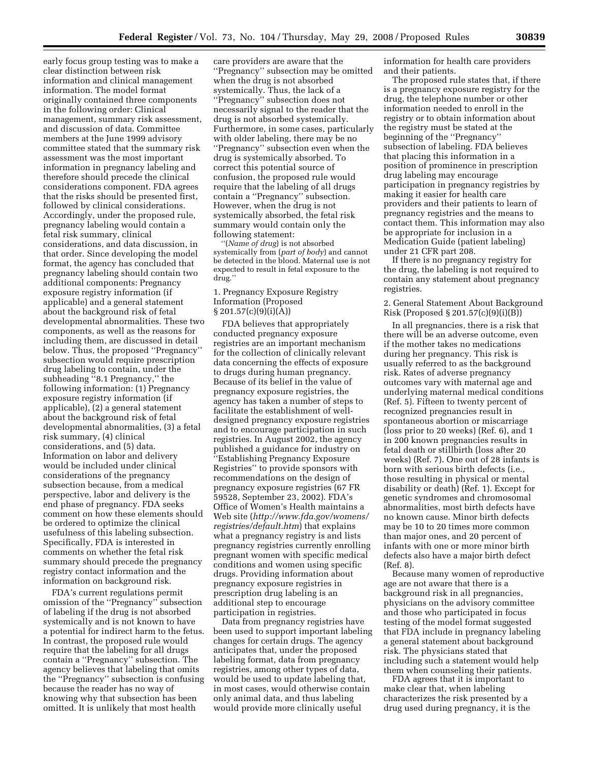early focus group testing was to make a clear distinction between risk information and clinical management information. The model format originally contained three components in the following order: Clinical management, summary risk assessment, and discussion of data. Committee members at the June 1999 advisory committee stated that the summary risk assessment was the most important information in pregnancy labeling and therefore should precede the clinical considerations component. FDA agrees that the risks should be presented first, followed by clinical considerations. Accordingly, under the proposed rule, pregnancy labeling would contain a fetal risk summary, clinical considerations, and data discussion, in that order. Since developing the model format, the agency has concluded that pregnancy labeling should contain two additional components: Pregnancy exposure registry information (if applicable) and a general statement about the background risk of fetal developmental abnormalities. These two components, as well as the reasons for including them, are discussed in detail below. Thus, the proposed ''Pregnancy'' subsection would require prescription drug labeling to contain, under the subheading "8.1 Pregnancy," the following information: (1) Pregnancy exposure registry information (if applicable), (2) a general statement about the background risk of fetal developmental abnormalities, (3) a fetal risk summary, (4) clinical considerations, and (5) data. Information on labor and delivery would be included under clinical considerations of the pregnancy subsection because, from a medical perspective, labor and delivery is the end phase of pregnancy. FDA seeks comment on how these elements should be ordered to optimize the clinical usefulness of this labeling subsection. Specifically, FDA is interested in comments on whether the fetal risk summary should precede the pregnancy registry contact information and the information on background risk.

FDA's current regulations permit omission of the ''Pregnancy'' subsection of labeling if the drug is not absorbed systemically and is not known to have a potential for indirect harm to the fetus. In contrast, the proposed rule would require that the labeling for all drugs contain a ''Pregnancy'' subsection. The agency believes that labeling that omits the ''Pregnancy'' subsection is confusing because the reader has no way of knowing why that subsection has been omitted. It is unlikely that most health

care providers are aware that the ''Pregnancy'' subsection may be omitted when the drug is not absorbed systemically. Thus, the lack of a ''Pregnancy'' subsection does not necessarily signal to the reader that the drug is not absorbed systemically. Furthermore, in some cases, particularly with older labeling, there may be no ''Pregnancy'' subsection even when the drug is systemically absorbed. To correct this potential source of confusion, the proposed rule would require that the labeling of all drugs contain a ''Pregnancy'' subsection. However, when the drug is not systemically absorbed, the fetal risk summary would contain only the following statement:

''(*Name of drug*) is not absorbed systemically from (*part of body*) and cannot be detected in the blood. Maternal use is not expected to result in fetal exposure to the drug.''

## 1. Pregnancy Exposure Registry Information (Proposed  $\S 201.57(c)(9)(i)(A))$

FDA believes that appropriately conducted pregnancy exposure registries are an important mechanism for the collection of clinically relevant data concerning the effects of exposure to drugs during human pregnancy. Because of its belief in the value of pregnancy exposure registries, the agency has taken a number of steps to facilitate the establishment of welldesigned pregnancy exposure registries and to encourage participation in such registries. In August 2002, the agency published a guidance for industry on ''Establishing Pregnancy Exposure Registries'' to provide sponsors with recommendations on the design of pregnancy exposure registries (67 FR 59528, September 23, 2002). FDA's Office of Women's Health maintains a Web site (*http://www.fda.gov/womens/ registries/default.htm*) that explains what a pregnancy registry is and lists pregnancy registries currently enrolling pregnant women with specific medical conditions and women using specific drugs. Providing information about pregnancy exposure registries in prescription drug labeling is an additional step to encourage participation in registries.

Data from pregnancy registries have been used to support important labeling changes for certain drugs. The agency anticipates that, under the proposed labeling format, data from pregnancy registries, among other types of data, would be used to update labeling that, in most cases, would otherwise contain only animal data, and thus labeling would provide more clinically useful

information for health care providers and their patients.

The proposed rule states that, if there is a pregnancy exposure registry for the drug, the telephone number or other information needed to enroll in the registry or to obtain information about the registry must be stated at the beginning of the ''Pregnancy'' subsection of labeling. FDA believes that placing this information in a position of prominence in prescription drug labeling may encourage participation in pregnancy registries by making it easier for health care providers and their patients to learn of pregnancy registries and the means to contact them. This information may also be appropriate for inclusion in a Medication Guide (patient labeling) under 21 CFR part 208.

If there is no pregnancy registry for the drug, the labeling is not required to contain any statement about pregnancy registries.

2. General Statement About Background Risk (Proposed § 201.57(c)(9)(i)(B))

In all pregnancies, there is a risk that there will be an adverse outcome, even if the mother takes no medications during her pregnancy. This risk is usually referred to as the background risk. Rates of adverse pregnancy outcomes vary with maternal age and underlying maternal medical conditions (Ref. 5). Fifteen to twenty percent of recognized pregnancies result in spontaneous abortion or miscarriage (loss prior to 20 weeks) (Ref. 6), and 1 in 200 known pregnancies results in fetal death or stillbirth (loss after 20 weeks) (Ref. 7). One out of 28 infants is born with serious birth defects (i.e., those resulting in physical or mental disability or death) (Ref. 1). Except for genetic syndromes and chromosomal abnormalities, most birth defects have no known cause. Minor birth defects may be 10 to 20 times more common than major ones, and 20 percent of infants with one or more minor birth defects also have a major birth defect (Ref. 8).

Because many women of reproductive age are not aware that there is a background risk in all pregnancies, physicians on the advisory committee and those who participated in focus testing of the model format suggested that FDA include in pregnancy labeling a general statement about background risk. The physicians stated that including such a statement would help them when counseling their patients.

FDA agrees that it is important to make clear that, when labeling characterizes the risk presented by a drug used during pregnancy, it is the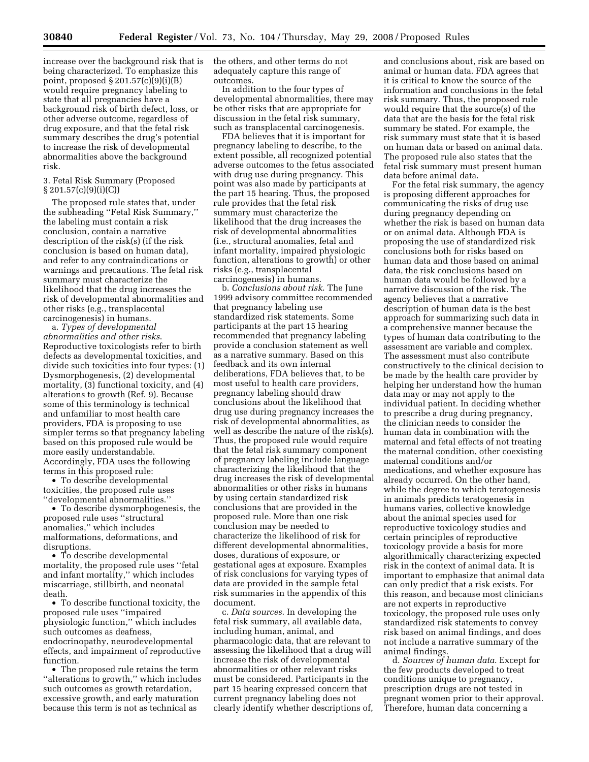increase over the background risk that is being characterized. To emphasize this point, proposed  $\S 201.57(c)(9)(i)(B)$ would require pregnancy labeling to state that all pregnancies have a background risk of birth defect, loss, or other adverse outcome, regardless of drug exposure, and that the fetal risk summary describes the drug's potential to increase the risk of developmental abnormalities above the background risk.

## 3. Fetal Risk Summary (Proposed § 201.57(c)(9)(i)(C))

The proposed rule states that, under the subheading ''Fetal Risk Summary,'' the labeling must contain a risk conclusion, contain a narrative description of the risk(s) (if the risk conclusion is based on human data), and refer to any contraindications or warnings and precautions. The fetal risk summary must characterize the likelihood that the drug increases the risk of developmental abnormalities and other risks (e.g., transplacental carcinogenesis) in humans.

a. *Types of developmental abnormalities and other risks*. Reproductive toxicologists refer to birth defects as developmental toxicities, and divide such toxicities into four types: (1) Dysmorphogenesis, (2) developmental mortality, (3) functional toxicity, and (4) alterations to growth (Ref. 9). Because some of this terminology is technical and unfamiliar to most health care providers, FDA is proposing to use simpler terms so that pregnancy labeling based on this proposed rule would be more easily understandable. Accordingly, FDA uses the following terms in this proposed rule:

• To describe developmental toxicities, the proposed rule uses ''developmental abnormalities.''

• To describe dysmorphogenesis, the proposed rule uses ''structural anomalies,'' which includes malformations, deformations, and disruptions.

• To describe developmental mortality, the proposed rule uses ''fetal and infant mortality,'' which includes miscarriage, stillbirth, and neonatal death.

• To describe functional toxicity, the proposed rule uses ''impaired physiologic function,'' which includes such outcomes as deafness, endocrinopathy, neurodevelopmental effects, and impairment of reproductive function.

• The proposed rule retains the term ''alterations to growth,'' which includes such outcomes as growth retardation, excessive growth, and early maturation because this term is not as technical as

the others, and other terms do not adequately capture this range of outcomes.

In addition to the four types of developmental abnormalities, there may be other risks that are appropriate for discussion in the fetal risk summary, such as transplacental carcinogenesis.

FDA believes that it is important for pregnancy labeling to describe, to the extent possible, all recognized potential adverse outcomes to the fetus associated with drug use during pregnancy. This point was also made by participants at the part 15 hearing. Thus, the proposed rule provides that the fetal risk summary must characterize the likelihood that the drug increases the risk of developmental abnormalities (i.e., structural anomalies, fetal and infant mortality, impaired physiologic function, alterations to growth) or other risks (e.g., transplacental carcinogenesis) in humans.

b. *Conclusions about risk*. The June 1999 advisory committee recommended that pregnancy labeling use standardized risk statements. Some participants at the part 15 hearing recommended that pregnancy labeling provide a conclusion statement as well as a narrative summary. Based on this feedback and its own internal deliberations, FDA believes that, to be most useful to health care providers, pregnancy labeling should draw conclusions about the likelihood that drug use during pregnancy increases the risk of developmental abnormalities, as well as describe the nature of the risk(s). Thus, the proposed rule would require that the fetal risk summary component of pregnancy labeling include language characterizing the likelihood that the drug increases the risk of developmental abnormalities or other risks in humans by using certain standardized risk conclusions that are provided in the proposed rule. More than one risk conclusion may be needed to characterize the likelihood of risk for different developmental abnormalities, doses, durations of exposure, or gestational ages at exposure. Examples of risk conclusions for varying types of data are provided in the sample fetal risk summaries in the appendix of this document.

c. *Data sources*. In developing the fetal risk summary, all available data, including human, animal, and pharmacologic data, that are relevant to assessing the likelihood that a drug will increase the risk of developmental abnormalities or other relevant risks must be considered. Participants in the part 15 hearing expressed concern that current pregnancy labeling does not clearly identify whether descriptions of,

and conclusions about, risk are based on animal or human data. FDA agrees that it is critical to know the source of the information and conclusions in the fetal risk summary. Thus, the proposed rule would require that the source(s) of the data that are the basis for the fetal risk summary be stated. For example, the risk summary must state that it is based on human data or based on animal data. The proposed rule also states that the fetal risk summary must present human data before animal data.

For the fetal risk summary, the agency is proposing different approaches for communicating the risks of drug use during pregnancy depending on whether the risk is based on human data or on animal data. Although FDA is proposing the use of standardized risk conclusions both for risks based on human data and those based on animal data, the risk conclusions based on human data would be followed by a narrative discussion of the risk. The agency believes that a narrative description of human data is the best approach for summarizing such data in a comprehensive manner because the types of human data contributing to the assessment are variable and complex. The assessment must also contribute constructively to the clinical decision to be made by the health care provider by helping her understand how the human data may or may not apply to the individual patient. In deciding whether to prescribe a drug during pregnancy, the clinician needs to consider the human data in combination with the maternal and fetal effects of not treating the maternal condition, other coexisting maternal conditions and/or medications, and whether exposure has already occurred. On the other hand, while the degree to which teratogenesis in animals predicts teratogenesis in humans varies, collective knowledge about the animal species used for reproductive toxicology studies and certain principles of reproductive toxicology provide a basis for more algorithmically characterizing expected risk in the context of animal data. It is important to emphasize that animal data can only predict that a risk exists. For this reason, and because most clinicians are not experts in reproductive toxicology, the proposed rule uses only standardized risk statements to convey risk based on animal findings, and does not include a narrative summary of the animal findings.

d. *Sources of human data*. Except for the few products developed to treat conditions unique to pregnancy, prescription drugs are not tested in pregnant women prior to their approval. Therefore, human data concerning a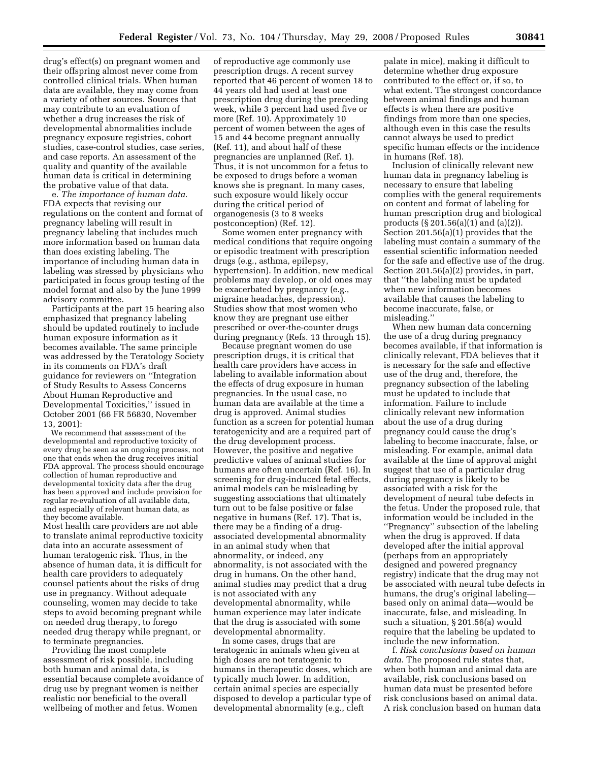drug's effect(s) on pregnant women and their offspring almost never come from controlled clinical trials. When human data are available, they may come from a variety of other sources. Sources that may contribute to an evaluation of whether a drug increases the risk of developmental abnormalities include pregnancy exposure registries, cohort studies, case-control studies, case series, and case reports. An assessment of the quality and quantity of the available human data is critical in determining the probative value of that data.

e. *The importance of human data*. FDA expects that revising our regulations on the content and format of pregnancy labeling will result in pregnancy labeling that includes much more information based on human data than does existing labeling. The importance of including human data in labeling was stressed by physicians who participated in focus group testing of the model format and also by the June 1999 advisory committee.

Participants at the part 15 hearing also emphasized that pregnancy labeling should be updated routinely to include human exposure information as it becomes available. The same principle was addressed by the Teratology Society in its comments on FDA's draft guidance for reviewers on ''Integration of Study Results to Assess Concerns About Human Reproductive and Developmental Toxicities,'' issued in October 2001 (66 FR 56830, November 13, 2001):

We recommend that assessment of the developmental and reproductive toxicity of every drug be seen as an ongoing process, not one that ends when the drug receives initial FDA approval. The process should encourage collection of human reproductive and developmental toxicity data after the drug has been approved and include provision for regular re-evaluation of all available data, and especially of relevant human data, as they become available. Most health care providers are not able to translate animal reproductive toxicity data into an accurate assessment of human teratogenic risk. Thus, in the absence of human data, it is difficult for health care providers to adequately

counsel patients about the risks of drug use in pregnancy. Without adequate counseling, women may decide to take steps to avoid becoming pregnant while on needed drug therapy, to forego needed drug therapy while pregnant, or to terminate pregnancies.

Providing the most complete assessment of risk possible, including both human and animal data, is essential because complete avoidance of drug use by pregnant women is neither realistic nor beneficial to the overall wellbeing of mother and fetus. Women

of reproductive age commonly use prescription drugs. A recent survey reported that 46 percent of women 18 to 44 years old had used at least one prescription drug during the preceding week, while 3 percent had used five or more (Ref. 10). Approximately 10 percent of women between the ages of 15 and 44 become pregnant annually (Ref. 11), and about half of these pregnancies are unplanned (Ref. 1). Thus, it is not uncommon for a fetus to be exposed to drugs before a woman knows she is pregnant. In many cases, such exposure would likely occur during the critical period of organogenesis (3 to 8 weeks postconception) (Ref. 12).

Some women enter pregnancy with medical conditions that require ongoing or episodic treatment with prescription drugs (e.g., asthma, epilepsy, hypertension). In addition, new medical problems may develop, or old ones may be exacerbated by pregnancy (e.g., migraine headaches, depression). Studies show that most women who know they are pregnant use either prescribed or over-the-counter drugs during pregnancy (Refs. 13 through 15).

Because pregnant women do use prescription drugs, it is critical that health care providers have access in labeling to available information about the effects of drug exposure in human pregnancies. In the usual case, no human data are available at the time a drug is approved. Animal studies function as a screen for potential human teratogenicity and are a required part of the drug development process. However, the positive and negative predictive values of animal studies for humans are often uncertain (Ref. 16). In screening for drug-induced fetal effects, animal models can be misleading by suggesting associations that ultimately turn out to be false positive or false negative in humans (Ref. 17). That is, there may be a finding of a drugassociated developmental abnormality in an animal study when that abnormality, or indeed, any abnormality, is not associated with the drug in humans. On the other hand, animal studies may predict that a drug is not associated with any developmental abnormality, while human experience may later indicate that the drug is associated with some developmental abnormality.

In some cases, drugs that are teratogenic in animals when given at high doses are not teratogenic to humans in therapeutic doses, which are typically much lower. In addition, certain animal species are especially disposed to develop a particular type of developmental abnormality (e.g., cleft

palate in mice), making it difficult to determine whether drug exposure contributed to the effect or, if so, to what extent. The strongest concordance between animal findings and human effects is when there are positive findings from more than one species, although even in this case the results cannot always be used to predict specific human effects or the incidence in humans (Ref. 18).

Inclusion of clinically relevant new human data in pregnancy labeling is necessary to ensure that labeling complies with the general requirements on content and format of labeling for human prescription drug and biological products (§ 201.56(a)(1) and (a)(2)). Section 201.56(a)(1) provides that the labeling must contain a summary of the essential scientific information needed for the safe and effective use of the drug. Section 201.56(a)(2) provides, in part, that ''the labeling must be updated when new information becomes available that causes the labeling to become inaccurate, false, or misleading.''

When new human data concerning the use of a drug during pregnancy becomes available, if that information is clinically relevant, FDA believes that it is necessary for the safe and effective use of the drug and, therefore, the pregnancy subsection of the labeling must be updated to include that information. Failure to include clinically relevant new information about the use of a drug during pregnancy could cause the drug's labeling to become inaccurate, false, or misleading. For example, animal data available at the time of approval might suggest that use of a particular drug during pregnancy is likely to be associated with a risk for the development of neural tube defects in the fetus. Under the proposed rule, that information would be included in the ''Pregnancy'' subsection of the labeling when the drug is approved. If data developed after the initial approval (perhaps from an appropriately designed and powered pregnancy registry) indicate that the drug may not be associated with neural tube defects in humans, the drug's original labeling based only on animal data—would be inaccurate, false, and misleading. In such a situation, § 201.56(a) would require that the labeling be updated to include the new information.

f. *Risk conclusions based on human data*. The proposed rule states that, when both human and animal data are available, risk conclusions based on human data must be presented before risk conclusions based on animal data. A risk conclusion based on human data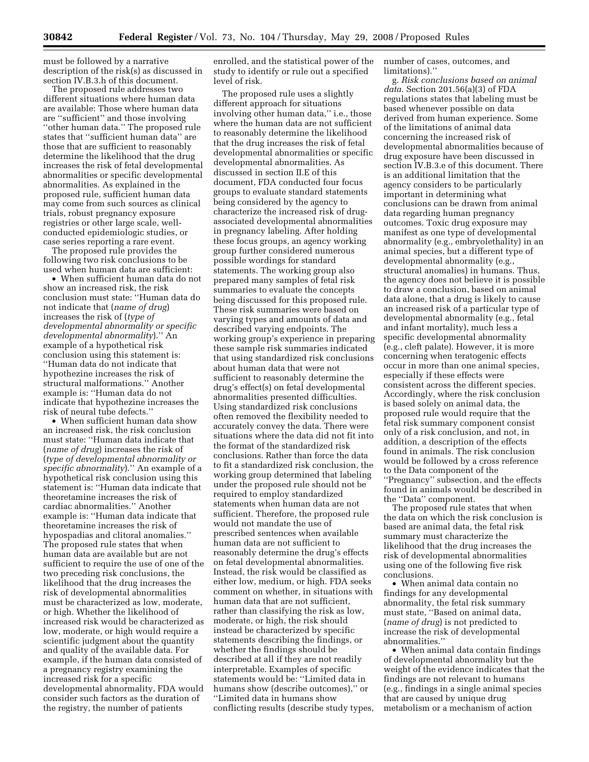must be followed by a narrative description of the risk(s) as discussed in section IV.B.3.h of this document.

The proposed rule addresses two different situations where human data are available: Those where human data are ''sufficient'' and those involving ''other human data.'' The proposed rule states that ''sufficient human data'' are those that are sufficient to reasonably determine the likelihood that the drug increases the risk of fetal developmental abnormalities or specific developmental abnormalities. As explained in the proposed rule, sufficient human data may come from such sources as clinical trials, robust pregnancy exposure registries or other large scale, wellconducted epidemiologic studies, or case series reporting a rare event.

The proposed rule provides the following two risk conclusions to be used when human data are sufficient:

• When sufficient human data do not show an increased risk, the risk conclusion must state: ''Human data do not indicate that (*name of drug*) increases the risk of (*type of developmental abnormality or specific developmental abnormality*).'' An example of a hypothetical risk conclusion using this statement is: ''Human data do not indicate that hypothezine increases the risk of structural malformations.'' Another example is: ''Human data do not indicate that hypothezine increases the risk of neural tube defects.''

• When sufficient human data show an increased risk, the risk conclusion must state: ''Human data indicate that (*name of drug*) increases the risk of (*type of developmental abnormality or specific abnormality*).'' An example of a hypothetical risk conclusion using this statement is: ''Human data indicate that theoretamine increases the risk of cardiac abnormalities.'' Another example is: ''Human data indicate that theoretamine increases the risk of hypospadias and clitoral anomalies.'' The proposed rule states that when human data are available but are not sufficient to require the use of one of the two preceding risk conclusions, the likelihood that the drug increases the risk of developmental abnormalities must be characterized as low, moderate, or high. Whether the likelihood of increased risk would be characterized as low, moderate, or high would require a scientific judgment about the quantity and quality of the available data. For example, if the human data consisted of a pregnancy registry examining the increased risk for a specific developmental abnormality, FDA would consider such factors as the duration of the registry, the number of patients

enrolled, and the statistical power of the study to identify or rule out a specified level of risk.

The proposed rule uses a slightly different approach for situations involving other human data,'' i.e., those where the human data are not sufficient to reasonably determine the likelihood that the drug increases the risk of fetal developmental abnormalities or specific developmental abnormalities. As discussed in section II.E of this document, FDA conducted four focus groups to evaluate standard statements being considered by the agency to characterize the increased risk of drugassociated developmental abnormalities in pregnancy labeling. After holding these focus groups, an agency working group further considered numerous possible wordings for standard statements. The working group also prepared many samples of fetal risk summaries to evaluate the concepts being discussed for this proposed rule. These risk summaries were based on varying types and amounts of data and described varying endpoints. The working group's experience in preparing these sample risk summaries indicated that using standardized risk conclusions about human data that were not sufficient to reasonably determine the drug's effect(s) on fetal developmental abnormalities presented difficulties. Using standardized risk conclusions often removed the flexibility needed to accurately convey the data. There were situations where the data did not fit into the format of the standardized risk conclusions. Rather than force the data to fit a standardized risk conclusion, the working group determined that labeling under the proposed rule should not be required to employ standardized statements when human data are not sufficient. Therefore, the proposed rule would not mandate the use of prescribed sentences when available human data are not sufficient to reasonably determine the drug's effects on fetal developmental abnormalities. Instead, the risk would be classified as either low, medium, or high. FDA seeks comment on whether, in situations with human data that are not sufficient, rather than classifying the risk as low, moderate, or high, the risk should instead be characterized by specific statements describing the findings, or whether the findings should be described at all if they are not readily interpretable. Examples of specific statements would be: ''Limited data in humans show (describe outcomes),'' or ''Limited data in humans show conflicting results (describe study types,

number of cases, outcomes, and limitations).''

g. *Risk conclusions based on animal data*. Section 201.56(a)(3) of FDA regulations states that labeling must be based whenever possible on data derived from human experience. Some of the limitations of animal data concerning the increased risk of developmental abnormalities because of drug exposure have been discussed in section IV.B.3.e of this document. There is an additional limitation that the agency considers to be particularly important in determining what conclusions can be drawn from animal data regarding human pregnancy outcomes. Toxic drug exposure may manifest as one type of developmental abnormality (e.g., embryolethality) in an animal species, but a different type of developmental abnormality (e.g., structural anomalies) in humans. Thus, the agency does not believe it is possible to draw a conclusion, based on animal data alone, that a drug is likely to cause an increased risk of a particular type of developmental abnormality (e.g., fetal and infant mortality), much less a specific developmental abnormality (e.g., cleft palate). However, it is more concerning when teratogenic effects occur in more than one animal species, especially if these effects were consistent across the different species. Accordingly, where the risk conclusion is based solely on animal data, the proposed rule would require that the fetal risk summary component consist only of a risk conclusion, and not, in addition, a description of the effects found in animals. The risk conclusion would be followed by a cross reference to the Data component of the ''Pregnancy'' subsection, and the effects found in animals would be described in the ''Data'' component.

The proposed rule states that when the data on which the risk conclusion is based are animal data, the fetal risk summary must characterize the likelihood that the drug increases the risk of developmental abnormalities using one of the following five risk conclusions.

• When animal data contain no findings for any developmental abnormality, the fetal risk summary must state, ''Based on animal data, (*name of drug*) is not predicted to increase the risk of developmental abnormalities.''

• When animal data contain findings of developmental abnormality but the weight of the evidence indicates that the findings are not relevant to humans (e.g., findings in a single animal species that are caused by unique drug metabolism or a mechanism of action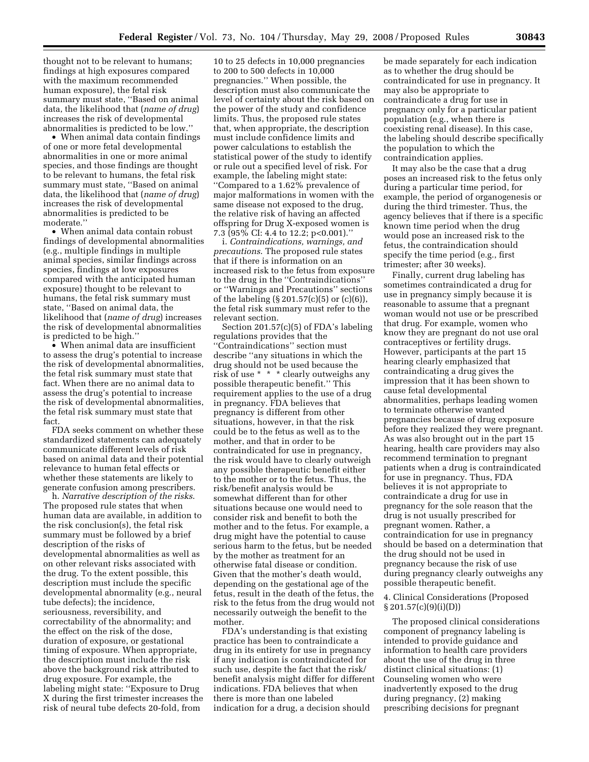thought not to be relevant to humans; findings at high exposures compared with the maximum recommended human exposure), the fetal risk summary must state, ''Based on animal data, the likelihood that (*name of drug*) increases the risk of developmental abnormalities is predicted to be low.''

• When animal data contain findings of one or more fetal developmental abnormalities in one or more animal species, and those findings are thought to be relevant to humans, the fetal risk summary must state, ''Based on animal data, the likelihood that (*name of drug*) increases the risk of developmental abnormalities is predicted to be moderate.''

• When animal data contain robust findings of developmental abnormalities (e.g., multiple findings in multiple animal species, similar findings across species, findings at low exposures compared with the anticipated human exposure) thought to be relevant to humans, the fetal risk summary must state, ''Based on animal data, the likelihood that (*name of drug*) increases the risk of developmental abnormalities is predicted to be high.''

• When animal data are insufficient to assess the drug's potential to increase the risk of developmental abnormalities, the fetal risk summary must state that fact. When there are no animal data to assess the drug's potential to increase the risk of developmental abnormalities, the fetal risk summary must state that fact.

FDA seeks comment on whether these standardized statements can adequately communicate different levels of risk based on animal data and their potential relevance to human fetal effects or whether these statements are likely to generate confusion among prescribers.

h. *Narrative description of the risks*. The proposed rule states that when human data are available, in addition to the risk conclusion(s), the fetal risk summary must be followed by a brief description of the risks of developmental abnormalities as well as on other relevant risks associated with the drug. To the extent possible, this description must include the specific developmental abnormality (e.g., neural tube defects); the incidence, seriousness, reversibility, and correctability of the abnormality; and the effect on the risk of the dose, duration of exposure, or gestational timing of exposure. When appropriate, the description must include the risk above the background risk attributed to drug exposure. For example, the labeling might state: ''Exposure to Drug X during the first trimester increases the risk of neural tube defects 20-fold, from

10 to 25 defects in 10,000 pregnancies to 200 to 500 defects in 10,000 pregnancies.'' When possible, the description must also communicate the level of certainty about the risk based on the power of the study and confidence limits. Thus, the proposed rule states that, when appropriate, the description must include confidence limits and power calculations to establish the statistical power of the study to identify or rule out a specified level of risk. For example, the labeling might state: ''Compared to a 1.62% prevalence of major malformations in women with the same disease not exposed to the drug, the relative risk of having an affected offspring for Drug X-exposed women is 7.3 (95% CI: 4.4 to 12.2; p<0.001).''

i. *Contraindications, warnings, and precautions*. The proposed rule states that if there is information on an increased risk to the fetus from exposure to the drug in the ''Contraindications'' or ''Warnings and Precautions'' sections of the labeling (§ 201.57(c)(5) or (c)(6)), the fetal risk summary must refer to the relevant section.

Section 201.57(c)(5) of FDA's labeling regulations provides that the ''Contraindications'' section must describe ''any situations in which the drug should not be used because the risk of use \* \* \* clearly outweighs any possible therapeutic benefit.'' This requirement applies to the use of a drug in pregnancy. FDA believes that pregnancy is different from other situations, however, in that the risk could be to the fetus as well as to the mother, and that in order to be contraindicated for use in pregnancy, the risk would have to clearly outweigh any possible therapeutic benefit either to the mother or to the fetus. Thus, the risk/benefit analysis would be somewhat different than for other situations because one would need to consider risk and benefit to both the mother and to the fetus. For example, a drug might have the potential to cause serious harm to the fetus, but be needed by the mother as treatment for an otherwise fatal disease or condition. Given that the mother's death would, depending on the gestational age of the fetus, result in the death of the fetus, the risk to the fetus from the drug would not necessarily outweigh the benefit to the mother.

FDA's understanding is that existing practice has been to contraindicate a drug in its entirety for use in pregnancy if any indication is contraindicated for such use, despite the fact that the risk/ benefit analysis might differ for different indications. FDA believes that when there is more than one labeled indication for a drug, a decision should

be made separately for each indication as to whether the drug should be contraindicated for use in pregnancy. It may also be appropriate to contraindicate a drug for use in pregnancy only for a particular patient population (e.g., when there is coexisting renal disease). In this case, the labeling should describe specifically the population to which the contraindication applies.

It may also be the case that a drug poses an increased risk to the fetus only during a particular time period, for example, the period of organogenesis or during the third trimester. Thus, the agency believes that if there is a specific known time period when the drug would pose an increased risk to the fetus, the contraindication should specify the time period (e.g., first trimester; after 30 weeks).

Finally, current drug labeling has sometimes contraindicated a drug for use in pregnancy simply because it is reasonable to assume that a pregnant woman would not use or be prescribed that drug. For example, women who know they are pregnant do not use oral contraceptives or fertility drugs. However, participants at the part 15 hearing clearly emphasized that contraindicating a drug gives the impression that it has been shown to cause fetal developmental abnormalities, perhaps leading women to terminate otherwise wanted pregnancies because of drug exposure before they realized they were pregnant. As was also brought out in the part 15 hearing, health care providers may also recommend termination to pregnant patients when a drug is contraindicated for use in pregnancy. Thus, FDA believes it is not appropriate to contraindicate a drug for use in pregnancy for the sole reason that the drug is not usually prescribed for pregnant women. Rather, a contraindication for use in pregnancy should be based on a determination that the drug should not be used in pregnancy because the risk of use during pregnancy clearly outweighs any possible therapeutic benefit.

4. Clinical Considerations (Proposed  $§ 201.57(c)(9)(i)(D))$ 

The proposed clinical considerations component of pregnancy labeling is intended to provide guidance and information to health care providers about the use of the drug in three distinct clinical situations: (1) Counseling women who were inadvertently exposed to the drug during pregnancy, (2) making prescribing decisions for pregnant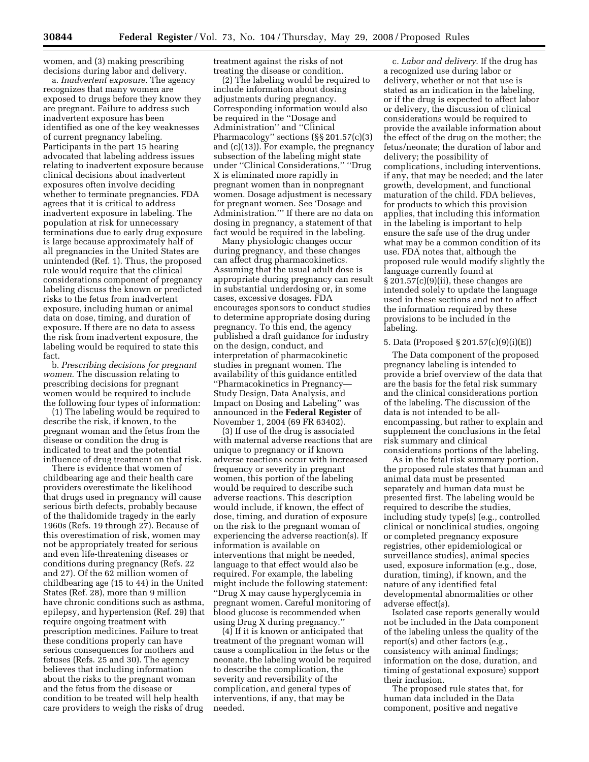women, and (3) making prescribing decisions during labor and delivery.

a. *Inadvertent exposure*. The agency recognizes that many women are exposed to drugs before they know they are pregnant. Failure to address such inadvertent exposure has been identified as one of the key weaknesses of current pregnancy labeling. Participants in the part 15 hearing advocated that labeling address issues relating to inadvertent exposure because clinical decisions about inadvertent exposures often involve deciding whether to terminate pregnancies. FDA agrees that it is critical to address inadvertent exposure in labeling. The population at risk for unnecessary terminations due to early drug exposure is large because approximately half of all pregnancies in the United States are unintended (Ref. 1). Thus, the proposed rule would require that the clinical considerations component of pregnancy labeling discuss the known or predicted risks to the fetus from inadvertent exposure, including human or animal data on dose, timing, and duration of exposure. If there are no data to assess the risk from inadvertent exposure, the labeling would be required to state this fact.

b. *Prescribing decisions for pregnant women*. The discussion relating to prescribing decisions for pregnant women would be required to include the following four types of information:

(1) The labeling would be required to describe the risk, if known, to the pregnant woman and the fetus from the disease or condition the drug is indicated to treat and the potential influence of drug treatment on that risk.

There is evidence that women of childbearing age and their health care providers overestimate the likelihood that drugs used in pregnancy will cause serious birth defects, probably because of the thalidomide tragedy in the early 1960s (Refs. 19 through 27). Because of this overestimation of risk, women may not be appropriately treated for serious and even life-threatening diseases or conditions during pregnancy (Refs. 22 and 27). Of the 62 million women of childbearing age (15 to 44) in the United States (Ref. 28), more than 9 million have chronic conditions such as asthma, epilepsy, and hypertension (Ref. 29) that require ongoing treatment with prescription medicines. Failure to treat these conditions properly can have serious consequences for mothers and fetuses (Refs. 25 and 30). The agency believes that including information about the risks to the pregnant woman and the fetus from the disease or condition to be treated will help health care providers to weigh the risks of drug

treatment against the risks of not treating the disease or condition.

(2) The labeling would be required to include information about dosing adjustments during pregnancy. Corresponding information would also be required in the ''Dosage and Administration'' and ''Clinical Pharmacology'' sections (§§ 201.57(c)(3) and (c)(13)). For example, the pregnancy subsection of the labeling might state under ''Clinical Considerations,'' ''Drug X is eliminated more rapidly in pregnant women than in nonpregnant women. Dosage adjustment is necessary for pregnant women. See 'Dosage and Administration.''' If there are no data on dosing in pregnancy, a statement of that fact would be required in the labeling.

Many physiologic changes occur during pregnancy, and these changes can affect drug pharmacokinetics. Assuming that the usual adult dose is appropriate during pregnancy can result in substantial underdosing or, in some cases, excessive dosages. FDA encourages sponsors to conduct studies to determine appropriate dosing during pregnancy. To this end, the agency published a draft guidance for industry on the design, conduct, and interpretation of pharmacokinetic studies in pregnant women. The availability of this guidance entitled ''Pharmacokinetics in Pregnancy— Study Design, Data Analysis, and Impact on Dosing and Labeling'' was announced in the **Federal Register** of November 1, 2004 (69 FR 63402).

(3) If use of the drug is associated with maternal adverse reactions that are unique to pregnancy or if known adverse reactions occur with increased frequency or severity in pregnant women, this portion of the labeling would be required to describe such adverse reactions. This description would include, if known, the effect of dose, timing, and duration of exposure on the risk to the pregnant woman of experiencing the adverse reaction(s). If information is available on interventions that might be needed, language to that effect would also be required. For example, the labeling might include the following statement: ''Drug X may cause hyperglycemia in pregnant women. Careful monitoring of blood glucose is recommended when using Drug X during pregnancy.''

(4) If it is known or anticipated that treatment of the pregnant woman will cause a complication in the fetus or the neonate, the labeling would be required to describe the complication, the severity and reversibility of the complication, and general types of interventions, if any, that may be needed.

c. *Labor and delivery*. If the drug has a recognized use during labor or delivery, whether or not that use is stated as an indication in the labeling, or if the drug is expected to affect labor or delivery, the discussion of clinical considerations would be required to provide the available information about the effect of the drug on the mother; the fetus/neonate; the duration of labor and delivery; the possibility of complications, including interventions, if any, that may be needed; and the later growth, development, and functional maturation of the child. FDA believes, for products to which this provision applies, that including this information in the labeling is important to help ensure the safe use of the drug under what may be a common condition of its use. FDA notes that, although the proposed rule would modify slightly the language currently found at  $\S 201.57(c)(9)(ii)$ , these changes are intended solely to update the language used in these sections and not to affect the information required by these provisions to be included in the labeling.

#### 5. Data (Proposed § 201.57(c)(9)(i)(E))

The Data component of the proposed pregnancy labeling is intended to provide a brief overview of the data that are the basis for the fetal risk summary and the clinical considerations portion of the labeling. The discussion of the data is not intended to be allencompassing, but rather to explain and supplement the conclusions in the fetal risk summary and clinical considerations portions of the labeling.

As in the fetal risk summary portion, the proposed rule states that human and animal data must be presented separately and human data must be presented first. The labeling would be required to describe the studies, including study type(s) (e.g., controlled clinical or nonclinical studies, ongoing or completed pregnancy exposure registries, other epidemiological or surveillance studies), animal species used, exposure information (e.g., dose, duration, timing), if known, and the nature of any identified fetal developmental abnormalities or other adverse effect(s).

Isolated case reports generally would not be included in the Data component of the labeling unless the quality of the report(s) and other factors (e.g., consistency with animal findings; information on the dose, duration, and timing of gestational exposure) support their inclusion.

The proposed rule states that, for human data included in the Data component, positive and negative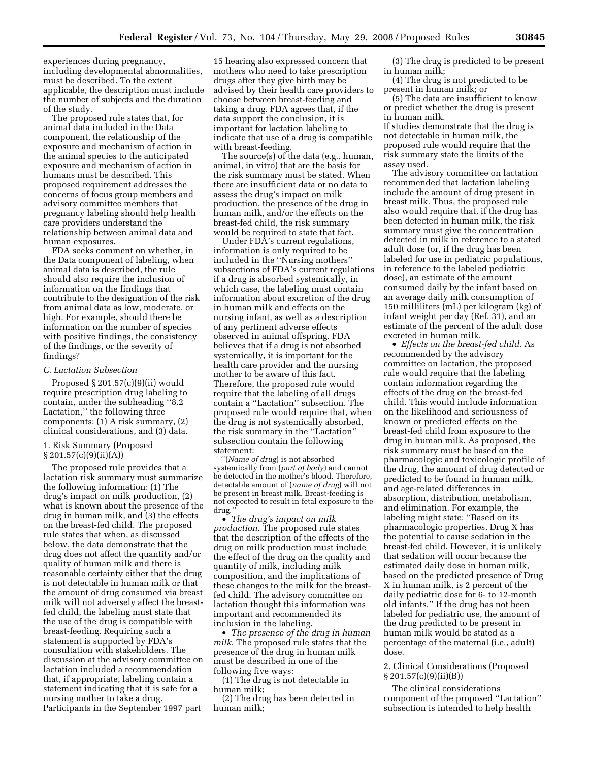experiences during pregnancy, including developmental abnormalities, must be described. To the extent applicable, the description must include the number of subjects and the duration of the study.

The proposed rule states that, for animal data included in the Data component, the relationship of the exposure and mechanism of action in the animal species to the anticipated exposure and mechanism of action in humans must be described. This proposed requirement addresses the concerns of focus group members and advisory committee members that pregnancy labeling should help health care providers understand the relationship between animal data and human exposures.

FDA seeks comment on whether, in the Data component of labeling, when animal data is described, the rule should also require the inclusion of information on the findings that contribute to the designation of the risk from animal data as low, moderate, or high. For example, should there be information on the number of species with positive findings, the consistency of the findings, or the severity of findings?

#### *C. Lactation Subsection*

Proposed  $\S 201.57(c)(9)(ii)$  would require prescription drug labeling to contain, under the subheading ''8.2 Lactation,'' the following three components: (1) A risk summary, (2) clinical considerations, and (3) data.

# 1. Risk Summary (Proposed  $§ 201.57(c)(9)(ii)(A))$

The proposed rule provides that a lactation risk summary must summarize the following information: (1) The drug's impact on milk production, (2) what is known about the presence of the drug in human milk, and (3) the effects on the breast-fed child. The proposed rule states that when, as discussed below, the data demonstrate that the drug does not affect the quantity and/or quality of human milk and there is reasonable certainty either that the drug is not detectable in human milk or that the amount of drug consumed via breast milk will not adversely affect the breastfed child, the labeling must state that the use of the drug is compatible with breast-feeding. Requiring such a statement is supported by FDA's consultation with stakeholders. The discussion at the advisory committee on lactation included a recommendation that, if appropriate, labeling contain a statement indicating that it is safe for a nursing mother to take a drug. Participants in the September 1997 part

15 hearing also expressed concern that mothers who need to take prescription drugs after they give birth may be advised by their health care providers to choose between breast-feeding and taking a drug. FDA agrees that, if the data support the conclusion, it is important for lactation labeling to indicate that use of a drug is compatible with breast-feeding.

The source(s) of the data (e.g., human, animal, in vitro) that are the basis for the risk summary must be stated. When there are insufficient data or no data to assess the drug's impact on milk production, the presence of the drug in human milk, and/or the effects on the breast-fed child, the risk summary would be required to state that fact.

Under FDA's current regulations, information is only required to be included in the ''Nursing mothers'' subsections of FDA's current regulations if a drug is absorbed systemically, in which case, the labeling must contain information about excretion of the drug in human milk and effects on the nursing infant, as well as a description of any pertinent adverse effects observed in animal offspring. FDA believes that if a drug is not absorbed systemically, it is important for the health care provider and the nursing mother to be aware of this fact. Therefore, the proposed rule would require that the labeling of all drugs contain a ''Lactation'' subsection. The proposed rule would require that, when the drug is not systemically absorbed, the risk summary in the ''Lactation'' subsection contain the following statement:

''(*Name of drug*) is not absorbed systemically from (*part of body*) and cannot be detected in the mother's blood. Therefore, detectable amount of (*name of drug*) will not be present in breast milk. Breast-feeding is not expected to result in fetal exposure to the drug.

• *The drug's impact on milk production*. The proposed rule states that the description of the effects of the drug on milk production must include the effect of the drug on the quality and quantity of milk, including milk composition, and the implications of these changes to the milk for the breastfed child. The advisory committee on lactation thought this information was important and recommended its inclusion in the labeling.

• *The presence of the drug in human milk*. The proposed rule states that the presence of the drug in human milk must be described in one of the following five ways:

(1) The drug is not detectable in human milk;

(2) The drug has been detected in human milk;

(3) The drug is predicted to be present in human milk;

(4) The drug is not predicted to be present in human milk; or

(5) The data are insufficient to know or predict whether the drug is present in human milk.

If studies demonstrate that the drug is not detectable in human milk, the proposed rule would require that the risk summary state the limits of the assay used.

The advisory committee on lactation recommended that lactation labeling include the amount of drug present in breast milk. Thus, the proposed rule also would require that, if the drug has been detected in human milk, the risk summary must give the concentration detected in milk in reference to a stated adult dose (or, if the drug has been labeled for use in pediatric populations, in reference to the labeled pediatric dose), an estimate of the amount consumed daily by the infant based on an average daily milk consumption of 150 milliliters (mL) per kilogram (kg) of infant weight per day (Ref. 31), and an estimate of the percent of the adult dose excreted in human milk.

• *Effects on the breast-fed child*. As recommended by the advisory committee on lactation, the proposed rule would require that the labeling contain information regarding the effects of the drug on the breast-fed child. This would include information on the likelihood and seriousness of known or predicted effects on the breast-fed child from exposure to the drug in human milk. As proposed, the risk summary must be based on the pharmacologic and toxicologic profile of the drug, the amount of drug detected or predicted to be found in human milk, and age-related differences in absorption, distribution, metabolism, and elimination. For example, the labeling might state: ''Based on its pharmacologic properties, Drug X has the potential to cause sedation in the breast-fed child. However, it is unlikely that sedation will occur because the estimated daily dose in human milk, based on the predicted presence of Drug X in human milk, is 2 percent of the daily pediatric dose for 6- to 12-month old infants.'' If the drug has not been labeled for pediatric use, the amount of the drug predicted to be present in human milk would be stated as a percentage of the maternal (i.e., adult) dose.

# 2. Clinical Considerations (Proposed § 201.57(c)(9)(ii)(B))

The clinical considerations component of the proposed ''Lactation'' subsection is intended to help health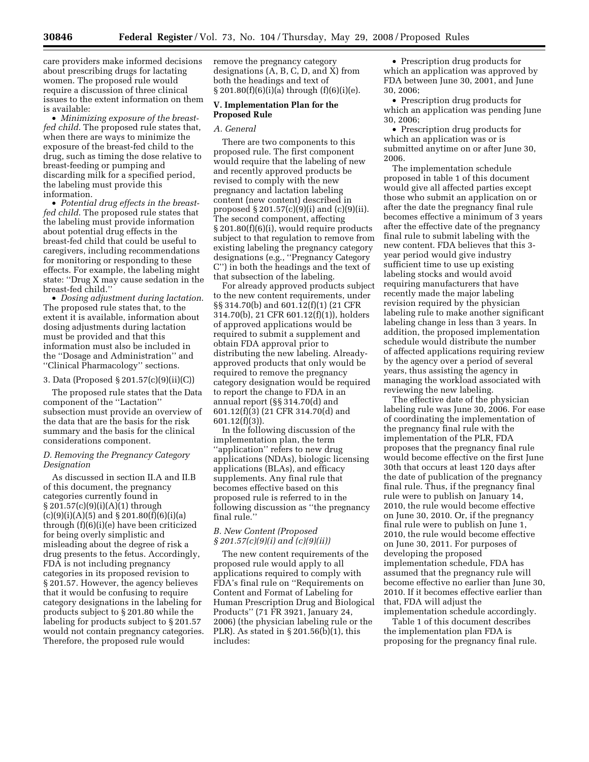care providers make informed decisions about prescribing drugs for lactating women. The proposed rule would require a discussion of three clinical issues to the extent information on them is available:

• *Minimizing exposure of the breastfed child*. The proposed rule states that, when there are ways to minimize the exposure of the breast-fed child to the drug, such as timing the dose relative to breast-feeding or pumping and discarding milk for a specified period, the labeling must provide this information.

• *Potential drug effects in the breastfed child*. The proposed rule states that the labeling must provide information about potential drug effects in the breast-fed child that could be useful to caregivers, including recommendations for monitoring or responding to these effects. For example, the labeling might state: ''Drug X may cause sedation in the breast-fed child.''

• *Dosing adjustment during lactation*. The proposed rule states that, to the extent it is available, information about dosing adjustments during lactation must be provided and that this information must also be included in the ''Dosage and Administration'' and ''Clinical Pharmacology'' sections.

#### 3. Data (Proposed § 201.57(c)(9)(ii)(C))

The proposed rule states that the Data component of the ''Lactation'' subsection must provide an overview of the data that are the basis for the risk summary and the basis for the clinical considerations component.

# *D. Removing the Pregnancy Category Designation*

As discussed in section II.A and II.B of this document, the pregnancy categories currently found in § 201.57(c)(9)(i)(A)(1) through  $(c)(9)(i)(A)(5)$  and § 201.80 $(f)(6)(i)(a)$ through (f)(6)(i)(e) have been criticized for being overly simplistic and misleading about the degree of risk a drug presents to the fetus. Accordingly, FDA is not including pregnancy categories in its proposed revision to § 201.57. However, the agency believes that it would be confusing to require category designations in the labeling for products subject to § 201.80 while the labeling for products subject to § 201.57 would not contain pregnancy categories. Therefore, the proposed rule would

remove the pregnancy category designations (A, B, C, D, and X) from both the headings and text of § 201.80(f)(6)(i)(a) through (f)(6)(i)(e).

# **V. Implementation Plan for the Proposed Rule**

#### *A. General*

There are two components to this proposed rule. The first component would require that the labeling of new and recently approved products be revised to comply with the new pregnancy and lactation labeling content (new content) described in proposed § 201.57(c)(9)(i) and (c)(9)(ii). The second component, affecting § 201.80(f)(6)(i), would require products subject to that regulation to remove from existing labeling the pregnancy category designations (e.g., ''Pregnancy Category C'') in both the headings and the text of that subsection of the labeling.

For already approved products subject to the new content requirements, under §§ 314.70(b) and 601.12(f)(1) (21 CFR 314.70(b), 21 CFR 601.12(f)(1)), holders of approved applications would be required to submit a supplement and obtain FDA approval prior to distributing the new labeling. Alreadyapproved products that only would be required to remove the pregnancy category designation would be required to report the change to FDA in an annual report (§§ 314.70(d) and 601.12(f)(3) (21 CFR 314.70(d) and  $601.12(f)(3)$ ).

In the following discussion of the implementation plan, the term ''application'' refers to new drug applications (NDAs), biologic licensing applications (BLAs), and efficacy supplements. Any final rule that becomes effective based on this proposed rule is referred to in the following discussion as ''the pregnancy final rule.''

# *B. New Content (Proposed § 201.57(c)(9)(i) and (c)(9)(ii))*

The new content requirements of the proposed rule would apply to all applications required to comply with FDA's final rule on ''Requirements on Content and Format of Labeling for Human Prescription Drug and Biological Products'' (71 FR 3921, January 24, 2006) (the physician labeling rule or the PLR). As stated in § 201.56(b)(1), this includes:

• Prescription drug products for which an application was approved by FDA between June 30, 2001, and June 30, 2006;

• Prescription drug products for which an application was pending June 30, 2006;

• Prescription drug products for which an application was or is submitted anytime on or after June 30, 2006.

The implementation schedule proposed in table 1 of this document would give all affected parties except those who submit an application on or after the date the pregnancy final rule becomes effective a minimum of 3 years after the effective date of the pregnancy final rule to submit labeling with the new content. FDA believes that this 3 year period would give industry sufficient time to use up existing labeling stocks and would avoid requiring manufacturers that have recently made the major labeling revision required by the physician labeling rule to make another significant labeling change in less than 3 years. In addition, the proposed implementation schedule would distribute the number of affected applications requiring review by the agency over a period of several years, thus assisting the agency in managing the workload associated with reviewing the new labeling.

The effective date of the physician labeling rule was June 30, 2006. For ease of coordinating the implementation of the pregnancy final rule with the implementation of the PLR, FDA proposes that the pregnancy final rule would become effective on the first June 30th that occurs at least 120 days after the date of publication of the pregnancy final rule. Thus, if the pregnancy final rule were to publish on January 14, 2010, the rule would become effective on June 30, 2010. Or, if the pregnancy final rule were to publish on June 1, 2010, the rule would become effective on June 30, 2011. For purposes of developing the proposed implementation schedule, FDA has assumed that the pregnancy rule will become effective no earlier than June 30, 2010. If it becomes effective earlier than that, FDA will adjust the implementation schedule accordingly.

Table 1 of this document describes the implementation plan FDA is proposing for the pregnancy final rule.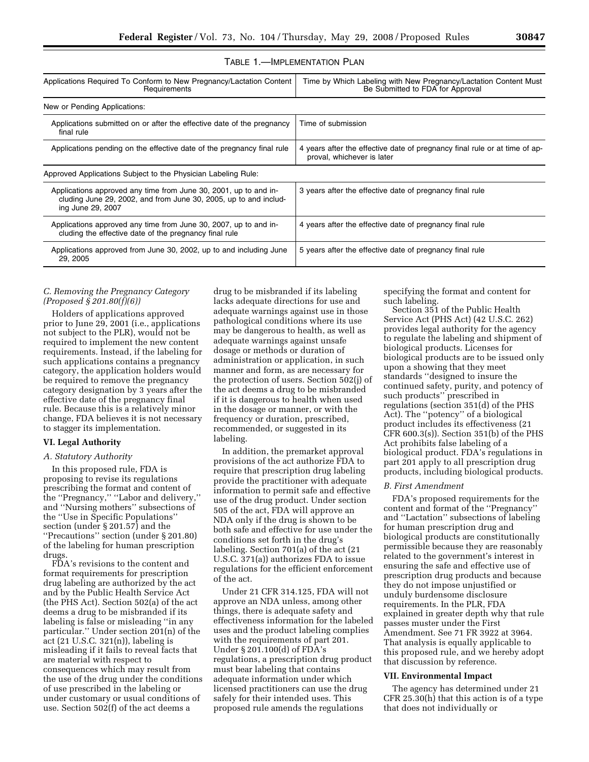| Applications Required To Conform to New Pregnancy/Lactation Content<br>Requirements                                                                       | Time by Which Labeling with New Pregnancy/Lactation Content Must<br>Be Submitted to FDA for Approval     |
|-----------------------------------------------------------------------------------------------------------------------------------------------------------|----------------------------------------------------------------------------------------------------------|
| New or Pending Applications:                                                                                                                              |                                                                                                          |
| Applications submitted on or after the effective date of the pregnancy<br>final rule                                                                      | Time of submission.                                                                                      |
| Applications pending on the effective date of the pregnancy final rule                                                                                    | 4 years after the effective date of pregnancy final rule or at time of ap-<br>proval, whichever is later |
| Approved Applications Subject to the Physician Labeling Rule:                                                                                             |                                                                                                          |
| Applications approved any time from June 30, 2001, up to and in-<br>cluding June 29, 2002, and from June 30, 2005, up to and includ-<br>ing June 29, 2007 | 3 years after the effective date of pregnancy final rule                                                 |
| Applications approved any time from June 30, 2007, up to and in-<br>cluding the effective date of the pregnancy final rule                                | 4 years after the effective date of pregnancy final rule                                                 |
| Applications approved from June 30, 2002, up to and including June<br>29, 2005                                                                            | 5 years after the effective date of pregnancy final rule                                                 |
|                                                                                                                                                           |                                                                                                          |

# TABLE 1.—IMPLEMENTATION PLAN

# *C. Removing the Pregnancy Category (Proposed § 201.80(f)(6))*

Holders of applications approved prior to June 29, 2001 (i.e., applications not subject to the PLR), would not be required to implement the new content requirements. Instead, if the labeling for such applications contains a pregnancy category, the application holders would be required to remove the pregnancy category designation by 3 years after the effective date of the pregnancy final rule. Because this is a relatively minor change, FDA believes it is not necessary to stagger its implementation.

# **VI. Legal Authority**

# *A. Statutory Authority*

In this proposed rule, FDA is proposing to revise its regulations prescribing the format and content of the ''Pregnancy,'' ''Labor and delivery,'' and ''Nursing mothers'' subsections of the ''Use in Specific Populations'' section (under § 201.57) and the ''Precautions'' section (under § 201.80) of the labeling for human prescription drugs.

FDA's revisions to the content and format requirements for prescription drug labeling are authorized by the act and by the Public Health Service Act (the PHS Act). Section 502(a) of the act deems a drug to be misbranded if its labeling is false or misleading ''in any particular.'' Under section 201(n) of the act (21 U.S.C. 321(n)), labeling is misleading if it fails to reveal facts that are material with respect to consequences which may result from the use of the drug under the conditions of use prescribed in the labeling or under customary or usual conditions of use. Section 502(f) of the act deems a

drug to be misbranded if its labeling lacks adequate directions for use and adequate warnings against use in those pathological conditions where its use may be dangerous to health, as well as adequate warnings against unsafe dosage or methods or duration of administration or application, in such manner and form, as are necessary for the protection of users. Section 502(j) of the act deems a drug to be misbranded if it is dangerous to health when used in the dosage or manner, or with the frequency or duration, prescribed, recommended, or suggested in its labeling.

In addition, the premarket approval provisions of the act authorize FDA to require that prescription drug labeling provide the practitioner with adequate information to permit safe and effective use of the drug product. Under section 505 of the act, FDA will approve an NDA only if the drug is shown to be both safe and effective for use under the conditions set forth in the drug's labeling. Section 701(a) of the act (21 U.S.C. 371(a)) authorizes FDA to issue regulations for the efficient enforcement of the act.

Under 21 CFR 314.125, FDA will not approve an NDA unless, among other things, there is adequate safety and effectiveness information for the labeled uses and the product labeling complies with the requirements of part 201. Under § 201.100(d) of FDA's regulations, a prescription drug product must bear labeling that contains adequate information under which licensed practitioners can use the drug safely for their intended uses. This proposed rule amends the regulations

specifying the format and content for such labeling.

Section 351 of the Public Health Service Act (PHS Act) (42 U.S.C. 262) provides legal authority for the agency to regulate the labeling and shipment of biological products. Licenses for biological products are to be issued only upon a showing that they meet standards ''designed to insure the continued safety, purity, and potency of such products'' prescribed in regulations (section 351(d) of the PHS Act). The ''potency'' of a biological product includes its effectiveness (21 CFR 600.3(s)). Section 351(b) of the PHS Act prohibits false labeling of a biological product. FDA's regulations in part 201 apply to all prescription drug products, including biological products.

## *B. First Amendment*

FDA's proposed requirements for the content and format of the ''Pregnancy'' and ''Lactation'' subsections of labeling for human prescription drug and biological products are constitutionally permissible because they are reasonably related to the government's interest in ensuring the safe and effective use of prescription drug products and because they do not impose unjustified or unduly burdensome disclosure requirements. In the PLR, FDA explained in greater depth why that rule passes muster under the First Amendment. See 71 FR 3922 at 3964. That analysis is equally applicable to this proposed rule, and we hereby adopt that discussion by reference.

#### **VII. Environmental Impact**

The agency has determined under 21 CFR 25.30(h) that this action is of a type that does not individually or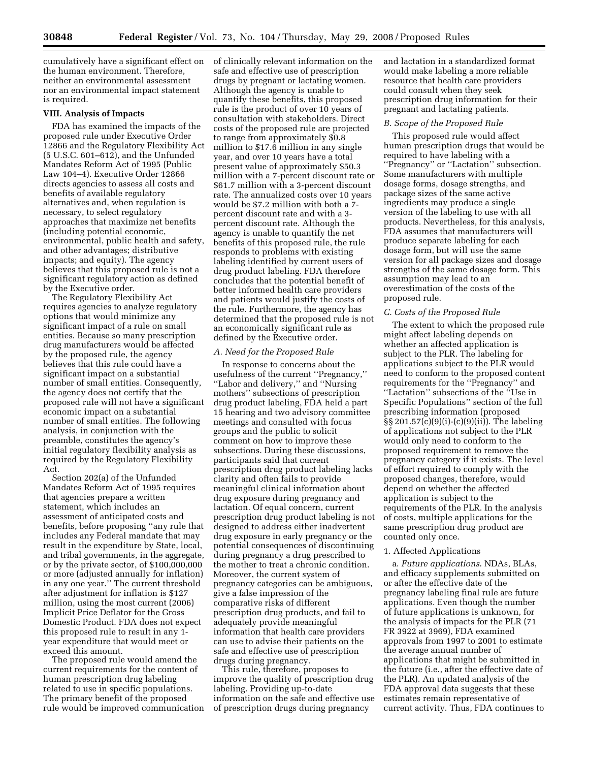cumulatively have a significant effect on the human environment. Therefore, neither an environmental assessment nor an environmental impact statement is required.

# **VIII. Analysis of Impacts**

FDA has examined the impacts of the proposed rule under Executive Order 12866 and the Regulatory Flexibility Act (5 U.S.C. 601–612), and the Unfunded Mandates Reform Act of 1995 (Public Law 104–4). Executive Order 12866 directs agencies to assess all costs and benefits of available regulatory alternatives and, when regulation is necessary, to select regulatory approaches that maximize net benefits (including potential economic, environmental, public health and safety, and other advantages; distributive impacts; and equity). The agency believes that this proposed rule is not a significant regulatory action as defined by the Executive order.

The Regulatory Flexibility Act requires agencies to analyze regulatory options that would minimize any significant impact of a rule on small entities. Because so many prescription drug manufacturers would be affected by the proposed rule, the agency believes that this rule could have a significant impact on a substantial number of small entities. Consequently, the agency does not certify that the proposed rule will not have a significant economic impact on a substantial number of small entities. The following analysis, in conjunction with the preamble, constitutes the agency's initial regulatory flexibility analysis as required by the Regulatory Flexibility Act.

Section 202(a) of the Unfunded Mandates Reform Act of 1995 requires that agencies prepare a written statement, which includes an assessment of anticipated costs and benefits, before proposing ''any rule that includes any Federal mandate that may result in the expenditure by State, local, and tribal governments, in the aggregate, or by the private sector, of \$100,000,000 or more (adjusted annually for inflation) in any one year.'' The current threshold after adjustment for inflation is \$127 million, using the most current (2006) Implicit Price Deflator for the Gross Domestic Product. FDA does not expect this proposed rule to result in any 1 year expenditure that would meet or exceed this amount.

The proposed rule would amend the current requirements for the content of human prescription drug labeling related to use in specific populations. The primary benefit of the proposed rule would be improved communication of clinically relevant information on the safe and effective use of prescription drugs by pregnant or lactating women. Although the agency is unable to quantify these benefits, this proposed rule is the product of over 10 years of consultation with stakeholders. Direct costs of the proposed rule are projected to range from approximately \$0.8 million to \$17.6 million in any single year, and over 10 years have a total present value of approximately \$50.3 million with a 7-percent discount rate or \$61.7 million with a 3-percent discount rate. The annualized costs over 10 years would be \$7.2 million with both a 7 percent discount rate and with a 3 percent discount rate. Although the agency is unable to quantify the net benefits of this proposed rule, the rule responds to problems with existing labeling identified by current users of drug product labeling. FDA therefore concludes that the potential benefit of better informed health care providers and patients would justify the costs of the rule. Furthermore, the agency has determined that the proposed rule is not an economically significant rule as defined by the Executive order.

#### *A. Need for the Proposed Rule*

In response to concerns about the usefulness of the current ''Pregnancy,'' ''Labor and delivery,'' and ''Nursing mothers'' subsections of prescription drug product labeling, FDA held a part 15 hearing and two advisory committee meetings and consulted with focus groups and the public to solicit comment on how to improve these subsections. During these discussions, participants said that current prescription drug product labeling lacks clarity and often fails to provide meaningful clinical information about drug exposure during pregnancy and lactation. Of equal concern, current prescription drug product labeling is not designed to address either inadvertent drug exposure in early pregnancy or the potential consequences of discontinuing during pregnancy a drug prescribed to the mother to treat a chronic condition. Moreover, the current system of pregnancy categories can be ambiguous, give a false impression of the comparative risks of different prescription drug products, and fail to adequately provide meaningful information that health care providers can use to advise their patients on the safe and effective use of prescription drugs during pregnancy.

This rule, therefore, proposes to improve the quality of prescription drug labeling. Providing up-to-date information on the safe and effective use of prescription drugs during pregnancy

and lactation in a standardized format would make labeling a more reliable resource that health care providers could consult when they seek prescription drug information for their pregnant and lactating patients.

## *B. Scope of the Proposed Rule*

This proposed rule would affect human prescription drugs that would be required to have labeling with a ''Pregnancy'' or ''Lactation'' subsection. Some manufacturers with multiple dosage forms, dosage strengths, and package sizes of the same active ingredients may produce a single version of the labeling to use with all products. Nevertheless, for this analysis, FDA assumes that manufacturers will produce separate labeling for each dosage form, but will use the same version for all package sizes and dosage strengths of the same dosage form. This assumption may lead to an overestimation of the costs of the proposed rule.

## *C. Costs of the Proposed Rule*

The extent to which the proposed rule might affect labeling depends on whether an affected application is subject to the PLR. The labeling for applications subject to the PLR would need to conform to the proposed content requirements for the ''Pregnancy'' and ''Lactation'' subsections of the ''Use in Specific Populations'' section of the full prescribing information (proposed §§ 201.57(c)(9)(i)-(c)(9)(ii)). The labeling of applications not subject to the PLR would only need to conform to the proposed requirement to remove the pregnancy category if it exists. The level of effort required to comply with the proposed changes, therefore, would depend on whether the affected application is subject to the requirements of the PLR. In the analysis of costs, multiple applications for the same prescription drug product are counted only once.

#### 1. Affected Applications

a. *Future applications*. NDAs, BLAs, and efficacy supplements submitted on or after the effective date of the pregnancy labeling final rule are future applications. Even though the number of future applications is unknown, for the analysis of impacts for the PLR (71 FR 3922 at 3969), FDA examined approvals from 1997 to 2001 to estimate the average annual number of applications that might be submitted in the future (i.e., after the effective date of the PLR). An updated analysis of the FDA approval data suggests that these estimates remain representative of current activity. Thus, FDA continues to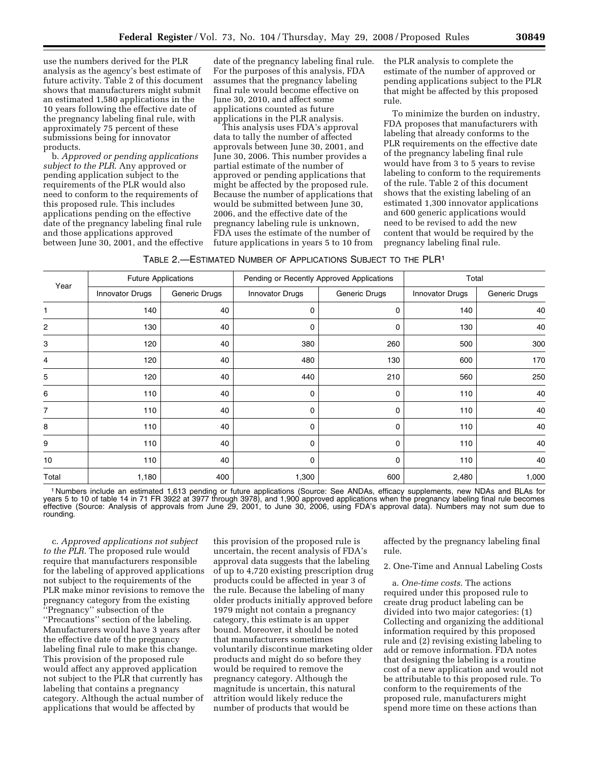use the numbers derived for the PLR analysis as the agency's best estimate of future activity. Table 2 of this document shows that manufacturers might submit an estimated 1,580 applications in the 10 years following the effective date of the pregnancy labeling final rule, with approximately 75 percent of these submissions being for innovator products.

b. *Approved or pending applications subject to the PLR*. Any approved or pending application subject to the requirements of the PLR would also need to conform to the requirements of this proposed rule. This includes applications pending on the effective date of the pregnancy labeling final rule and those applications approved between June 30, 2001, and the effective

date of the pregnancy labeling final rule. For the purposes of this analysis, FDA assumes that the pregnancy labeling final rule would become effective on June 30, 2010, and affect some applications counted as future applications in the PLR analysis.

This analysis uses FDA's approval data to tally the number of affected approvals between June 30, 2001, and June 30, 2006. This number provides a partial estimate of the number of approved or pending applications that might be affected by the proposed rule. Because the number of applications that would be submitted between June 30, 2006, and the effective date of the pregnancy labeling rule is unknown, FDA uses the estimate of the number of future applications in years 5 to 10 from

the PLR analysis to complete the estimate of the number of approved or pending applications subject to the PLR that might be affected by this proposed rule.

To minimize the burden on industry, FDA proposes that manufacturers with labeling that already conforms to the PLR requirements on the effective date of the pregnancy labeling final rule would have from 3 to 5 years to revise labeling to conform to the requirements of the rule. Table 2 of this document shows that the existing labeling of an estimated 1,300 innovator applications and 600 generic applications would need to be revised to add the new content that would be required by the pregnancy labeling final rule.

| Table 2.—Estimated Number of Applications Subject to the $\mathsf{PLR}^\mathsf{1}$ |  |  |
|------------------------------------------------------------------------------------|--|--|
|------------------------------------------------------------------------------------|--|--|

| Year  | <b>Future Applications</b> |               | Pending or Recently Approved Applications |               | Total                  |               |
|-------|----------------------------|---------------|-------------------------------------------|---------------|------------------------|---------------|
|       | <b>Innovator Drugs</b>     | Generic Drugs | <b>Innovator Drugs</b>                    | Generic Drugs | <b>Innovator Drugs</b> | Generic Drugs |
|       | 140                        | 40            | 0                                         | 0             | 140                    | 40            |
| 2     | 130                        | 40            | 0                                         | 0             | 130                    | 40            |
| 3     | 120                        | 40            | 380                                       | 260           | 500                    | 300           |
| 4     | 120                        | 40            | 480                                       | 130           | 600                    | 170           |
| 5     | 120                        | 40            | 440                                       | 210           | 560                    | 250           |
| 6     | 110                        | 40            | 0                                         | 0             | 110                    | 40            |
| 7     | 110                        | 40            | 0                                         | 0             | 110                    | 40            |
| 8     | 110                        | 40            | 0                                         | 0             | 110                    | 40            |
| 9     | 110                        | 40            | 0                                         | 0             | 110                    | 40            |
| 10    | 110                        | 40            | 0                                         | 0             | 110                    | 40            |
| Total | 1,180                      | 400           | 1,300                                     | 600           | 2,480                  | 1,000         |

1 Numbers include an estimated 1,613 pending or future applications (Source: See ANDAs, efficacy supplements, new NDAs and BLAs for years 5 to 10 of table 14 in 71 FR 3922 at 3977 through 3978), and 1,900 approved applications when the pregnancy labeling final rule becomes effective (Source: Analysis of approvals from June 29, 2001, to June 30, 2006, using FDA's approval data). Numbers may not sum due to rounding.

c. *Approved applications not subject to the PLR*. The proposed rule would require that manufacturers responsible for the labeling of approved applications not subject to the requirements of the PLR make minor revisions to remove the pregnancy category from the existing ''Pregnancy'' subsection of the ''Precautions'' section of the labeling. Manufacturers would have 3 years after the effective date of the pregnancy labeling final rule to make this change. This provision of the proposed rule would affect any approved application not subject to the PLR that currently has labeling that contains a pregnancy category. Although the actual number of applications that would be affected by

this provision of the proposed rule is uncertain, the recent analysis of FDA's approval data suggests that the labeling of up to 4,720 existing prescription drug products could be affected in year 3 of the rule. Because the labeling of many older products initially approved before 1979 might not contain a pregnancy category, this estimate is an upper bound. Moreover, it should be noted that manufacturers sometimes voluntarily discontinue marketing older products and might do so before they would be required to remove the pregnancy category. Although the magnitude is uncertain, this natural attrition would likely reduce the number of products that would be

affected by the pregnancy labeling final rule.

## 2. One-Time and Annual Labeling Costs

a. *One-time costs*. The actions required under this proposed rule to create drug product labeling can be divided into two major categories: (1) Collecting and organizing the additional information required by this proposed rule and (2) revising existing labeling to add or remove information. FDA notes that designing the labeling is a routine cost of a new application and would not be attributable to this proposed rule. To conform to the requirements of the proposed rule, manufacturers might spend more time on these actions than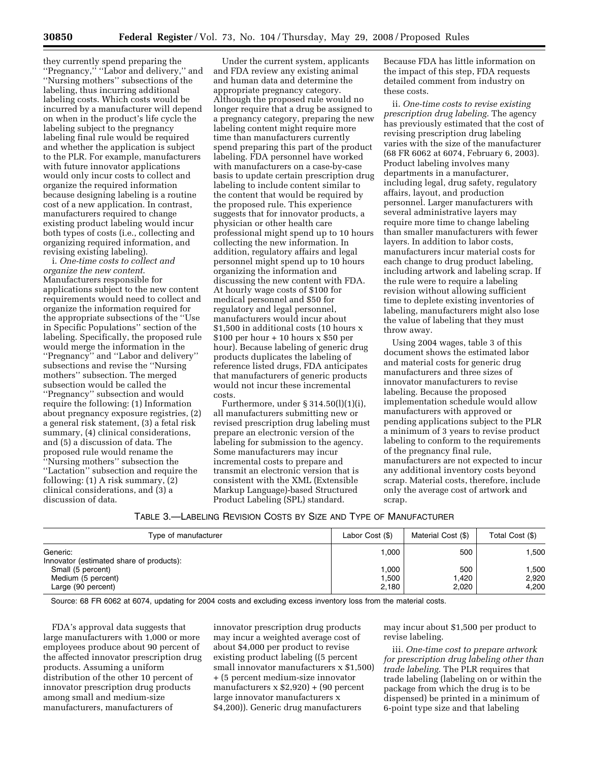they currently spend preparing the ''Pregnancy,'' ''Labor and delivery,'' and ''Nursing mothers'' subsections of the labeling, thus incurring additional labeling costs. Which costs would be incurred by a manufacturer will depend on when in the product's life cycle the labeling subject to the pregnancy labeling final rule would be required and whether the application is subject to the PLR. For example, manufacturers with future innovator applications would only incur costs to collect and organize the required information because designing labeling is a routine cost of a new application. In contrast, manufacturers required to change existing product labeling would incur both types of costs (i.e., collecting and organizing required information, and revising existing labeling).

i. *One-time costs to collect and organize the new content*. Manufacturers responsible for applications subject to the new content requirements would need to collect and organize the information required for the appropriate subsections of the ''Use in Specific Populations'' section of the labeling. Specifically, the proposed rule would merge the information in the ''Pregnancy'' and ''Labor and delivery'' subsections and revise the ''Nursing mothers'' subsection. The merged subsection would be called the ''Pregnancy'' subsection and would require the following: (1) Information about pregnancy exposure registries, (2) a general risk statement, (3) a fetal risk summary, (4) clinical considerations, and (5) a discussion of data. The proposed rule would rename the ''Nursing mothers'' subsection the ''Lactation'' subsection and require the following: (1) A risk summary, (2) clinical considerations, and (3) a discussion of data.

Under the current system, applicants and FDA review any existing animal and human data and determine the appropriate pregnancy category. Although the proposed rule would no longer require that a drug be assigned to a pregnancy category, preparing the new labeling content might require more time than manufacturers currently spend preparing this part of the product labeling. FDA personnel have worked with manufacturers on a case-by-case basis to update certain prescription drug labeling to include content similar to the content that would be required by the proposed rule. This experience suggests that for innovator products, a physician or other health care professional might spend up to 10 hours collecting the new information. In addition, regulatory affairs and legal personnel might spend up to 10 hours organizing the information and discussing the new content with FDA. At hourly wage costs of \$100 for medical personnel and \$50 for regulatory and legal personnel, manufacturers would incur about \$1,500 in additional costs (10 hours x \$100 per hour + 10 hours x \$50 per hour). Because labeling of generic drug products duplicates the labeling of reference listed drugs, FDA anticipates that manufacturers of generic products would not incur these incremental costs.

Furthermore, under § 314.50(l)(1)(i), all manufacturers submitting new or revised prescription drug labeling must prepare an electronic version of the labeling for submission to the agency. Some manufacturers may incur incremental costs to prepare and transmit an electronic version that is consistent with the XML (Extensible Markup Language)-based Structured Product Labeling (SPL) standard.

Because FDA has little information on the impact of this step, FDA requests detailed comment from industry on these costs.

ii. *One-time costs to revise existing prescription drug labeling*. The agency has previously estimated that the cost of revising prescription drug labeling varies with the size of the manufacturer (68 FR 6062 at 6074, February 6, 2003). Product labeling involves many departments in a manufacturer, including legal, drug safety, regulatory affairs, layout, and production personnel. Larger manufacturers with several administrative layers may require more time to change labeling than smaller manufacturers with fewer layers. In addition to labor costs, manufacturers incur material costs for each change to drug product labeling, including artwork and labeling scrap. If the rule were to require a labeling revision without allowing sufficient time to deplete existing inventories of labeling, manufacturers might also lose the value of labeling that they must throw away.

Using 2004 wages, table 3 of this document shows the estimated labor and material costs for generic drug manufacturers and three sizes of innovator manufacturers to revise labeling. Because the proposed implementation schedule would allow manufacturers with approved or pending applications subject to the PLR a minimum of 3 years to revise product labeling to conform to the requirements of the pregnancy final rule, manufacturers are not expected to incur any additional inventory costs beyond scrap. Material costs, therefore, include only the average cost of artwork and scrap.

| Type of manufacturer                     | Labor Cost (\$) | Material Cost (\$) | Total Cost (\$) |
|------------------------------------------|-----------------|--------------------|-----------------|
| Generic:                                 | .000            | 500                | 1.500           |
| Innovator (estimated share of products): |                 |                    |                 |
| Small (5 percent)                        | .000            | 500                | 1.500           |
| Medium (5 percent)                       | .500            | 1.420              | 2.920           |
| Large (90 percent)                       | 2,180           | 2,020              | 4.200           |

Source: 68 FR 6062 at 6074, updating for 2004 costs and excluding excess inventory loss from the material costs.

FDA's approval data suggests that large manufacturers with 1,000 or more employees produce about 90 percent of the affected innovator prescription drug products. Assuming a uniform distribution of the other 10 percent of innovator prescription drug products among small and medium-size manufacturers, manufacturers of

innovator prescription drug products may incur a weighted average cost of about \$4,000 per product to revise existing product labeling ((5 percent small innovator manufacturers x \$1,500) + (5 percent medium-size innovator manufacturers  $x$  \$2,920) + (90 percent large innovator manufacturers x \$4,200)). Generic drug manufacturers

may incur about \$1,500 per product to revise labeling.

iii. *One-time cost to prepare artwork for prescription drug labeling other than trade labeling*. The PLR requires that trade labeling (labeling on or within the package from which the drug is to be dispensed) be printed in a minimum of 6-point type size and that labeling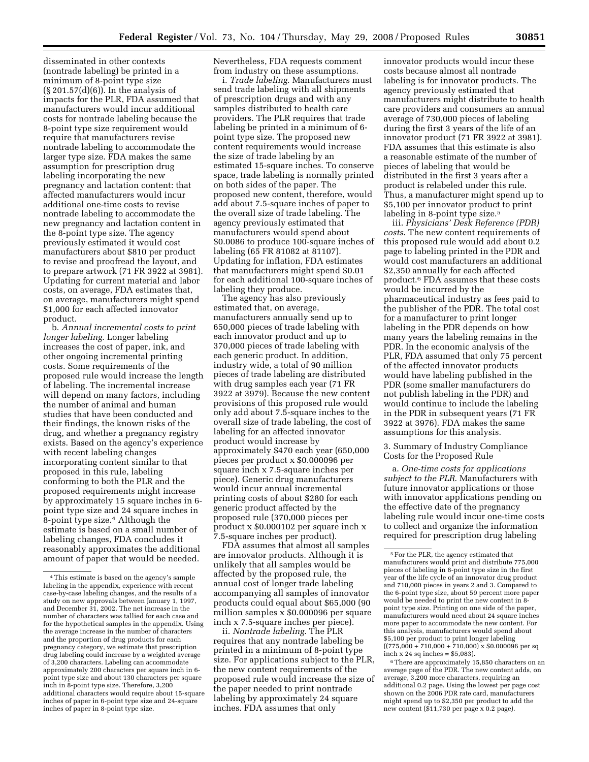disseminated in other contexts (nontrade labeling) be printed in a minimum of 8-point type size  $(\S 201.57(d)(6))$ . In the analysis of impacts for the PLR, FDA assumed that manufacturers would incur additional costs for nontrade labeling because the 8-point type size requirement would require that manufacturers revise nontrade labeling to accommodate the larger type size. FDA makes the same assumption for prescription drug labeling incorporating the new pregnancy and lactation content: that affected manufacturers would incur additional one-time costs to revise nontrade labeling to accommodate the new pregnancy and lactation content in the 8-point type size. The agency previously estimated it would cost manufacturers about \$810 per product to revise and proofread the layout, and to prepare artwork (71 FR 3922 at 3981). Updating for current material and labor costs, on average, FDA estimates that, on average, manufacturers might spend \$1,000 for each affected innovator product.

b. *Annual incremental costs to print longer labeling*. Longer labeling increases the cost of paper, ink, and other ongoing incremental printing costs. Some requirements of the proposed rule would increase the length of labeling. The incremental increase will depend on many factors, including the number of animal and human studies that have been conducted and their findings, the known risks of the drug, and whether a pregnancy registry exists. Based on the agency's experience with recent labeling changes incorporating content similar to that proposed in this rule, labeling conforming to both the PLR and the proposed requirements might increase by approximately 15 square inches in 6 point type size and 24 square inches in 8-point type size.4 Although the estimate is based on a small number of labeling changes, FDA concludes it reasonably approximates the additional amount of paper that would be needed.

Nevertheless, FDA requests comment from industry on these assumptions.

i. *Trade labeling*. Manufacturers must send trade labeling with all shipments of prescription drugs and with any samples distributed to health care providers. The PLR requires that trade labeling be printed in a minimum of 6 point type size. The proposed new content requirements would increase the size of trade labeling by an estimated 15-square inches. To conserve space, trade labeling is normally printed on both sides of the paper. The proposed new content, therefore, would add about 7.5-square inches of paper to the overall size of trade labeling. The agency previously estimated that manufacturers would spend about \$0.0086 to produce 100-square inches of labeling (65 FR 81082 at 81107). Updating for inflation, FDA estimates that manufacturers might spend \$0.01 for each additional 100-square inches of labeling they produce.

The agency has also previously estimated that, on average, manufacturers annually send up to 650,000 pieces of trade labeling with each innovator product and up to 370,000 pieces of trade labeling with each generic product. In addition, industry wide, a total of 90 million pieces of trade labeling are distributed with drug samples each year (71 FR 3922 at 3979). Because the new content provisions of this proposed rule would only add about 7.5-square inches to the overall size of trade labeling, the cost of labeling for an affected innovator product would increase by approximately \$470 each year (650,000 pieces per product x \$0.000096 per square inch x 7.5-square inches per piece). Generic drug manufacturers would incur annual incremental printing costs of about \$280 for each generic product affected by the proposed rule (370,000 pieces per product x \$0.000102 per square inch x 7.5-square inches per product).

FDA assumes that almost all samples are innovator products. Although it is unlikely that all samples would be affected by the proposed rule, the annual cost of longer trade labeling accompanying all samples of innovator products could equal about \$65,000 (90 million samples x \$0.000096 per square inch x 7.5-square inches per piece).

ii. *Nontrade labeling*. The PLR requires that any nontrade labeling be printed in a minimum of 8-point type size. For applications subject to the PLR, the new content requirements of the proposed rule would increase the size of the paper needed to print nontrade labeling by approximately 24 square inches. FDA assumes that only

innovator products would incur these costs because almost all nontrade labeling is for innovator products. The agency previously estimated that manufacturers might distribute to health care providers and consumers an annual average of 730,000 pieces of labeling during the first 3 years of the life of an innovator product (71 FR 3922 at 3981). FDA assumes that this estimate is also a reasonable estimate of the number of pieces of labeling that would be distributed in the first 3 years after a product is relabeled under this rule. Thus, a manufacturer might spend up to \$5,100 per innovator product to print labeling in 8-point type size.<sup>5</sup>

iii. *Physicians' Desk Reference (PDR) costs*. The new content requirements of this proposed rule would add about 0.2 page to labeling printed in the PDR and would cost manufacturers an additional \$2,350 annually for each affected product.6 FDA assumes that these costs would be incurred by the pharmaceutical industry as fees paid to the publisher of the PDR. The total cost for a manufacturer to print longer labeling in the PDR depends on how many years the labeling remains in the PDR. In the economic analysis of the PLR, FDA assumed that only 75 percent of the affected innovator products would have labeling published in the PDR (some smaller manufacturers do not publish labeling in the PDR) and would continue to include the labeling in the PDR in subsequent years (71 FR 3922 at 3976). FDA makes the same assumptions for this analysis.

3. Summary of Industry Compliance Costs for the Proposed Rule

a. *One-time costs for applications subject to the PLR*. Manufacturers with future innovator applications or those with innovator applications pending on the effective date of the pregnancy labeling rule would incur one-time costs to collect and organize the information required for prescription drug labeling

6There are approximately 15,850 characters on an average page of the PDR. The new content adds, on average, 3,200 more characters, requiring an additional 0.2 page. Using the lowest per page cost shown on the 2006 PDR rate card, manufacturers might spend up to \$2,350 per product to add the new content (\$11,730 per page x 0.2 page).

<sup>4</sup>This estimate is based on the agency's sample labeling in the appendix, experience with recent case-by-case labeling changes, and the results of a study on new approvals between January 1, 1997, and December 31, 2002. The net increase in the number of characters was tallied for each case and for the hypothetical samples in the appendix. Using the average increase in the number of characters and the proportion of drug products for each pregnancy category, we estimate that prescription drug labeling could increase by a weighted average of 3,200 characters. Labeling can accommodate approximately 200 characters per square inch in 6 point type size and about 130 characters per square inch in 8-point type size. Therefore, 3,200 additional characters would require about 15-square inches of paper in 6-point type size and 24-square inches of paper in 8-point type size.

<sup>5</sup>For the PLR, the agency estimated that manufacturers would print and distribute 775,000 pieces of labeling in 8-point type size in the first year of the life cycle of an innovator drug product and 710,000 pieces in years 2 and 3. Compared to the 6-point type size, about 59 percent more paper would be needed to print the new content in 8 point type size. Printing on one side of the paper, manufacturers would need about 24 square inches more paper to accommodate the new content. For this analysis, manufacturers would spend about \$5,100 per product to print longer labeling ((775,000 + 710,000 + 710,000) x \$0.000096 per sq inch  $x$  24 sq inches = \$5,083).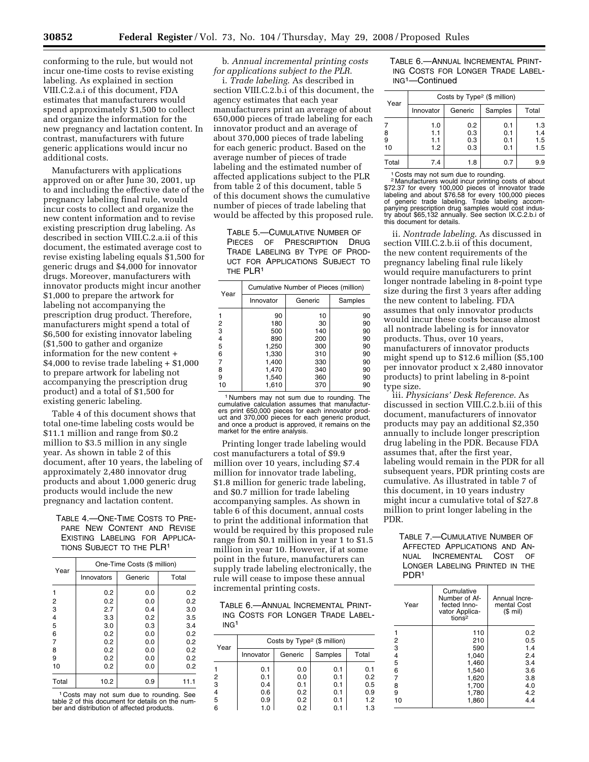conforming to the rule, but would not incur one-time costs to revise existing labeling. As explained in section VIII.C.2.a.i of this document, FDA estimates that manufacturers would spend approximately \$1,500 to collect and organize the information for the new pregnancy and lactation content. In contrast, manufacturers with future generic applications would incur no additional costs.

Manufacturers with applications approved on or after June 30, 2001, up to and including the effective date of the pregnancy labeling final rule, would incur costs to collect and organize the new content information and to revise existing prescription drug labeling. As described in section VIII.C.2.a.ii of this document, the estimated average cost to revise existing labeling equals \$1,500 for generic drugs and \$4,000 for innovator drugs. Moreover, manufacturers with innovator products might incur another \$1,000 to prepare the artwork for labeling not accompanying the prescription drug product. Therefore, manufacturers might spend a total of \$6,500 for existing innovator labeling (\$1,500 to gather and organize information for the new content + \$4,000 to revise trade labeling + \$1,000 to prepare artwork for labeling not accompanying the prescription drug product) and a total of \$1,500 for existing generic labeling.

Table 4 of this document shows that total one-time labeling costs would be \$11.1 million and range from \$0.2 million to \$3.5 million in any single year. As shown in table 2 of this document, after 10 years, the labeling of approximately 2,480 innovator drug products and about 1,000 generic drug products would include the new pregnancy and lactation content.

TABLE 4.—ONE-TIME COSTS TO PRE-PARE NEW CONTENT AND REVISE EXISTING LABELING FOR APPLICA-TIONS SUBJECT TO THE PLR1

| Year           | One-Time Costs (\$ million) |         |       |  |
|----------------|-----------------------------|---------|-------|--|
|                | Innovators                  | Generic | Total |  |
| 1              | 0.2                         | 0.0     | 0.2   |  |
| 2              | 0.2                         | 0.0     | 0.2   |  |
| $\overline{3}$ | 2.7                         | 0.4     | 3.0   |  |
| 4              | 3.3                         | 0.2     | 3.5   |  |
| 5              | 3.0                         | 0.3     | 3.4   |  |
| 6              | 0.2                         | 0.0     | 0.2   |  |
| $\overline{7}$ | 0.2                         | 0.0     | 0.2   |  |
| 8              | 0.2                         | 0.0     | 0.2   |  |
| 9              | 0.2                         | 0.0     | 0.2   |  |
| 10             | 0.2                         | 0.0     | 0.2   |  |
| Total          | 10.2                        | 0.9     | 11.1  |  |

1 Costs may not sum due to rounding. See table 2 of this document for details on the number and distribution of affected products.

b. *Annual incremental printing costs for applications subject to the PLR*.

i. *Trade labeling*. As described in section VIII.C.2.b.i of this document, the agency estimates that each year manufacturers print an average of about 650,000 pieces of trade labeling for each innovator product and an average of about 370,000 pieces of trade labeling for each generic product. Based on the average number of pieces of trade labeling and the estimated number of affected applications subject to the PLR from table 2 of this document, table 5 of this document shows the cumulative number of pieces of trade labeling that would be affected by this proposed rule.

TABLE 5.—CUMULATIVE NUMBER OF PIECES OF PRESCRIPTION DRUG TRADE LABELING BY TYPE OF PROD-UCT FOR APPLICATIONS SUBJECT TO THE PLR1

| Year           | Cumulative Number of Pieces (million) |         |         |  |
|----------------|---------------------------------------|---------|---------|--|
|                | Innovator                             | Generic | Samples |  |
|                | 90                                    | 10      | 90      |  |
| 2              | 180                                   | 30      | 90      |  |
| 3              | 500                                   | 140     | 90      |  |
|                | 890                                   | 200     | 90      |  |
| $\frac{4}{5}$  | 1,250                                 | 300     | 90      |  |
| 6              | 1,330                                 | 310     | 90      |  |
| $\overline{7}$ | 1,400                                 | 330     | 90      |  |
| 8              | 1,470                                 | 340     | 90      |  |
| 9              | 1,540                                 | 360     | 90      |  |
| 10             | 1,610                                 | 370     | 90      |  |

1 Numbers may not sum due to rounding. The cumulative calculation assumes that manufacturers print 650,000 pieces for each innovator product and 370,000 pieces for each generic product, and once a product is approved, it remains on the market for the entire analysis.

Printing longer trade labeling would cost manufacturers a total of \$9.9 million over 10 years, including \$7.4 million for innovator trade labeling, \$1.8 million for generic trade labeling, and \$0.7 million for trade labeling accompanying samples. As shown in table 6 of this document, annual costs to print the additional information that would be required by this proposed rule range from \$0.1 million in year 1 to \$1.5 million in year 10. However, if at some point in the future, manufacturers can supply trade labeling electronically, the rule will cease to impose these annual incremental printing costs.

TABLE 6.—ANNUAL INCREMENTAL PRINT-ING COSTS FOR LONGER TRADE LABEL-ING1

| Year | Costs by Type <sup>2</sup> (\$ million) |         |         |       |
|------|-----------------------------------------|---------|---------|-------|
|      | Innovator                               | Generic | Samples | Total |
|      | 0.1                                     | 0.0     | 0.1     | 0.1   |
| 2    | 0.1                                     | 0.0     | 0.1     | 0.2   |
| 3    | 0.4                                     | 0.1     | 0.1     | 0.5   |
| 4    | 0.6                                     | 0.2     | 0.1     | 0.9   |
| 5    | 0.9                                     | 0.2     | 0.1     | 1.2   |
| 6    | 1.0                                     | 0.2     | 0.1     | 1.3   |

TABLE 6.—ANNUAL INCREMENTAL PRINT-ING COSTS FOR LONGER TRADE LABEL-ING1—Continued

|       | Costs by Type <sup>2</sup> (\$ million) |         |         |       |  |
|-------|-----------------------------------------|---------|---------|-------|--|
| Year  | Innovator                               | Generic | Samples | Total |  |
|       | 1.0                                     | 0.2     | 0.1     | 1.3   |  |
| 8     | 1.1                                     | 0.3     | 0.1     | 1.4   |  |
| 9     | 1.1                                     | 0.3     | 0.1     | 1.5   |  |
| 10    | 1.2                                     | 0.3     | 0.1     | 1.5   |  |
| Total | 7.4                                     | 1.8     | 0.7     | 9.9   |  |

1 Costs may not sum due to rounding.

2 Manufacturers would incur printing costs of about \$72.37 for every 100,000 pieces of innovator trade labeling and about \$76.58 for every 100,000 pieces of generic trade labeling. Trade labeling accom-panying prescription drug samples would cost industry about \$65,132 annually. See section IX.C.2.b.i of this document for details.

ii. *Nontrade labeling*. As discussed in section VIII.C.2.b.ii of this document, the new content requirements of the pregnancy labeling final rule likely would require manufacturers to print longer nontrade labeling in 8-point type size during the first 3 years after adding the new content to labeling. FDA assumes that only innovator products would incur these costs because almost all nontrade labeling is for innovator products. Thus, over 10 years, manufacturers of innovator products might spend up to \$12.6 million (\$5,100 per innovator product x 2,480 innovator products) to print labeling in 8-point type size.

iii. *Physicians' Desk Reference*. As discussed in section VIII.C.2.b.iii of this document, manufacturers of innovator products may pay an additional \$2,350 annually to include longer prescription drug labeling in the PDR. Because FDA assumes that, after the first year, labeling would remain in the PDR for all subsequent years, PDR printing costs are cumulative. As illustrated in table 7 of this document, in 10 years industry might incur a cumulative total of \$27.8 million to print longer labeling in the PDR.

TABLE 7.—CUMULATIVE NUMBER OF AFFECTED APPLICATIONS AND AN-NUAL INCREMENTAL COST OF LONGER LABELING PRINTED IN THE PDR1

| Year           | Cumulative<br>Number of Af-<br>fected Inno-<br>vator Applica-<br>tions <sup>2</sup> | Annual Incre-<br>mental Cost<br>$($$ mil) |
|----------------|-------------------------------------------------------------------------------------|-------------------------------------------|
|                | 110                                                                                 | 0.2                                       |
| 2              | 210                                                                                 | 0.5                                       |
| 3              | 590                                                                                 | 1.4                                       |
| 4              | 1,040                                                                               | 2.4                                       |
| 5              | 1,460                                                                               | 3.4                                       |
| 6              | 1,540                                                                               | 3.6                                       |
| $\overline{7}$ | 1,620                                                                               | 3.8                                       |
| 8              | 1,700                                                                               | 4.0                                       |
| 9              | 1,780                                                                               | 4.2                                       |
| 10             | 1,860                                                                               | 4.4                                       |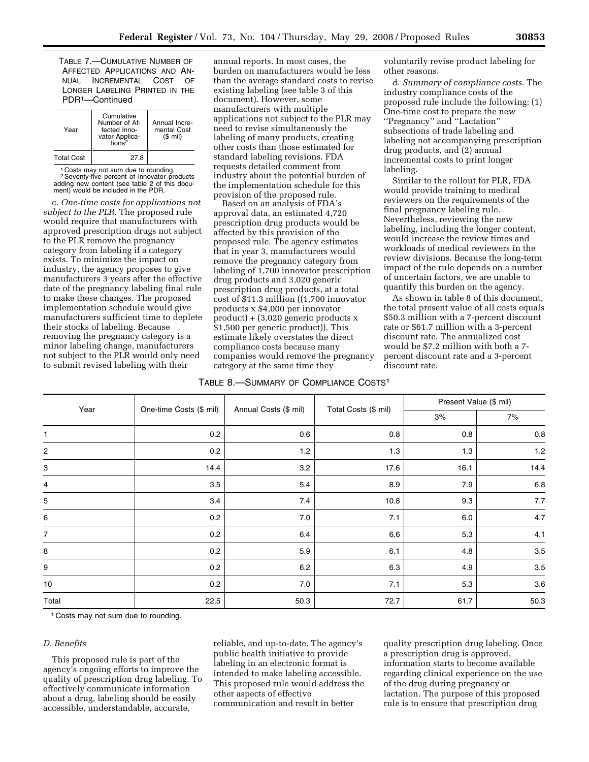TABLE 7.—CUMULATIVE NUMBER OF AFFECTED APPLICATIONS AND AN-NUAL INCREMENTAL COST OF LONGER LABELING PRINTED IN THE PDR1—Continued

| Year       | Cumulative<br>Number of Af-<br>fected Inno-<br>vator Applica-<br>tions <sup>2</sup> | Annual Incre-<br>mental Cost<br>$($$ mil) |
|------------|-------------------------------------------------------------------------------------|-------------------------------------------|
| Total Cost | 27 R                                                                                |                                           |

1 Costs may not sum due to rounding. 2Seventy-five percent of innovator products adding new content (see table 2 of this docu-ment) would be included in the PDR.

c. *One-time costs for applications not subject to the PLR*. The proposed rule would require that manufacturers with approved prescription drugs not subject to the PLR remove the pregnancy category from labeling if a category exists. To minimize the impact on industry, the agency proposes to give manufacturers 3 years after the effective date of the pregnancy labeling final rule to make these changes. The proposed implementation schedule would give manufacturers sufficient time to deplete their stocks of labeling. Because removing the pregnancy category is a minor labeling change, manufacturers not subject to the PLR would only need to submit revised labeling with their

annual reports. In most cases, the burden on manufacturers would be less than the average standard costs to revise existing labeling (see table 3 of this document). However, some manufacturers with multiple applications not subject to the PLR may need to revise simultaneously the labeling of many products, creating other costs than those estimated for standard labeling revisions. FDA requests detailed comment from industry about the potential burden of the implementation schedule for this provision of the proposed rule.

Based on an analysis of FDA's approval data, an estimated 4,720 prescription drug products would be affected by this provision of the proposed rule. The agency estimates that in year 3, manufacturers would remove the pregnancy category from labeling of 1,700 innovator prescription drug products and 3,020 generic prescription drug products, at a total cost of \$11.3 million ((1,700 innovator products x \$4,000 per innovator product) + (3,020 generic products x \$1,500 per generic product)). This estimate likely overstates the direct compliance costs because many companies would remove the pregnancy category at the same time they

#### TABLE 8.—SUMMARY OF COMPLIANCE COSTS<sup>1</sup>

voluntarily revise product labeling for other reasons.

d. *Summary of compliance costs*. The industry compliance costs of the proposed rule include the following: (1) One-time cost to prepare the new ''Pregnancy'' and ''Lactation'' subsections of trade labeling and labeling not accompanying prescription drug products, and (2) annual incremental costs to print longer labeling.

Similar to the rollout for PLR, FDA would provide training to medical reviewers on the requirements of the final pregnancy labeling rule. Nevertheless, reviewing the new labeling, including the longer content, would increase the review times and workloads of medical reviewers in the review divisions. Because the long-term impact of the rule depends on a number of uncertain factors, we are unable to quantify this burden on the agency.

As shown in table 8 of this document, the total present value of all costs equals \$50.3 million with a 7-percent discount rate or \$61.7 million with a 3-percent discount rate. The annualized cost would be \$7.2 million with both a 7 percent discount rate and a 3-percent discount rate.

| Year           |                         |                       |                      | Present Value (\$ mil) |         |
|----------------|-------------------------|-----------------------|----------------------|------------------------|---------|
|                | One-time Costs (\$ mil) | Annual Costs (\$ mil) | Total Costs (\$ mil) | 3%                     | 7%      |
|                | 0.2                     | 0.6                   | 0.8                  | 0.8                    | $0.8\,$ |
| 2              | 0.2                     | 1.2                   | 1.3                  | 1.3                    | 1.2     |
| 3              | 14.4                    | 3.2                   | 17.6                 | 16.1                   | 14.4    |
| 4              | 3.5                     | 5.4                   | 8.9                  | 7.9                    | $6.8\,$ |
| 5              | 3.4                     | 7.4                   | 10.8                 | 9.3                    | 7.7     |
| 6              | 0.2                     | 7.0                   | 7.1                  | 6.0                    | 4.7     |
| $\overline{7}$ | 0.2                     | 6.4                   | 6.6                  | 5.3                    | 4.1     |
| 8              | 0.2                     | 5.9                   | 6.1                  | 4.8                    | $3.5\,$ |
| 9              | 0.2                     | 6.2                   | 6.3                  | 4.9                    | 3.5     |
| 10             | 0.2                     | 7.0                   | 7.1                  | 5.3                    | 3.6     |
| Total          | 22.5                    | 50.3                  | 72.7                 | 61.7                   | 50.3    |

1 Costs may not sum due to rounding.

## *D. Benefits*

This proposed rule is part of the agency's ongoing efforts to improve the quality of prescription drug labeling. To effectively communicate information about a drug, labeling should be easily accessible, understandable, accurate,

reliable, and up-to-date. The agency's public health initiative to provide labeling in an electronic format is intended to make labeling accessible. This proposed rule would address the other aspects of effective communication and result in better

quality prescription drug labeling. Once a prescription drug is approved, information starts to become available regarding clinical experience on the use of the drug during pregnancy or lactation. The purpose of this proposed rule is to ensure that prescription drug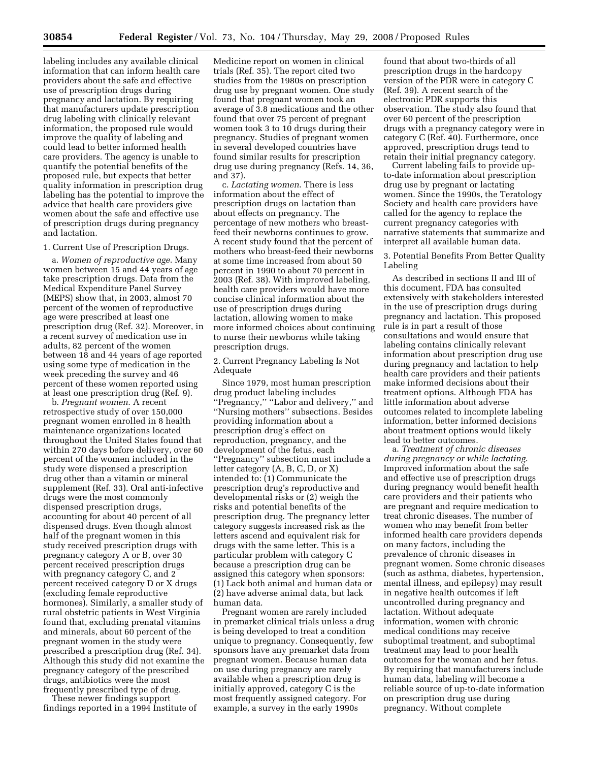labeling includes any available clinical information that can inform health care providers about the safe and effective use of prescription drugs during pregnancy and lactation. By requiring that manufacturers update prescription drug labeling with clinically relevant information, the proposed rule would improve the quality of labeling and could lead to better informed health care providers. The agency is unable to quantify the potential benefits of the proposed rule, but expects that better quality information in prescription drug labeling has the potential to improve the advice that health care providers give women about the safe and effective use of prescription drugs during pregnancy and lactation.

1. Current Use of Prescription Drugs.

a. *Women of reproductive age*. Many women between 15 and 44 years of age take prescription drugs. Data from the Medical Expenditure Panel Survey (MEPS) show that, in 2003, almost 70 percent of the women of reproductive age were prescribed at least one prescription drug (Ref. 32). Moreover, in a recent survey of medication use in adults, 82 percent of the women between 18 and 44 years of age reported using some type of medication in the week preceding the survey and 46 percent of these women reported using at least one prescription drug (Ref. 9).

b. *Pregnant women*. A recent retrospective study of over 150,000 pregnant women enrolled in 8 health maintenance organizations located throughout the United States found that within 270 days before delivery, over 60 percent of the women included in the study were dispensed a prescription drug other than a vitamin or mineral supplement (Ref. 33). Oral anti-infective drugs were the most commonly dispensed prescription drugs, accounting for about 40 percent of all dispensed drugs. Even though almost half of the pregnant women in this study received prescription drugs with pregnancy category A or B, over 30 percent received prescription drugs with pregnancy category C, and 2 percent received category D or X drugs (excluding female reproductive hormones). Similarly, a smaller study of rural obstetric patients in West Virginia found that, excluding prenatal vitamins and minerals, about 60 percent of the pregnant women in the study were prescribed a prescription drug (Ref. 34). Although this study did not examine the pregnancy category of the prescribed drugs, antibiotics were the most frequently prescribed type of drug.

These newer findings support findings reported in a 1994 Institute of Medicine report on women in clinical trials (Ref. 35). The report cited two studies from the 1980s on prescription drug use by pregnant women. One study found that pregnant women took an average of 3.8 medications and the other found that over 75 percent of pregnant women took 3 to 10 drugs during their pregnancy. Studies of pregnant women in several developed countries have found similar results for prescription drug use during pregnancy (Refs. 14, 36, and 37).

c. *Lactating women*. There is less information about the effect of prescription drugs on lactation than about effects on pregnancy. The percentage of new mothers who breastfeed their newborns continues to grow. A recent study found that the percent of mothers who breast-feed their newborns at some time increased from about 50 percent in 1990 to about 70 percent in 2003 (Ref. 38). With improved labeling, health care providers would have more concise clinical information about the use of prescription drugs during lactation, allowing women to make more informed choices about continuing to nurse their newborns while taking prescription drugs.

2. Current Pregnancy Labeling Is Not Adequate

Since 1979, most human prescription drug product labeling includes ''Pregnancy,'' ''Labor and delivery,'' and ''Nursing mothers'' subsections. Besides providing information about a prescription drug's effect on reproduction, pregnancy, and the development of the fetus, each ''Pregnancy'' subsection must include a letter category (A, B, C, D, or X) intended to: (1) Communicate the prescription drug's reproductive and developmental risks or (2) weigh the risks and potential benefits of the prescription drug. The pregnancy letter category suggests increased risk as the letters ascend and equivalent risk for drugs with the same letter. This is a particular problem with category C because a prescription drug can be assigned this category when sponsors: (1) Lack both animal and human data or (2) have adverse animal data, but lack human data.

Pregnant women are rarely included in premarket clinical trials unless a drug is being developed to treat a condition unique to pregnancy. Consequently, few sponsors have any premarket data from pregnant women. Because human data on use during pregnancy are rarely available when a prescription drug is initially approved, category C is the most frequently assigned category. For example, a survey in the early 1990s

found that about two-thirds of all prescription drugs in the hardcopy version of the PDR were in category C (Ref. 39). A recent search of the electronic PDR supports this observation. The study also found that over 60 percent of the prescription drugs with a pregnancy category were in category C (Ref. 40). Furthermore, once approved, prescription drugs tend to retain their initial pregnancy category.

Current labeling fails to provide upto-date information about prescription drug use by pregnant or lactating women. Since the 1990s, the Teratology Society and health care providers have called for the agency to replace the current pregnancy categories with narrative statements that summarize and interpret all available human data.

3. Potential Benefits From Better Quality Labeling

As described in sections II and III of this document, FDA has consulted extensively with stakeholders interested in the use of prescription drugs during pregnancy and lactation. This proposed rule is in part a result of those consultations and would ensure that labeling contains clinically relevant information about prescription drug use during pregnancy and lactation to help health care providers and their patients make informed decisions about their treatment options. Although FDA has little information about adverse outcomes related to incomplete labeling information, better informed decisions about treatment options would likely lead to better outcomes.

a. *Treatment of chronic diseases during pregnancy or while lactating*. Improved information about the safe and effective use of prescription drugs during pregnancy would benefit health care providers and their patients who are pregnant and require medication to treat chronic diseases. The number of women who may benefit from better informed health care providers depends on many factors, including the prevalence of chronic diseases in pregnant women. Some chronic diseases (such as asthma, diabetes, hypertension, mental illness, and epilepsy) may result in negative health outcomes if left uncontrolled during pregnancy and lactation. Without adequate information, women with chronic medical conditions may receive suboptimal treatment, and suboptimal treatment may lead to poor health outcomes for the woman and her fetus. By requiring that manufacturers include human data, labeling will become a reliable source of up-to-date information on prescription drug use during pregnancy. Without complete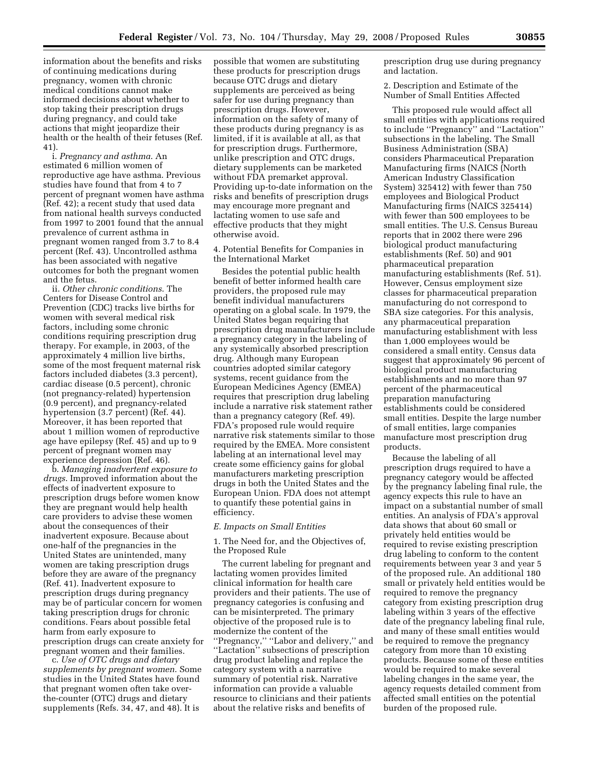information about the benefits and risks of continuing medications during pregnancy, women with chronic medical conditions cannot make informed decisions about whether to stop taking their prescription drugs during pregnancy, and could take actions that might jeopardize their health or the health of their fetuses (Ref. 41).

i. *Pregnancy and asthma*. An estimated 6 million women of reproductive age have asthma. Previous studies have found that from 4 to 7 percent of pregnant women have asthma (Ref. 42); a recent study that used data from national health surveys conducted from 1997 to 2001 found that the annual prevalence of current asthma in pregnant women ranged from 3.7 to 8.4 percent (Ref. 43). Uncontrolled asthma has been associated with negative outcomes for both the pregnant women and the fetus.

ii. *Other chronic conditions*. The Centers for Disease Control and Prevention (CDC) tracks live births for women with several medical risk factors, including some chronic conditions requiring prescription drug therapy. For example, in 2003, of the approximately 4 million live births, some of the most frequent maternal risk factors included diabetes (3.3 percent), cardiac disease (0.5 percent), chronic (not pregnancy-related) hypertension (0.9 percent), and pregnancy-related hypertension (3.7 percent) (Ref. 44). Moreover, it has been reported that about 1 million women of reproductive age have epilepsy (Ref. 45) and up to 9 percent of pregnant women may experience depression (Ref. 46).

b. *Managing inadvertent exposure to drugs*. Improved information about the effects of inadvertent exposure to prescription drugs before women know they are pregnant would help health care providers to advise these women about the consequences of their inadvertent exposure. Because about one-half of the pregnancies in the United States are unintended, many women are taking prescription drugs before they are aware of the pregnancy (Ref. 41). Inadvertent exposure to prescription drugs during pregnancy may be of particular concern for women taking prescription drugs for chronic conditions. Fears about possible fetal harm from early exposure to prescription drugs can create anxiety for pregnant women and their families.

c. *Use of OTC drugs and dietary supplements by pregnant women*. Some studies in the United States have found that pregnant women often take overthe-counter (OTC) drugs and dietary supplements (Refs. 34, 47, and 48). It is

possible that women are substituting these products for prescription drugs because OTC drugs and dietary supplements are perceived as being safer for use during pregnancy than prescription drugs. However, information on the safety of many of these products during pregnancy is as limited, if it is available at all, as that for prescription drugs. Furthermore, unlike prescription and OTC drugs, dietary supplements can be marketed without FDA premarket approval. Providing up-to-date information on the risks and benefits of prescription drugs may encourage more pregnant and lactating women to use safe and effective products that they might otherwise avoid.

4. Potential Benefits for Companies in the International Market

Besides the potential public health benefit of better informed health care providers, the proposed rule may benefit individual manufacturers operating on a global scale. In 1979, the United States began requiring that prescription drug manufacturers include a pregnancy category in the labeling of any systemically absorbed prescription drug. Although many European countries adopted similar category systems, recent guidance from the European Medicines Agency (EMEA) requires that prescription drug labeling include a narrative risk statement rather than a pregnancy category (Ref. 49). FDA's proposed rule would require narrative risk statements similar to those required by the EMEA. More consistent labeling at an international level may create some efficiency gains for global manufacturers marketing prescription drugs in both the United States and the European Union. FDA does not attempt to quantify these potential gains in efficiency.

## *E. Impacts on Small Entities*

1. The Need for, and the Objectives of, the Proposed Rule

The current labeling for pregnant and lactating women provides limited clinical information for health care providers and their patients. The use of pregnancy categories is confusing and can be misinterpreted. The primary objective of the proposed rule is to modernize the content of the ''Pregnancy,'' ''Labor and delivery,'' and ''Lactation'' subsections of prescription drug product labeling and replace the category system with a narrative summary of potential risk. Narrative information can provide a valuable resource to clinicians and their patients about the relative risks and benefits of

prescription drug use during pregnancy and lactation.

2. Description and Estimate of the Number of Small Entities Affected

This proposed rule would affect all small entities with applications required to include ''Pregnancy'' and ''Lactation'' subsections in the labeling. The Small Business Administration (SBA) considers Pharmaceutical Preparation Manufacturing firms (NAICS (North American Industry Classification System) 325412) with fewer than 750 employees and Biological Product Manufacturing firms (NAICS 325414) with fewer than 500 employees to be small entities. The U.S. Census Bureau reports that in 2002 there were 296 biological product manufacturing establishments (Ref. 50) and 901 pharmaceutical preparation manufacturing establishments (Ref. 51). However, Census employment size classes for pharmaceutical preparation manufacturing do not correspond to SBA size categories. For this analysis, any pharmaceutical preparation manufacturing establishment with less than 1,000 employees would be considered a small entity. Census data suggest that approximately 96 percent of biological product manufacturing establishments and no more than 97 percent of the pharmaceutical preparation manufacturing establishments could be considered small entities. Despite the large number of small entities, large companies manufacture most prescription drug products.

Because the labeling of all prescription drugs required to have a pregnancy category would be affected by the pregnancy labeling final rule, the agency expects this rule to have an impact on a substantial number of small entities. An analysis of FDA's approval data shows that about 60 small or privately held entities would be required to revise existing prescription drug labeling to conform to the content requirements between year 3 and year 5 of the proposed rule. An additional 180 small or privately held entities would be required to remove the pregnancy category from existing prescription drug labeling within 3 years of the effective date of the pregnancy labeling final rule, and many of these small entities would be required to remove the pregnancy category from more than 10 existing products. Because some of these entities would be required to make several labeling changes in the same year, the agency requests detailed comment from affected small entities on the potential burden of the proposed rule.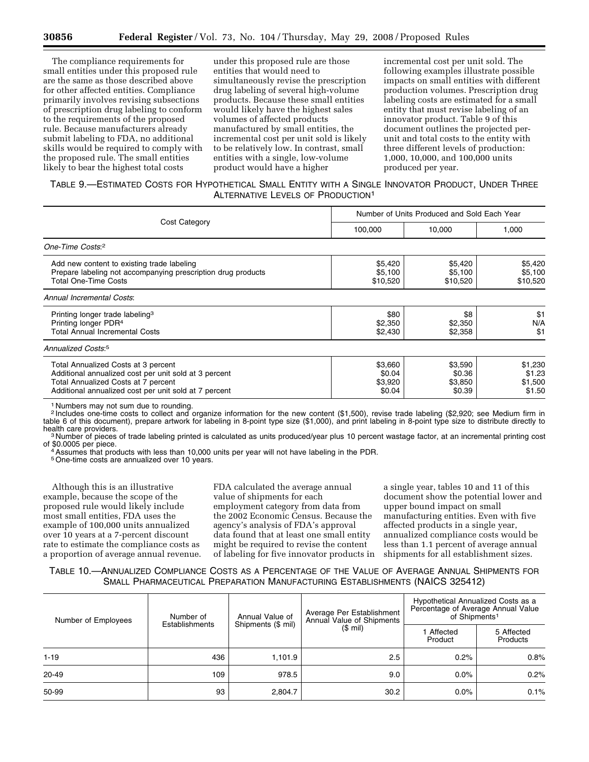The compliance requirements for small entities under this proposed rule are the same as those described above for other affected entities. Compliance primarily involves revising subsections of prescription drug labeling to conform to the requirements of the proposed rule. Because manufacturers already submit labeling to FDA, no additional skills would be required to comply with the proposed rule. The small entities likely to bear the highest total costs

under this proposed rule are those entities that would need to simultaneously revise the prescription drug labeling of several high-volume products. Because these small entities would likely have the highest sales volumes of affected products manufactured by small entities, the incremental cost per unit sold is likely to be relatively low. In contrast, small entities with a single, low-volume product would have a higher

incremental cost per unit sold. The following examples illustrate possible impacts on small entities with different production volumes. Prescription drug labeling costs are estimated for a small entity that must revise labeling of an innovator product. Table 9 of this document outlines the projected perunit and total costs to the entity with three different levels of production: 1,000, 10,000, and 100,000 units produced per year.

# TABLE 9.—ESTIMATED COSTS FOR HYPOTHETICAL SMALL ENTITY WITH A SINGLE INNOVATOR PRODUCT, UNDER THREE ALTERNATIVE LEVELS OF PRODUCTION1

|                                                                                                                                                                                              |                                        | Number of Units Produced and Sold Each Year |                                        |  |  |
|----------------------------------------------------------------------------------------------------------------------------------------------------------------------------------------------|----------------------------------------|---------------------------------------------|----------------------------------------|--|--|
| Cost Category                                                                                                                                                                                | 100,000                                | 10,000                                      | 1,000                                  |  |  |
| One-Time Costs: <sup>2</sup>                                                                                                                                                                 |                                        |                                             |                                        |  |  |
| Add new content to existing trade labeling<br>Prepare labeling not accompanying prescription drug products<br><b>Total One-Time Costs</b>                                                    | \$5,420<br>\$5,100<br>\$10,520         | \$5,420<br>\$5,100<br>\$10,520              | \$5,420<br>\$5,100<br>\$10,520         |  |  |
| Annual Incremental Costs:                                                                                                                                                                    |                                        |                                             |                                        |  |  |
| Printing longer trade labeling <sup>3</sup><br>Printing longer PDR <sup>4</sup><br><b>Total Annual Incremental Costs</b>                                                                     | \$80<br>\$2,350<br>\$2,430             | \$8<br>\$2,350<br>\$2,358                   | \$1<br>N/A<br>\$1                      |  |  |
| Annualized Costs: <sup>5</sup>                                                                                                                                                               |                                        |                                             |                                        |  |  |
| Total Annualized Costs at 3 percent<br>Additional annualized cost per unit sold at 3 percent<br>Total Annualized Costs at 7 percent<br>Additional annualized cost per unit sold at 7 percent | \$3,660<br>\$0.04<br>\$3,920<br>\$0.04 | \$3,590<br>\$0.36<br>\$3,850<br>\$0.39      | \$1,230<br>\$1.23<br>\$1,500<br>\$1.50 |  |  |

1 Numbers may not sum due to rounding.

2 Includes one-time costs to collect and organize information for the new content (\$1,500), revise trade labeling (\$2,920; see Medium firm in table 6 of this document), prepare artwork for labeling in 8-point type size (\$1,000), and print labeling in 8-point type size to distribute directly to<br>health care providers.

<sup>3</sup> Number of pieces of trade labeling printed is calculated as units produced/year plus 10 percent wastage factor, at an incremental printing cost of \$0.0005 per piece.

 $4$  Assumes that products with less than 10,000 units per year will not have labeling in the PDR.

5One-time costs are annualized over 10 years.

Although this is an illustrative example, because the scope of the proposed rule would likely include most small entities, FDA uses the example of 100,000 units annualized over 10 years at a 7-percent discount rate to estimate the compliance costs as a proportion of average annual revenue.

FDA calculated the average annual value of shipments for each employment category from data from the 2002 Economic Census. Because the agency's analysis of FDA's approval data found that at least one small entity might be required to revise the content of labeling for five innovator products in

a single year, tables 10 and 11 of this document show the potential lower and upper bound impact on small manufacturing entities. Even with five affected products in a single year, annualized compliance costs would be less than 1.1 percent of average annual shipments for all establishment sizes.

# TABLE 10.—ANNUALIZED COMPLIANCE COSTS AS A PERCENTAGE OF THE VALUE OF AVERAGE ANNUAL SHIPMENTS FOR SMALL PHARMACEUTICAL PREPARATION MANUFACTURING ESTABLISHMENTS (NAICS 325412)

| Number of Employees | Number of      | Annual Value of<br>Shipments (\$ mil) | Average Per Establishment<br>Annual Value of Shipments | Hypothetical Annualized Costs as a<br>Percentage of Average Annual Value<br>of Shipments <sup>1</sup> |                        |  |
|---------------------|----------------|---------------------------------------|--------------------------------------------------------|-------------------------------------------------------------------------------------------------------|------------------------|--|
|                     | Establishments |                                       | $($$ mil)                                              | Affected<br>Product                                                                                   | 5 Affected<br>Products |  |
| $1 - 19$            | 436            | 1.101.9                               | 2.5                                                    | 0.2%                                                                                                  | 0.8%                   |  |
| 20-49               | 109            | 978.5                                 | 9.0                                                    | 0.0%                                                                                                  | 0.2%                   |  |
| 50-99               | 93             | 2.804.7                               | 30.2                                                   | 0.0%                                                                                                  | 0.1%                   |  |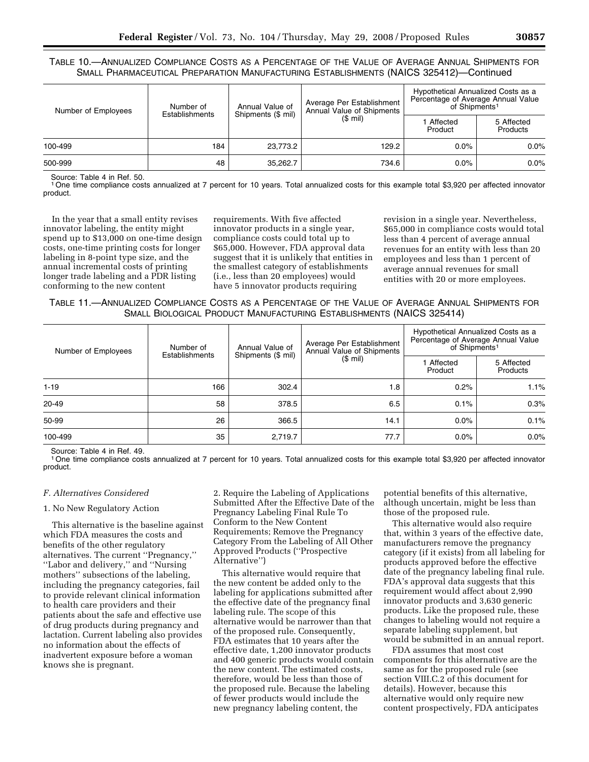TABLE 10.—ANNUALIZED COMPLIANCE COSTS AS A PERCENTAGE OF THE VALUE OF AVERAGE ANNUAL SHIPMENTS FOR SMALL PHARMACEUTICAL PREPARATION MANUFACTURING ESTABLISHMENTS (NAICS 325412)—Continued

| Number of Employees | Annual Value of<br>Number of |                    | Average Per Establishment<br>Annual Value of Shipments | Hypothetical Annualized Costs as a<br>Percentage of Average Annual Value<br>of Shipments <sup>1</sup> |                        |  |
|---------------------|------------------------------|--------------------|--------------------------------------------------------|-------------------------------------------------------------------------------------------------------|------------------------|--|
|                     | Establishments               | Shipments (\$ mil) | $(S \text{ mil})$                                      | Affected<br>Product                                                                                   | 5 Affected<br>Products |  |
| 100-499             | 184                          | 23.773.2           | 129.2                                                  | 0.0%                                                                                                  | $0.0\%$                |  |
| 500-999             | 48                           | 35.262.7           | 734.6                                                  | 0.0%                                                                                                  | $0.0\%$                |  |

Source: Table 4 in Ref. 50.

1One time compliance costs annualized at 7 percent for 10 years. Total annualized costs for this example total \$3,920 per affected innovator product.

In the year that a small entity revises innovator labeling, the entity might spend up to \$13,000 on one-time design costs, one-time printing costs for longer labeling in 8-point type size, and the annual incremental costs of printing longer trade labeling and a PDR listing conforming to the new content

requirements. With five affected innovator products in a single year, compliance costs could total up to \$65,000. However, FDA approval data suggest that it is unlikely that entities in the smallest category of establishments (i.e., less than 20 employees) would have 5 innovator products requiring

revision in a single year. Nevertheless, \$65,000 in compliance costs would total less than 4 percent of average annual revenues for an entity with less than 20 employees and less than 1 percent of average annual revenues for small entities with 20 or more employees.

TABLE 11.—ANNUALIZED COMPLIANCE COSTS AS A PERCENTAGE OF THE VALUE OF AVERAGE ANNUAL SHIPMENTS FOR SMALL BIOLOGICAL PRODUCT MANUFACTURING ESTABLISHMENTS (NAICS 325414)

| Number of Employees | Number of                            | Annual Value of | Average Per Establishment<br>Annual Value of Shipments | Hypothetical Annualized Costs as a<br>Percentage of Average Annual Value<br>of Shipments <sup>1</sup> |      |  |
|---------------------|--------------------------------------|-----------------|--------------------------------------------------------|-------------------------------------------------------------------------------------------------------|------|--|
|                     | Shipments (\$ mil)<br>Establishments | $($$ mil)       | Affected<br>Product                                    | 5 Affected<br>Products                                                                                |      |  |
| $1 - 19$            | 166                                  | 302.4           | 1.8                                                    | 0.2%                                                                                                  | 1.1% |  |
| 20-49               | 58                                   | 378.5           | 6.5                                                    | 0.1%                                                                                                  | 0.3% |  |
| 50-99               | 26                                   | 366.5           | 14.1                                                   | 0.0%                                                                                                  | 0.1% |  |
| 100-499             | 35                                   | 2,719.7         | 77.7                                                   | 0.0%                                                                                                  | 0.0% |  |

Source: Table 4 in Ref. 49.

1One time compliance costs annualized at 7 percent for 10 years. Total annualized costs for this example total \$3,920 per affected innovator product.

# *F. Alternatives Considered*

## 1. No New Regulatory Action

This alternative is the baseline against which FDA measures the costs and benefits of the other regulatory alternatives. The current ''Pregnancy,'' ''Labor and delivery,'' and ''Nursing mothers'' subsections of the labeling, including the pregnancy categories, fail to provide relevant clinical information to health care providers and their patients about the safe and effective use of drug products during pregnancy and lactation. Current labeling also provides no information about the effects of inadvertent exposure before a woman knows she is pregnant.

2. Require the Labeling of Applications Submitted After the Effective Date of the Pregnancy Labeling Final Rule To Conform to the New Content Requirements; Remove the Pregnancy Category From the Labeling of All Other Approved Products (''Prospective Alternative'')

This alternative would require that the new content be added only to the labeling for applications submitted after the effective date of the pregnancy final labeling rule. The scope of this alternative would be narrower than that of the proposed rule. Consequently, FDA estimates that 10 years after the effective date, 1,200 innovator products and 400 generic products would contain the new content. The estimated costs, therefore, would be less than those of the proposed rule. Because the labeling of fewer products would include the new pregnancy labeling content, the

potential benefits of this alternative, although uncertain, might be less than those of the proposed rule.

This alternative would also require that, within 3 years of the effective date, manufacturers remove the pregnancy category (if it exists) from all labeling for products approved before the effective date of the pregnancy labeling final rule. FDA's approval data suggests that this requirement would affect about 2,990 innovator products and 3,630 generic products. Like the proposed rule, these changes to labeling would not require a separate labeling supplement, but would be submitted in an annual report.

FDA assumes that most cost components for this alternative are the same as for the proposed rule (see section VIII.C.2 of this document for details). However, because this alternative would only require new content prospectively, FDA anticipates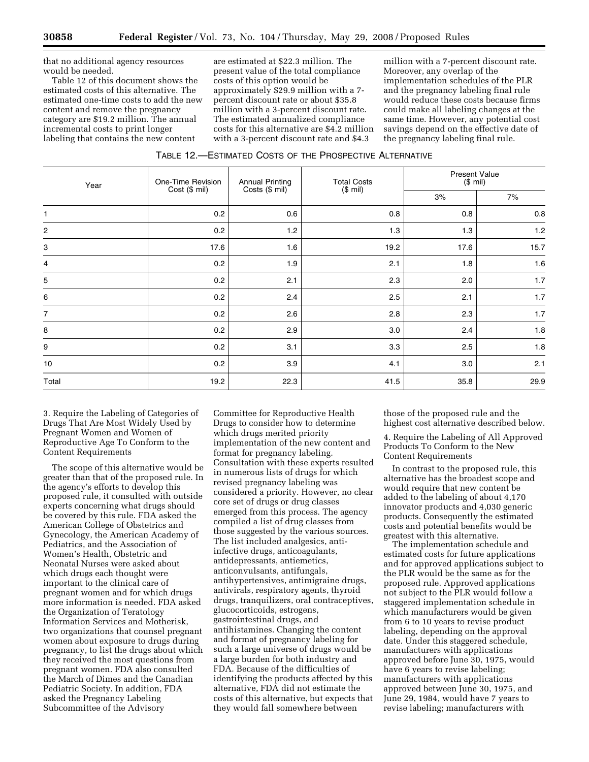that no additional agency resources would be needed.

Table 12 of this document shows the estimated costs of this alternative. The estimated one-time costs to add the new content and remove the pregnancy category are \$19.2 million. The annual incremental costs to print longer labeling that contains the new content

are estimated at \$22.3 million. The present value of the total compliance costs of this option would be approximately \$29.9 million with a 7 percent discount rate or about \$35.8 million with a 3-percent discount rate. The estimated annualized compliance costs for this alternative are \$4.2 million with a 3-percent discount rate and \$4.3

million with a 7-percent discount rate. Moreover, any overlap of the implementation schedules of the PLR and the pregnancy labeling final rule would reduce these costs because firms could make all labeling changes at the same time. However, any potential cost savings depend on the effective date of the pregnancy labeling final rule.

| Table 12.—Estimated Costs of the Prospective Alternative |
|----------------------------------------------------------|
|----------------------------------------------------------|

| Year           | One-Time Revision | <b>Annual Printing</b> | <b>Total Costs</b> | <b>Present Value</b><br>$($$ mil) |      |
|----------------|-------------------|------------------------|--------------------|-----------------------------------|------|
|                | Cost (\$ mil)     | Costs $($$ mil)        | $($$ mil)          | 3%                                | 7%   |
| 1              | 0.2               | 0.6                    | 0.8                | 0.8                               | 0.8  |
| 2              | 0.2               | 1.2                    | 1.3                | 1.3                               | 1.2  |
| 3              | 17.6              | 1.6                    | 19.2               | 17.6                              | 15.7 |
| 4              | 0.2               | 1.9                    | 2.1                | 1.8                               | 1.6  |
| 5              | 0.2               | 2.1                    | 2.3                | 2.0                               | 1.7  |
| 6              | 0.2               | 2.4                    | 2.5                | 2.1                               | 1.7  |
| $\overline{7}$ | 0.2               | 2.6                    | 2.8                | 2.3                               | 1.7  |
| 8              | 0.2               | 2.9                    | 3.0                | 2.4                               | 1.8  |
| 9              | 0.2               | 3.1                    | 3.3                | 2.5                               | 1.8  |
| 10             | 0.2               | 3.9                    | 4.1                | 3.0                               | 2.1  |
| Total          | 19.2              | 22.3                   | 41.5               | 35.8                              | 29.9 |

3. Require the Labeling of Categories of Drugs That Are Most Widely Used by Pregnant Women and Women of Reproductive Age To Conform to the Content Requirements

The scope of this alternative would be greater than that of the proposed rule. In the agency's efforts to develop this proposed rule, it consulted with outside experts concerning what drugs should be covered by this rule. FDA asked the American College of Obstetrics and Gynecology, the American Academy of Pediatrics, and the Association of Women's Health, Obstetric and Neonatal Nurses were asked about which drugs each thought were important to the clinical care of pregnant women and for which drugs more information is needed. FDA asked the Organization of Teratology Information Services and Motherisk, two organizations that counsel pregnant women about exposure to drugs during pregnancy, to list the drugs about which they received the most questions from pregnant women. FDA also consulted the March of Dimes and the Canadian Pediatric Society. In addition, FDA asked the Pregnancy Labeling Subcommittee of the Advisory

Committee for Reproductive Health Drugs to consider how to determine which drugs merited priority implementation of the new content and format for pregnancy labeling. Consultation with these experts resulted in numerous lists of drugs for which revised pregnancy labeling was considered a priority. However, no clear core set of drugs or drug classes emerged from this process. The agency compiled a list of drug classes from those suggested by the various sources. The list included analgesics, antiinfective drugs, anticoagulants, antidepressants, antiemetics, anticonvulsants, antifungals, antihypertensives, antimigraine drugs, antivirals, respiratory agents, thyroid drugs, tranquilizers, oral contraceptives, glucocorticoids, estrogens, gastrointestinal drugs, and antihistamines. Changing the content and format of pregnancy labeling for such a large universe of drugs would be a large burden for both industry and FDA. Because of the difficulties of identifying the products affected by this alternative, FDA did not estimate the costs of this alternative, but expects that they would fall somewhere between

those of the proposed rule and the highest cost alternative described below.

4. Require the Labeling of All Approved Products To Conform to the New Content Requirements

In contrast to the proposed rule, this alternative has the broadest scope and would require that new content be added to the labeling of about 4,170 innovator products and 4,030 generic products. Consequently the estimated costs and potential benefits would be greatest with this alternative.

The implementation schedule and estimated costs for future applications and for approved applications subject to the PLR would be the same as for the proposed rule. Approved applications not subject to the PLR would follow a staggered implementation schedule in which manufacturers would be given from 6 to 10 years to revise product labeling, depending on the approval date. Under this staggered schedule, manufacturers with applications approved before June 30, 1975, would have 6 years to revise labeling; manufacturers with applications approved between June 30, 1975, and June 29, 1984, would have 7 years to revise labeling; manufacturers with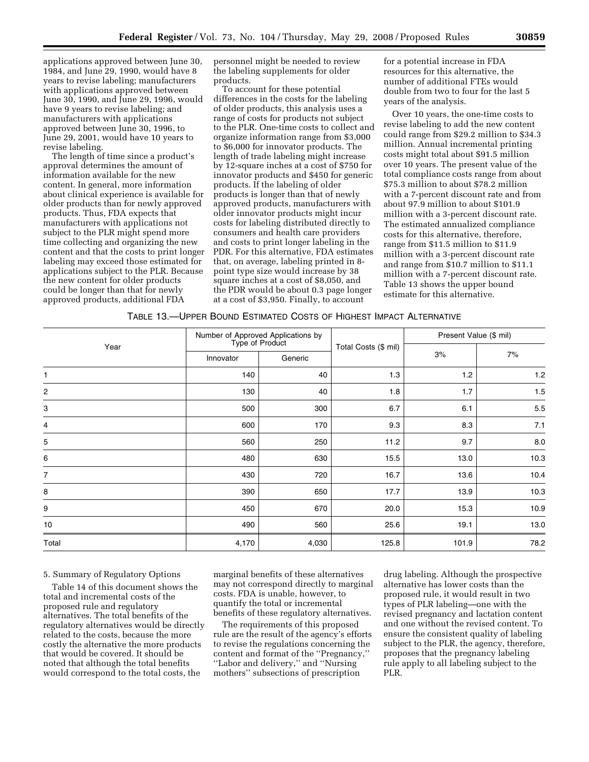applications approved between June 30, 1984, and June 29, 1990, would have 8 years to revise labeling; manufacturers with applications approved between June 30, 1990, and June 29, 1996, would have 9 years to revise labeling; and manufacturers with applications approved between June 30, 1996, to June 29, 2001, would have 10 years to revise labeling.

The length of time since a product's approval determines the amount of information available for the new content. In general, more information about clinical experience is available for older products than for newly approved products. Thus, FDA expects that manufacturers with applications not subject to the PLR might spend more time collecting and organizing the new content and that the costs to print longer labeling may exceed those estimated for applications subject to the PLR. Because the new content for older products could be longer than that for newly approved products, additional FDA

personnel might be needed to review the labeling supplements for older products.

To account for these potential differences in the costs for the labeling of older products, this analysis uses a range of costs for products not subject to the PLR. One-time costs to collect and organize information range from \$3,000 to \$6,000 for innovator products. The length of trade labeling might increase by 12-square inches at a cost of \$750 for innovator products and \$450 for generic products. If the labeling of older products is longer than that of newly approved products, manufacturers with older innovator products might incur costs for labeling distributed directly to consumers and health care providers and costs to print longer labeling in the PDR. For this alternative, FDA estimates that, on average, labeling printed in 8 point type size would increase by 38 square inches at a cost of \$8,050, and the PDR would be about 0.3 page longer at a cost of \$3,950. Finally, to account

for a potential increase in FDA resources for this alternative, the number of additional FTEs would double from two to four for the last 5 years of the analysis.

Over 10 years, the one-time costs to revise labeling to add the new content could range from \$29.2 million to \$34.3 million. Annual incremental printing costs might total about \$91.5 million over 10 years. The present value of the total compliance costs range from about \$75.3 million to about \$78.2 million with a 7-percent discount rate and from about 97.9 million to about \$101.9 million with a 3-percent discount rate. The estimated annualized compliance costs for this alternative, therefore, range from \$11.5 million to \$11.9 million with a 3-percent discount rate and range from \$10.7 million to \$11.1 million with a 7-percent discount rate. Table 13 shows the upper bound estimate for this alternative.

| Year           |           | Number of Approved Applications by<br>Type of Product | Total Costs (\$ mil) | Present Value (\$ mil) |         |  |
|----------------|-----------|-------------------------------------------------------|----------------------|------------------------|---------|--|
|                |           |                                                       |                      | 3%                     | 7%      |  |
|                | Innovator | Generic                                               |                      |                        |         |  |
|                | 140       | 40                                                    | 1.3                  | 1.2                    | $1.2\,$ |  |
| 2              | 130       | 40                                                    | 1.8                  | 1.7                    | 1.5     |  |
| 3              | 500       | 300                                                   | 6.7                  | 6.1                    | 5.5     |  |
| 4              | 600       | 170                                                   | 9.3                  | 8.3                    | 7.1     |  |
| 5              | 560       | 250                                                   | 11.2                 | 9.7                    | 8.0     |  |
| 6              | 480       | 630                                                   | 15.5                 | 13.0                   | 10.3    |  |
| $\overline{7}$ | 430       | 720                                                   | 16.7                 | 13.6                   | 10.4    |  |
| 8              | 390       | 650                                                   | 17.7                 | 13.9                   | 10.3    |  |
| 9              | 450       | 670                                                   | 20.0                 | 15.3                   | 10.9    |  |
| 10             | 490       | 560                                                   | 25.6                 | 19.1                   | 13.0    |  |
| Total          | 4,170     | 4,030                                                 | 125.8                | 101.9                  | 78.2    |  |

#### 5. Summary of Regulatory Options

Table 14 of this document shows the total and incremental costs of the proposed rule and regulatory alternatives. The total benefits of the regulatory alternatives would be directly related to the costs, because the more costly the alternative the more products that would be covered. It should be noted that although the total benefits would correspond to the total costs, the

marginal benefits of these alternatives may not correspond directly to marginal costs. FDA is unable, however, to quantify the total or incremental benefits of these regulatory alternatives.

The requirements of this proposed rule are the result of the agency's efforts to revise the regulations concerning the content and format of the ''Pregnancy,'' ''Labor and delivery,'' and ''Nursing mothers'' subsections of prescription

drug labeling. Although the prospective alternative has lower costs than the proposed rule, it would result in two types of PLR labeling—one with the revised pregnancy and lactation content and one without the revised content. To ensure the consistent quality of labeling subject to the PLR, the agency, therefore, proposes that the pregnancy labeling rule apply to all labeling subject to the PLR.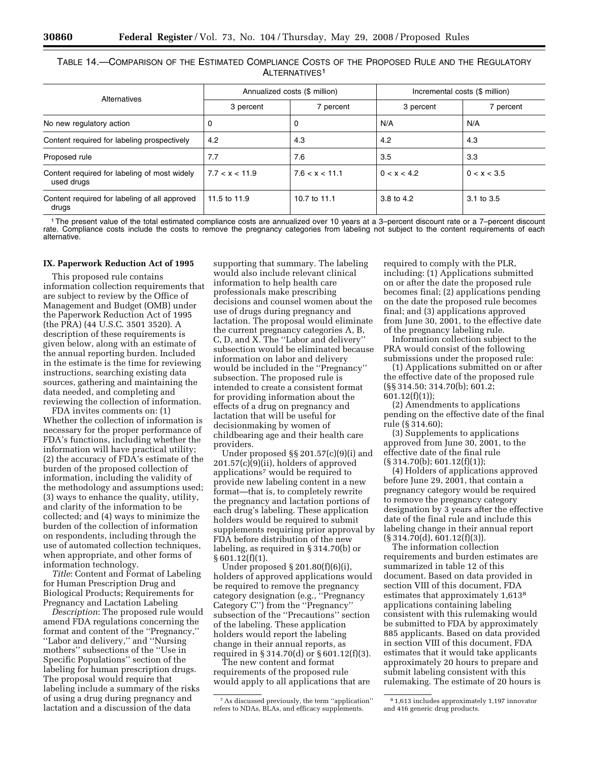| _______________                                            |                |                               |             |                                |  |  |  |
|------------------------------------------------------------|----------------|-------------------------------|-------------|--------------------------------|--|--|--|
| Alternatives                                               |                | Annualized costs (\$ million) |             | Incremental costs (\$ million) |  |  |  |
|                                                            | 3 percent      | 7 percent                     | 3 percent   | 7 percent                      |  |  |  |
| No new regulatory action                                   | 0              | 0                             | N/A         | N/A                            |  |  |  |
| Content required for labeling prospectively                | 4.2            | 4.3                           | 4.2         | 4.3                            |  |  |  |
| Proposed rule                                              | 7.7            | 7.6                           | 3.5         | 3.3                            |  |  |  |
| Content required for labeling of most widely<br>used drugs | 7.7 < x < 11.9 | 7.6 < x < 11.1                | 0 < x < 4.2 | 0 < x < 3.5                    |  |  |  |
| Content required for labeling of all approved<br>drugs     | 11.5 to 11.9   | 10.7 to 11.1                  | 3.8 to 4.2  | 3.1 to 3.5                     |  |  |  |

| TABLE 14.—COMPARISON OF THE ESTIMATED COMPLIANCE COSTS OF THE PROPOSED RULE AND THE REGULATORY |                           |  |  |  |
|------------------------------------------------------------------------------------------------|---------------------------|--|--|--|
|                                                                                                | ALTERNATIVES <sup>1</sup> |  |  |  |

1The present value of the total estimated compliance costs are annualized over 10 years at a 3–percent discount rate or a 7–percent discount rate. Compliance costs include the costs to remove the pregnancy categories from labeling not subject to the content requirements of each alternative.

#### **IX. Paperwork Reduction Act of 1995**

This proposed rule contains information collection requirements that are subject to review by the Office of Management and Budget (OMB) under the Paperwork Reduction Act of 1995 (the PRA) (44 U.S.C. 3501 3520). A description of these requirements is given below, along with an estimate of the annual reporting burden. Included in the estimate is the time for reviewing instructions, searching existing data sources, gathering and maintaining the data needed, and completing and reviewing the collection of information.

FDA invites comments on: (1) Whether the collection of information is necessary for the proper performance of FDA's functions, including whether the information will have practical utility; (2) the accuracy of FDA's estimate of the burden of the proposed collection of information, including the validity of the methodology and assumptions used; (3) ways to enhance the quality, utility, and clarity of the information to be collected; and (4) ways to minimize the burden of the collection of information on respondents, including through the use of automated collection techniques, when appropriate, and other forms of information technology.

*Title*: Content and Format of Labeling for Human Prescription Drug and Biological Products; Requirements for Pregnancy and Lactation Labeling

*Description*: The proposed rule would amend FDA regulations concerning the format and content of the ''Pregnancy,'' ''Labor and delivery,'' and ''Nursing mothers'' subsections of the ''Use in Specific Populations'' section of the labeling for human prescription drugs. The proposal would require that labeling include a summary of the risks of using a drug during pregnancy and lactation and a discussion of the data

supporting that summary. The labeling would also include relevant clinical information to help health care professionals make prescribing decisions and counsel women about the use of drugs during pregnancy and lactation. The proposal would eliminate the current pregnancy categories A, B, C, D, and X. The ''Labor and delivery'' subsection would be eliminated because information on labor and delivery would be included in the ''Pregnancy'' subsection. The proposed rule is intended to create a consistent format for providing information about the effects of a drug on pregnancy and lactation that will be useful for decisionmaking by women of childbearing age and their health care providers.

Under proposed §§ 201.57(c)(9)(i) and 201.57(c)(9)(ii), holders of approved applications7 would be required to provide new labeling content in a new format—that is, to completely rewrite the pregnancy and lactation portions of each drug's labeling. These application holders would be required to submit supplements requiring prior approval by FDA before distribution of the new labeling, as required in § 314.70(b) or  $§ 601.12(f)(1).$ 

Under proposed § 201.80(f)(6)(i), holders of approved applications would be required to remove the pregnancy category designation (e.g., ''Pregnancy Category C'') from the ''Pregnancy'' subsection of the ''Precautions'' section of the labeling. These application holders would report the labeling change in their annual reports, as required in § 314.70(d) or § 601.12(f)(3).

The new content and format requirements of the proposed rule would apply to all applications that are

required to comply with the PLR, including: (1) Applications submitted on or after the date the proposed rule becomes final; (2) applications pending on the date the proposed rule becomes final; and (3) applications approved from June 30, 2001, to the effective date of the pregnancy labeling rule.

Information collection subject to the PRA would consist of the following submissions under the proposed rule:

(1) Applications submitted on or after the effective date of the proposed rule (§§ 314.50; 314.70(b); 601.2;  $601.12(f)(1);$ 

(2) Amendments to applications pending on the effective date of the final rule (§ 314.60);

(3) Supplements to applications approved from June 30, 2001, to the effective date of the final rule  $(S \cdot 314.70(b); 601.12(f)(1));$ 

(4) Holders of applications approved before June 29, 2001, that contain a pregnancy category would be required to remove the pregnancy category designation by 3 years after the effective date of the final rule and include this labeling change in their annual report  $(\S 314.70(d), 601.12(f)(3)).$ 

The information collection requirements and burden estimates are summarized in table 12 of this document. Based on data provided in section VIII of this document, FDA estimates that approximately 1,6138 applications containing labeling consistent with this rulemaking would be submitted to FDA by approximately 885 applicants. Based on data provided in section VIII of this document, FDA estimates that it would take applicants approximately 20 hours to prepare and submit labeling consistent with this rulemaking. The estimate of 20 hours is

<sup>7</sup>As discussed previously, the term ''application'' refers to NDAs, BLAs, and efficacy supplements.

<sup>8</sup> 1,613 includes approximately 1,197 innovator and 416 generic drug products.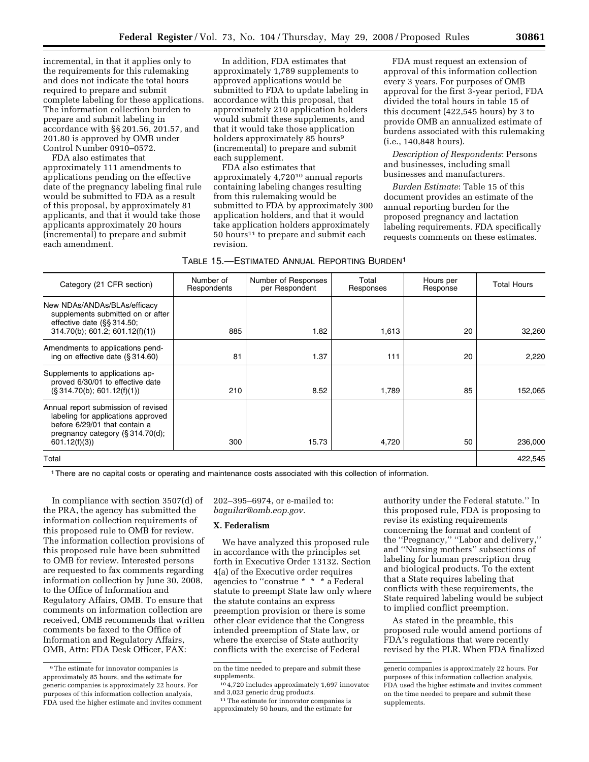incremental, in that it applies only to the requirements for this rulemaking and does not indicate the total hours required to prepare and submit complete labeling for these applications. The information collection burden to prepare and submit labeling in accordance with §§ 201.56, 201.57, and 201.80 is approved by OMB under Control Number 0910–0572.

FDA also estimates that approximately 111 amendments to applications pending on the effective date of the pregnancy labeling final rule would be submitted to FDA as a result of this proposal, by approximately 81 applicants, and that it would take those applicants approximately 20 hours (incremental) to prepare and submit each amendment.

In addition, FDA estimates that approximately 1,789 supplements to approved applications would be submitted to FDA to update labeling in accordance with this proposal, that approximately 210 application holders would submit these supplements, and that it would take those application holders approximately 85 hours<sup>9</sup> (incremental) to prepare and submit each supplement.

FDA also estimates that approximately 4,72010 annual reports containing labeling changes resulting from this rulemaking would be submitted to FDA by approximately 300 application holders, and that it would take application holders approximately 50 hours<sup>11</sup> to prepare and submit each revision.

| TABLE 15.—ESTIMATED ANNUAL REPORTING BURDEN <sup>1</sup> |  |  |  |
|----------------------------------------------------------|--|--|--|
|----------------------------------------------------------|--|--|--|

FDA must request an extension of approval of this information collection every 3 years. For purposes of OMB approval for the first 3-year period, FDA divided the total hours in table 15 of this document (422,545 hours) by 3 to provide OMB an annualized estimate of burdens associated with this rulemaking (i.e., 140,848 hours).

*Description of Respondents*: Persons and businesses, including small businesses and manufacturers.

*Burden Estimate*: Table 15 of this document provides an estimate of the annual reporting burden for the proposed pregnancy and lactation labeling requirements. FDA specifically requests comments on these estimates.

| Category (21 CFR section)                                                                                                                                           | Number of<br>Respondents | Number of Responses<br>per Respondent | Total<br>Responses | Hours per<br>Response | <b>Total Hours</b> |
|---------------------------------------------------------------------------------------------------------------------------------------------------------------------|--------------------------|---------------------------------------|--------------------|-----------------------|--------------------|
| New NDAs/ANDAs/BLAs/efficacy<br>supplements submitted on or after<br>effective date (§§ 314.50;<br>$314.70(b)$ ; 601.2; 601.12(f)(1))                               | 885                      | 1.82                                  | 1,613              | 20                    | 32,260             |
| Amendments to applications pend-<br>ing on effective date $(\S 314.60)$                                                                                             | 81                       | 1.37                                  | 111                | 20                    | 2,220              |
| Supplements to applications ap-<br>proved 6/30/01 to effective date<br>(S314.70(b); 601.12(f)(1))                                                                   | 210                      | 8.52                                  | 1,789              | 85                    | 152,065            |
| Annual report submission of revised<br>labeling for applications approved<br>before 6/29/01 that contain a<br>pregnancy category $(\S 314.70(d))$ ;<br>601.12(f)(3) | 300                      | 15.73                                 | 4,720              | 50                    | 236,000            |
| Total                                                                                                                                                               |                          |                                       |                    |                       | 422.545            |

1There are no capital costs or operating and maintenance costs associated with this collection of information.

In compliance with section 3507(d) of the PRA, the agency has submitted the information collection requirements of this proposed rule to OMB for review. The information collection provisions of this proposed rule have been submitted to OMB for review. Interested persons are requested to fax comments regarding information collection by June 30, 2008, to the Office of Information and Regulatory Affairs, OMB. To ensure that comments on information collection are received, OMB recommends that written comments be faxed to the Office of Information and Regulatory Affairs, OMB, Attn: FDA Desk Officer, FAX:

202–395–6974, or e-mailed to: *baguilar@omb.eop.gov.* 

#### **X. Federalism**

We have analyzed this proposed rule in accordance with the principles set forth in Executive Order 13132. Section 4(a) of the Executive order requires agencies to ''construe \* \* \* a Federal statute to preempt State law only where the statute contains an express preemption provision or there is some other clear evidence that the Congress intended preemption of State law, or where the exercise of State authority conflicts with the exercise of Federal

authority under the Federal statute.'' In this proposed rule, FDA is proposing to revise its existing requirements concerning the format and content of the ''Pregnancy,'' ''Labor and delivery,'' and ''Nursing mothers'' subsections of labeling for human prescription drug and biological products. To the extent that a State requires labeling that conflicts with these requirements, the State required labeling would be subject to implied conflict preemption.

As stated in the preamble, this proposed rule would amend portions of FDA's regulations that were recently revised by the PLR. When FDA finalized

<sup>9</sup>The estimate for innovator companies is approximately 85 hours, and the estimate for generic companies is approximately 22 hours. For purposes of this information collection analysis, FDA used the higher estimate and invites comment

on the time needed to prepare and submit these supplements.

<sup>10</sup> 4,720 includes approximately 1,697 innovator and 3,023 generic drug products.

<sup>11</sup>The estimate for innovator companies is approximately 50 hours, and the estimate for

generic companies is approximately 22 hours. For purposes of this information collection analysis, FDA used the higher estimate and invites comment on the time needed to prepare and submit these supplements.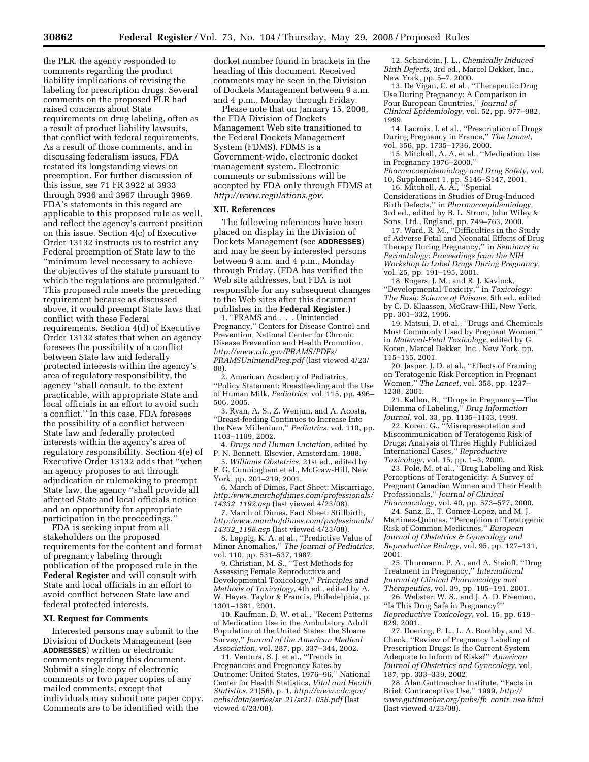the PLR, the agency responded to comments regarding the product liability implications of revising the labeling for prescription drugs. Several comments on the proposed PLR had raised concerns about State requirements on drug labeling, often as a result of product liability lawsuits, that conflict with federal requirements. As a result of those comments, and in discussing federalism issues, FDA restated its longstanding views on preemption. For further discussion of this issue, see 71 FR 3922 at 3933 through 3936 and 3967 through 3969. FDA's statements in this regard are applicable to this proposed rule as well, and reflect the agency's current position on this issue. Section 4(c) of Executive Order 13132 instructs us to restrict any Federal preemption of State law to the ''minimum level necessary to achieve the objectives of the statute pursuant to which the regulations are promulgated.'' This proposed rule meets the preceding requirement because as discussed above, it would preempt State laws that conflict with these Federal requirements. Section 4(d) of Executive Order 13132 states that when an agency foresees the possibility of a conflict between State law and federally protected interests within the agency's area of regulatory responsibility, the agency ''shall consult, to the extent practicable, with appropriate State and local officials in an effort to avoid such a conflict.'' In this case, FDA foresees the possibility of a conflict between State law and federally protected interests within the agency's area of regulatory responsibility. Section 4(e) of Executive Order 13132 adds that ''when an agency proposes to act through adjudication or rulemaking to preempt State law, the agency ''shall provide all affected State and local officials notice and an opportunity for appropriate participation in the proceedings.''

FDA is seeking input from all stakeholders on the proposed requirements for the content and format of pregnancy labeling through publication of the proposed rule in the **Federal Register** and will consult with State and local officials in an effort to avoid conflict between State law and federal protected interests.

#### **XI. Request for Comments**

Interested persons may submit to the Division of Dockets Management (see **ADDRESSES**) written or electronic comments regarding this document. Submit a single copy of electronic comments or two paper copies of any mailed comments, except that individuals may submit one paper copy. Comments are to be identified with the

docket number found in brackets in the heading of this document. Received comments may be seen in the Division of Dockets Management between 9 a.m. and 4 p.m., Monday through Friday.

Please note that on January 15, 2008, the FDA Division of Dockets Management Web site transitioned to the Federal Dockets Management System (FDMS). FDMS is a Government-wide, electronic docket management system. Electronic comments or submissions will be accepted by FDA only through FDMS at *http://www.regulations.gov*.

# **XII. References**

The following references have been placed on display in the Division of Dockets Management (see **ADDRESSES**) and may be seen by interested persons between 9 a.m. and 4 p.m., Monday through Friday. (FDA has verified the Web site addresses, but FDA is not responsible for any subsequent changes to the Web sites after this document publishes in the **Federal Register**.)

1. ''PRAMS and . . . Unintended Pregnancy,'' Centers for Disease Control and Prevention, National Center for Chronic Disease Prevention and Health Promotion, *http://www.cdc.gov/PRAMS/PDFs/ PRAMSUnintendPreg.pdf* (last viewed 4/23/ 08).

2. American Academy of Pediatrics, ''Policy Statement: Breastfeeding and the Use of Human Milk, *Pediatrics*, vol. 115, pp. 496– 506, 2005.

3. Ryan, A. S., Z. Wenjun, and A. Acosta, ''Breast-feeding Continues to Increase Into the New Millenium,'' *Pediatrics*, vol. 110, pp. 1103–1109, 2002.

4. *Drugs and Human Lactation*, edited by P. N. Bennett, Elsevier, Amsterdam, 1988.

5. *Williams Obstetrics*, 21st ed., edited by F. G. Cunningham et al., McGraw-Hill, New York, pp. 201–219, 2001.

6. March of Dimes, Fact Sheet: Miscarriage, *http:/www.marchofdimes.com/professionals/ 14332*\_*1192.asp* (last viewed 4/23/08).

7. March of Dimes, Fact Sheet: Stillbirth, *http:/www.marchofdimes.com/professionals/ 14332*\_*1198.asp* (last viewed 4/23/08).

8. Leppig, K. A. et al., ''Predictive Value of Minor Anomalies,'' *The Journal of Pediatrics*, vol. 110, pp. 531–537, 1987.

9. Christian, M. S., ''Test Methods for Assessing Female Reproductive and Developmental Toxicology,'' *Principles and Methods of Toxicology*, 4th ed., edited by A. W. Hayes, Taylor & Francis, Philadelphia, p. 1301–1381, 2001.

10. Kaufman, D. W. et al., ''Recent Patterns of Medication Use in the Ambulatory Adult Population of the United States: the Sloane Survey,'' *Journal of the American Medical Association*, vol. 287, pp. 337–344, 2002.

11. Ventura, S. J. et al., ''Trends in Pregnancies and Pregnancy Rates by Outcome: United States, 1976–96,'' National Center for Health Statistics, *Vital and Health Statistics*, 21(56), p. 1, *http://www.cdc.gov/ nchs/data/series/sr*\_*21/sr21*\_*056.pdf* (last viewed 4/23/08).

12. Schardein, J. L., *Chemically Induced Birth Defects*, 3rd ed., Marcel Dekker, Inc., New York, pp. 5–7, 2000.

13. De Vigan, C. et al., ''Therapeutic Drug Use During Pregnancy: A Comparison in Four European Countries,'' *Journal of Clinical Epidemiology*, vol. 52, pp. 977–982, 1999.

14. Lacroix, I. et al., ''Prescription of Drugs During Pregnancy in France,'' *The Lancet*, vol. 356, pp. 1735–1736, 2000.

15. Mitchell, A. A. et al., ''Medication Use in Pregnancy 1976–2000,''

*Pharmacoepidemiology and Drug Safety*, vol. 10, Supplement 1, pp. S146–S147, 2001.

16. Mitchell, A. A., ''Special Considerations in Studies of Drug-Induced Birth Defects,'' in *Pharmacoepidemiology*, 3rd ed., edited by B. L. Strom, John Wiley & Sons, Ltd., England, pp. 749–763, 2000.

17. Ward, R. M., ''Difficulties in the Study of Adverse Fetal and Neonatal Effects of Drug Therapy During Pregnancy,'' in *Seminars in Perinatology: Proceedings from the NIH Workshop to Label Drugs During Pregnancy*, vol. 25, pp. 191-195, 2001.

18. Rogers, J. M., and R. J. Kavlock, ''Developmental Toxicity,'' in *Toxicology: The Basic Science of Poisons*, 5th ed., edited by C. D. Klaassen, McGraw-Hill, New York, pp. 301–332, 1996.

19. Matsui, D. et al., ''Drugs and Chemicals Most Commonly Used by Pregnant Women,'' in *Maternal-Fetal Toxicology*, edited by G. Koren, Marcel Dekker, Inc., New York, pp. 115–135, 2001.

20. Jasper, J. D. et al., ''Effects of Framing on Teratogenic Risk Perception in Pregnant Women,'' *The Lancet*, vol. 358, pp. 1237– 1238, 2001.

21. Kallen, B., ''Drugs in Pregnancy—The Dilemma of Labeling,'' *Drug Information Journal*, vol. 33, pp. 1135–1143, 1999.

22. Koren, G., ''Misrepresentation and Miscommunication of Teratogenic Risk of Drugs; Analysis of Three Highly Publicized International Cases,'' *Reproductive Toxicology*, vol. 15, pp. 1–3, 2000.

23. Pole, M. et al., ''Drug Labeling and Risk Perceptions of Teratogenicity: A Survey of Pregnant Canadian Women and Their Health Professionals,'' *Journal of Clinical Pharmacology*, vol. 40, pp. 573–577, 2000.

24. Sanz, E., T. Gomez-Lopez, and M. J. Martinez-Quintas, ''Perception of Teratogenic Risk of Common Medicines,'' *European Journal of Obstetrics & Gynecology and Reproductive Biology*, vol. 95, pp. 127–131, 2001.

25. Thurmann, P. A., and A. Steioff, ''Drug Treatment in Pregnancy,'' *International Journal of Clinical Pharmacology and Therapeutics*, vol. 39, pp. 185–191, 2001.

26. Webster, W. S., and J. A. D. Freeman, ''Is This Drug Safe in Pregnancy?'' *Reproductive Toxicology*, vol. 15, pp. 619–

629, 2001. 27. Doering, P. L., L. A. Boothby, and M. Cheok, ''Review of Pregnancy Labeling of Prescription Drugs: Is the Current System Adequate to Inform of Risks?'' *American Journal of Obstetrics and Gynecology*, vol. 187, pp. 333–339, 2002.

28. Alan Guttmacher Institute, ''Facts in Brief: Contraceptive Use,'' 1999, *http:// www.guttmacher.org/pubs/fb*\_*contr*\_*use.html*  (last viewed 4/23/08).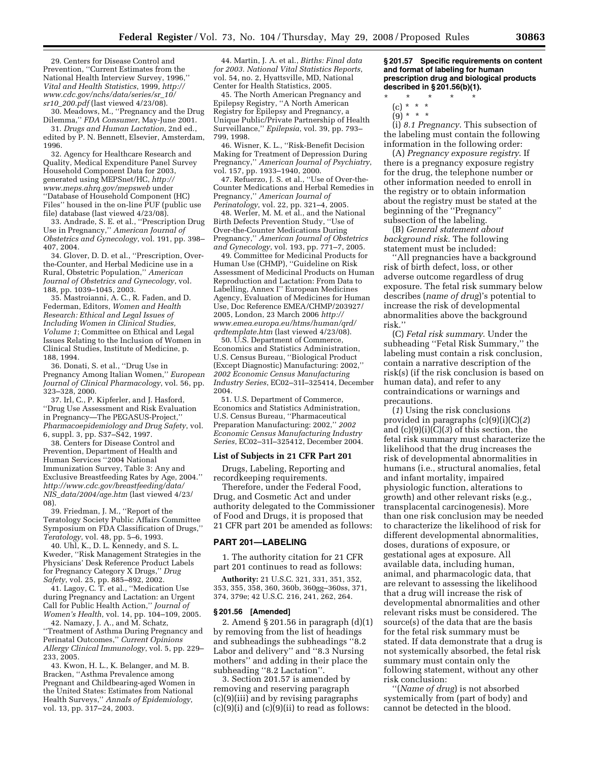29. Centers for Disease Control and Prevention, ''Current Estimates from the National Health Interview Survey, 1996,'' *Vital and Health Statistics*, 1999, *http:// www.cdc.gov/nchs/data/series/sr*\_*10/ sr10*\_*200.pdf* (last viewed 4/23/08).

30. Meadows, M., ''Pregnancy and the Drug Dilemma,'' *FDA Consumer*, May-June 2001.

31. *Drugs and Human Lactation*, 2nd ed., edited by P. N. Bennett, Elsevier, Amsterdam, 1996.

32. Agency for Healthcare Research and Quality, Medical Expenditure Panel Survey Household Component Data for 2003, generated using MEPSnet/HC, *http:// www.meps.ahrq.gov/mepsweb* under ''Database of Household Component (HC) Files'' housed in the on-line PUF (public use file) database (last viewed 4/23/08).

33. Andrade, S. E. et al., ''Prescription Drug Use in Pregnancy,'' *American Journal of Obstetrics and Gynecology*, vol. 191, pp. 398– 407, 2004.

34. Glover, D. D. et al., ''Prescription, Overthe-Counter, and Herbal Medicine use in a Rural, Obstetric Population,'' *American Journal of Obstetrics and Gynecology*, vol. 188, pp. 1039–1045, 2003.

35. Mastroianni, A. C., R. Faden, and D. Federman, Editors, *Women and Health Research: Ethical and Legal Issues of Including Women in Clinical Studies, Volume 1*; Committee on Ethical and Legal Issues Relating to the Inclusion of Women in Clinical Studies, Institute of Medicine, p. 188, 1994.

36. Donati, S. et al., ''Drug Use in Pregnancy Among Italian Women,'' *European Journal of Clinical Pharmacology*, vol. 56, pp. 323–328, 2000.

37. Irl, C., P. Kipferler, and J. Hasford, ''Drug Use Assessment and Risk Evaluation in Pregnancy—The PEGASUS-Project,'' *Pharmacoepidemiology and Drug Safety*, vol. 6, suppl. 3, pp. S37–S42, 1997.

38. Centers for Disease Control and Prevention, Department of Health and Human Services ''2004 National Immunization Survey, Table 3: Any and Exclusive Breastfeeding Rates by Age, 2004.'' *http://www.cdc.gov/breastfeeding/data/ NIS*\_*data/2004/age.htm* (last viewed 4/23/ 08).

39. Friedman, J. M., ''Report of the Teratology Society Public Affairs Committee Symposium on FDA Classification of Drugs,' *Teratology*, vol. 48, pp. 5–6, 1993.

40. Uhl, K., D. L. Kennedy, and S. L. Kweder, ''Risk Management Strategies in the Physicians' Desk Reference Product Labels for Pregnancy Category X Drugs,'' *Drug Safety*, vol. 25, pp. 885–892, 2002.

41. Lagoy, C. T. et al., ''Medication Use during Pregnancy and Lactation: an Urgent Call for Public Health Action,'' *Journal of Women's Health*, vol. 14, pp. 104–109, 2005.

42. Namazy, J. A., and M. Schatz, ''Treatment of Asthma During Pregnancy and Perinatal Outcomes,'' *Current Opinions Allergy Clinical Immunology*, vol. 5, pp. 229– 233, 2005.

43. Kwon, H. L., K. Belanger, and M. B. Bracken, ''Asthma Prevalence among Pregnant and Childbearing-aged Women in the United States: Estimates from National Health Surveys,'' *Annals of Epidemiology*, vol. 13, pp. 317–24, 2003.

44. Martin, J. A. et al., *Births: Final data for 2003. National Vital Statistics Reports*, vol. 54, no. 2, Hyattsville, MD, National Center for Health Statistics, 2005.

45. The North American Pregnancy and Epilepsy Registry, ''A North American Registry for Epilepsy and Pregnancy, a Unique Public/Private Partnership of Health Surveillance,'' *Epilepsia*, vol. 39, pp. 793– 799, 1998.

46. Wisner, K. L., ''Risk-Benefit Decision Making for Treatment of Depression During Pregnancy,'' *American Journal of Psychiatry*, vol. 157, pp. 1933–1940, 2000.

47. Refuerzo, J. S. et al., ''Use of Over-the-Counter Medications and Herbal Remedies in Pregnancy,'' *American Journal of Perinatology*, vol. 22, pp. 321–4, 2005.

48. Werler, M. M. et al., and the National Birth Defects Prevention Study, ''Use of Over-the-Counter Medications During Pregnancy,'' *American Journal of Obstetrics and Gynecology*, vol. 193, pp. 771–7, 2005.

49. Committee for Medicinal Products for Human Use (CHMP), ''Guideline on Risk Assessment of Medicinal Products on Human Reproduction and Lactation: From Data to Labelling, Annex I'' European Medicines Agency, Evaluation of Medicines for Human Use, Doc Reference EMEA/CHMP/203927/ 2005, London, 23 March 2006 *http:// www.emea.europa.eu/htms/human/qrd/ qrdtemplate.htm* (last viewed 4/23/08).

50. U.S. Department of Commerce, Economics and Statistics Administration, U.S. Census Bureau, ''Biological Product (Except Diagnostic) Manufacturing: 2002,'' *2002 Economic Census Manufacturing Industry Series*, EC02–31I–325414, December 2004.

51. U.S. Department of Commerce, Economics and Statistics Administration, U.S. Census Bureau, ''Pharmaceutical Preparation Manufacturing: 2002,'' *2002 Economic Census Manufacturing Industry Series*, EC02–31I–325412, December 2004.

#### **List of Subjects in 21 CFR Part 201**

Drugs, Labeling, Reporting and recordkeeping requirements.

Therefore, under the Federal Food, Drug, and Cosmetic Act and under authority delegated to the Commissioner of Food and Drugs, it is proposed that 21 CFR part 201 be amended as follows:

#### **PART 201—LABELING**

1. The authority citation for 21 CFR part 201 continues to read as follows:

**Authority:** 21 U.S.C. 321, 331, 351, 352, 353, 355, 358, 360, 360b, 360gg–360ss, 371, 374, 379e; 42 U.S.C. 216, 241, 262, 264.

#### **§ 201.56 [Amended]**

2. Amend § 201.56 in paragraph (d)(1) by removing from the list of headings and subheadings the subheadings ''8.2 Labor and delivery'' and ''8.3 Nursing mothers'' and adding in their place the subheading "8.2 Lactation".

3. Section 201.57 is amended by removing and reserving paragraph (c)(9)(iii) and by revising paragraphs  $(c)(9)(i)$  and  $(c)(9)(ii)$  to read as follows:

**§ 201.57 Specific requirements on content and format of labeling for human prescription drug and biological products described in § 201.56(b)(1).** 

- \* \* \* \* \*
	- (c) \* \* \*
	- $(9) * * * *$

(i) *8.1 Pregnancy*. This subsection of the labeling must contain the following information in the following order:

(A) *Pregnancy exposure registry*. If there is a pregnancy exposure registry for the drug, the telephone number or other information needed to enroll in the registry or to obtain information about the registry must be stated at the beginning of the ''Pregnancy'' subsection of the labeling.

(B) *General statement about background risk*. The following statement must be included:

''All pregnancies have a background risk of birth defect, loss, or other adverse outcome regardless of drug exposure. The fetal risk summary below describes (*name of drug*)'s potential to increase the risk of developmental abnormalities above the background risk.''

(C) *Fetal risk summary*. Under the subheading ''Fetal Risk Summary,'' the labeling must contain a risk conclusion, contain a narrative description of the risk(s) (if the risk conclusion is based on human data), and refer to any contraindications or warnings and precautions.

(*1*) Using the risk conclusions provided in paragraphs (c)(9)(i)(C)(*2*) and (c)(9)(i)(C)(*3*) of this section, the fetal risk summary must characterize the likelihood that the drug increases the risk of developmental abnormalities in humans (i.e., structural anomalies, fetal and infant mortality, impaired physiologic function, alterations to growth) and other relevant risks (e.g., transplacental carcinogenesis). More than one risk conclusion may be needed to characterize the likelihood of risk for different developmental abnormalities, doses, durations of exposure, or gestational ages at exposure. All available data, including human, animal, and pharmacologic data, that are relevant to assessing the likelihood that a drug will increase the risk of developmental abnormalities and other relevant risks must be considered. The source(s) of the data that are the basis for the fetal risk summary must be stated. If data demonstrate that a drug is not systemically absorbed, the fetal risk summary must contain only the following statement, without any other risk conclusion:

''(*Name of drug*) is not absorbed systemically from (part of body) and cannot be detected in the blood.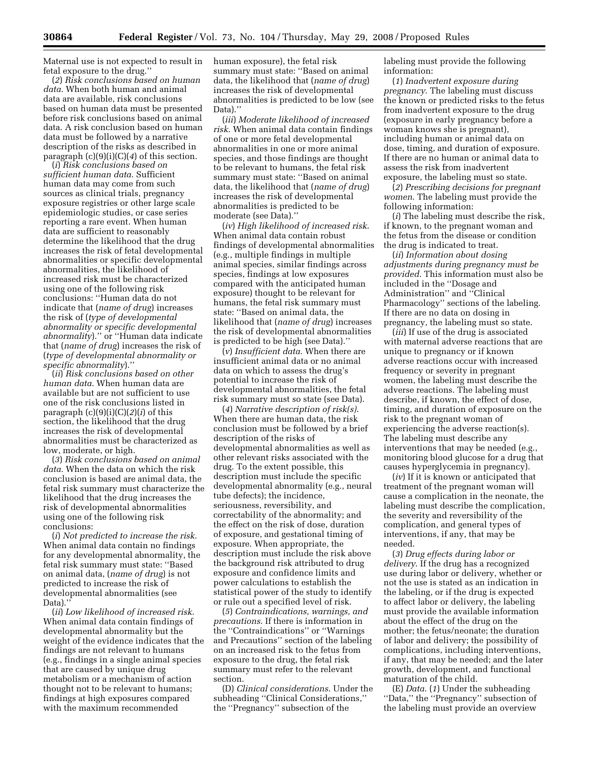Maternal use is not expected to result in fetal exposure to the drug.''

(*2*) *Risk conclusions based on human data*. When both human and animal data are available, risk conclusions based on human data must be presented before risk conclusions based on animal data. A risk conclusion based on human data must be followed by a narrative description of the risks as described in paragraph (c)(9)(i)(C)(*4*) of this section.

(*i*) *Risk conclusions based on sufficient human data*. Sufficient human data may come from such sources as clinical trials, pregnancy exposure registries or other large scale epidemiologic studies, or case series reporting a rare event. When human data are sufficient to reasonably determine the likelihood that the drug increases the risk of fetal developmental abnormalities or specific developmental abnormalities, the likelihood of increased risk must be characterized using one of the following risk conclusions: ''Human data do not indicate that (*name of drug*) increases the risk of (*type of developmental abnormality or specific developmental abnormality*).'' or ''Human data indicate that (*name of drug*) increases the risk of (*type of developmental abnormality or specific abnormality*).''

(*ii*) *Risk conclusions based on other human data*. When human data are available but are not sufficient to use one of the risk conclusions listed in paragraph (c)(9)(i)(C)(*2*)(*i*) of this section, the likelihood that the drug increases the risk of developmental abnormalities must be characterized as low, moderate, or high.

(*3*) *Risk conclusions based on animal data*. When the data on which the risk conclusion is based are animal data, the fetal risk summary must characterize the likelihood that the drug increases the risk of developmental abnormalities using one of the following risk conclusions:

(*i*) *Not predicted to increase the risk*. When animal data contain no findings for any developmental abnormality, the fetal risk summary must state: ''Based on animal data, (*name of drug*) is not predicted to increase the risk of developmental abnormalities (see Data).''

(*ii*) *Low likelihood of increased risk*. When animal data contain findings of developmental abnormality but the weight of the evidence indicates that the findings are not relevant to humans (e.g., findings in a single animal species that are caused by unique drug metabolism or a mechanism of action thought not to be relevant to humans; findings at high exposures compared with the maximum recommended

human exposure), the fetal risk summary must state: ''Based on animal data, the likelihood that (*name of drug*) increases the risk of developmental abnormalities is predicted to be low (see Data).''

(*iii*) *Moderate likelihood of increased risk*. When animal data contain findings of one or more fetal developmental abnormalities in one or more animal species, and those findings are thought to be relevant to humans, the fetal risk summary must state: ''Based on animal data, the likelihood that (*name of drug*) increases the risk of developmental abnormalities is predicted to be moderate (see Data).''

(*iv*) *High likelihood of increased risk*. When animal data contain robust findings of developmental abnormalities (e.g., multiple findings in multiple animal species, similar findings across species, findings at low exposures compared with the anticipated human exposure) thought to be relevant for humans, the fetal risk summary must state: ''Based on animal data, the likelihood that (*name of drug*) increases the risk of developmental abnormalities is predicted to be high (see Data).''

(*v*) *Insufficient data*. When there are insufficient animal data or no animal data on which to assess the drug's potential to increase the risk of developmental abnormalities, the fetal risk summary must so state (see Data).

(*4*) *Narrative description of risk(s)*. When there are human data, the risk conclusion must be followed by a brief description of the risks of developmental abnormalities as well as other relevant risks associated with the drug. To the extent possible, this description must include the specific developmental abnormality (e.g., neural tube defects); the incidence, seriousness, reversibility, and correctability of the abnormality; and the effect on the risk of dose, duration of exposure, and gestational timing of exposure. When appropriate, the description must include the risk above the background risk attributed to drug exposure and confidence limits and power calculations to establish the statistical power of the study to identify or rule out a specified level of risk.

(*5*) *Contraindications, warnings, and precautions*. If there is information in the ''Contraindications'' or ''Warnings and Precautions'' section of the labeling on an increased risk to the fetus from exposure to the drug, the fetal risk summary must refer to the relevant section.

(D) *Clinical considerations*. Under the subheading ''Clinical Considerations,'' the ''Pregnancy'' subsection of the

labeling must provide the following information:

(*1*) *Inadvertent exposure during pregnancy*. The labeling must discuss the known or predicted risks to the fetus from inadvertent exposure to the drug (exposure in early pregnancy before a woman knows she is pregnant), including human or animal data on dose, timing, and duration of exposure. If there are no human or animal data to assess the risk from inadvertent exposure, the labeling must so state.

(*2*) *Prescribing decisions for pregnant women*. The labeling must provide the following information:

(*i*) The labeling must describe the risk, if known, to the pregnant woman and the fetus from the disease or condition the drug is indicated to treat.

(*ii*) *Information about dosing adjustments during pregnancy must be provided*. This information must also be included in the ''Dosage and Administration'' and ''Clinical Pharmacology'' sections of the labeling. If there are no data on dosing in pregnancy, the labeling must so state.

(*iii*) If use of the drug is associated with maternal adverse reactions that are unique to pregnancy or if known adverse reactions occur with increased frequency or severity in pregnant women, the labeling must describe the adverse reactions. The labeling must describe, if known, the effect of dose, timing, and duration of exposure on the risk to the pregnant woman of experiencing the adverse reaction(s). The labeling must describe any interventions that may be needed (e.g., monitoring blood glucose for a drug that causes hyperglycemia in pregnancy).

(*iv*) If it is known or anticipated that treatment of the pregnant woman will cause a complication in the neonate, the labeling must describe the complication, the severity and reversibility of the complication, and general types of interventions, if any, that may be needed.

(*3*) *Drug effects during labor or delivery*. If the drug has a recognized use during labor or delivery, whether or not the use is stated as an indication in the labeling, or if the drug is expected to affect labor or delivery, the labeling must provide the available information about the effect of the drug on the mother; the fetus/neonate; the duration of labor and delivery; the possibility of complications, including interventions, if any, that may be needed; and the later growth, development, and functional maturation of the child.

(E) *Data*. (*1*) Under the subheading ''Data,'' the ''Pregnancy'' subsection of the labeling must provide an overview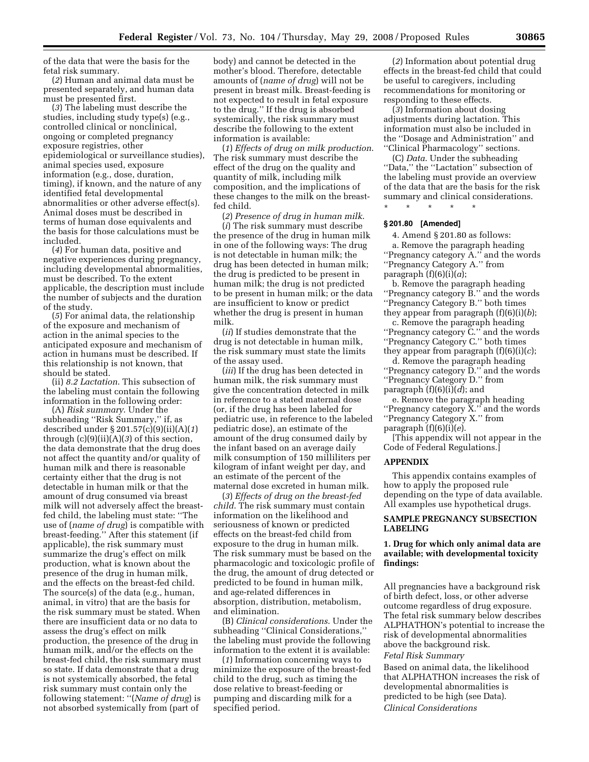of the data that were the basis for the fetal risk summary.

(*2*) Human and animal data must be presented separately, and human data must be presented first.

(*3*) The labeling must describe the studies, including study type(s) (e.g., controlled clinical or nonclinical, ongoing or completed pregnancy exposure registries, other epidemiological or surveillance studies), animal species used, exposure information (e.g., dose, duration, timing), if known, and the nature of any identified fetal developmental abnormalities or other adverse effect(s). Animal doses must be described in terms of human dose equivalents and the basis for those calculations must be included.

(*4*) For human data, positive and negative experiences during pregnancy, including developmental abnormalities, must be described. To the extent applicable, the description must include the number of subjects and the duration of the study.

(*5*) For animal data, the relationship of the exposure and mechanism of action in the animal species to the anticipated exposure and mechanism of action in humans must be described. If this relationship is not known, that should be stated.

(ii) *8.2 Lactation*. This subsection of the labeling must contain the following information in the following order:

(A) *Risk summary*. Under the subheading ''Risk Summary,'' if, as described under § 201.57(c)(9)(ii)(A)(*1*) through (c)(9)(ii)(A)(*3*) of this section, the data demonstrate that the drug does not affect the quantity and/or quality of human milk and there is reasonable certainty either that the drug is not detectable in human milk or that the amount of drug consumed via breast milk will not adversely affect the breastfed child, the labeling must state: ''The use of (*name of drug*) is compatible with breast-feeding.'' After this statement (if applicable), the risk summary must summarize the drug's effect on milk production, what is known about the presence of the drug in human milk, and the effects on the breast-fed child. The source(s) of the data (e.g., human, animal, in vitro) that are the basis for the risk summary must be stated. When there are insufficient data or no data to assess the drug's effect on milk production, the presence of the drug in human milk, and/or the effects on the breast-fed child, the risk summary must so state. If data demonstrate that a drug is not systemically absorbed, the fetal risk summary must contain only the following statement: ''(*Name of drug*) is not absorbed systemically from (part of

body) and cannot be detected in the mother's blood. Therefore, detectable amounts of (*name of drug*) will not be present in breast milk. Breast-feeding is not expected to result in fetal exposure to the drug.'' If the drug is absorbed systemically, the risk summary must describe the following to the extent information is available:

(*1*) *Effects of drug on milk production*. The risk summary must describe the effect of the drug on the quality and quantity of milk, including milk composition, and the implications of these changes to the milk on the breastfed child.

(*2*) *Presence of drug in human milk*. (*i*) The risk summary must describe the presence of the drug in human milk in one of the following ways: The drug is not detectable in human milk; the drug has been detected in human milk; the drug is predicted to be present in human milk; the drug is not predicted to be present in human milk; or the data are insufficient to know or predict whether the drug is present in human milk.

(*ii*) If studies demonstrate that the drug is not detectable in human milk, the risk summary must state the limits of the assay used.

(*iii*) If the drug has been detected in human milk, the risk summary must give the concentration detected in milk in reference to a stated maternal dose (or, if the drug has been labeled for pediatric use, in reference to the labeled pediatric dose), an estimate of the amount of the drug consumed daily by the infant based on an average daily milk consumption of 150 milliliters per kilogram of infant weight per day, and an estimate of the percent of the maternal dose excreted in human milk.

(*3*) *Effects of drug on the breast-fed child*. The risk summary must contain information on the likelihood and seriousness of known or predicted effects on the breast-fed child from exposure to the drug in human milk. The risk summary must be based on the pharmacologic and toxicologic profile of the drug, the amount of drug detected or predicted to be found in human milk, and age-related differences in absorption, distribution, metabolism, and elimination.

(B) *Clinical considerations*. Under the subheading ''Clinical Considerations,'' the labeling must provide the following information to the extent it is available:

(*1*) Information concerning ways to minimize the exposure of the breast-fed child to the drug, such as timing the dose relative to breast-feeding or pumping and discarding milk for a specified period.

(*2*) Information about potential drug effects in the breast-fed child that could be useful to caregivers, including recommendations for monitoring or responding to these effects.

(*3*) Information about dosing adjustments during lactation. This information must also be included in the ''Dosage and Administration'' and ''Clinical Pharmacology'' sections.

(C) *Data*. Under the subheading ''Data,'' the ''Lactation'' subsection of the labeling must provide an overview of the data that are the basis for the risk summary and clinical considerations. \* \* \* \* \*

#### **§ 201.80 [Amended]**

4. Amend § 201.80 as follows:

a. Remove the paragraph heading ''Pregnancy category A.'' and the words ''Pregnancy Category A.'' from paragraph  $(f)(6)(i)(a)$ ;

b. Remove the paragraph heading ''Pregnancy category B.'' and the words ''Pregnancy Category B.'' both times

they appear from paragraph (f)(6)(i)(*b*); c. Remove the paragraph heading

''Pregnancy category C.'' and the words ''Pregnancy Category C.'' both times

they appear from paragraph  $(f)(6)(i)(c)$ ;

d. Remove the paragraph heading ''Pregnancy category D.'' and the words ''Pregnancy Category D.'' from paragraph  $(f)(6)(i)(d)$ ; and

e. Remove the paragraph heading ''Pregnancy category X.'' and the words ''Pregnancy Category X.'' from paragraph (f)(6)(i)(*e*).

[This appendix will not appear in the Code of Federal Regulations.]

## **APPENDIX**

This appendix contains examples of how to apply the proposed rule depending on the type of data available. All examples use hypothetical drugs.

# **SAMPLE PREGNANCY SUBSECTION LABELING**

# **1. Drug for which only animal data are available; with developmental toxicity findings:**

All pregnancies have a background risk of birth defect, loss, or other adverse outcome regardless of drug exposure. The fetal risk summary below describes ALPHATHON's potential to increase the risk of developmental abnormalities above the background risk.

# *Fetal Risk Summary*

Based on animal data, the likelihood that ALPHATHON increases the risk of developmental abnormalities is predicted to be high (see Data). *Clinical Considerations*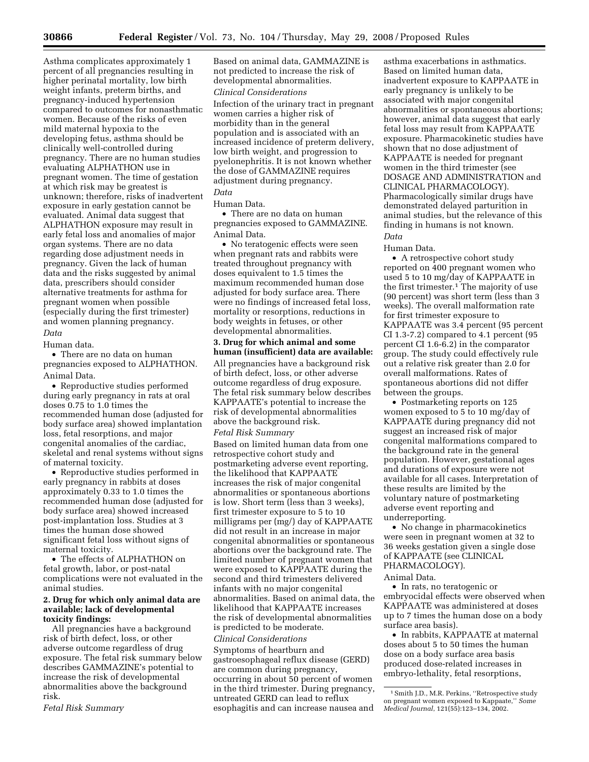Asthma complicates approximately 1 percent of all pregnancies resulting in higher perinatal mortality, low birth weight infants, preterm births, and pregnancy-induced hypertension compared to outcomes for nonasthmatic women. Because of the risks of even mild maternal hypoxia to the developing fetus, asthma should be clinically well-controlled during pregnancy. There are no human studies evaluating ALPHATHON use in pregnant women. The time of gestation at which risk may be greatest is unknown; therefore, risks of inadvertent exposure in early gestation cannot be evaluated. Animal data suggest that ALPHATHON exposure may result in early fetal loss and anomalies of major organ systems. There are no data regarding dose adjustment needs in pregnancy. Given the lack of human data and the risks suggested by animal data, prescribers should consider alternative treatments for asthma for pregnant women when possible (especially during the first trimester) and women planning pregnancy.

# *Data*

Human data.

• There are no data on human pregnancies exposed to ALPHATHON. Animal Data.

• Reproductive studies performed during early pregnancy in rats at oral doses 0.75 to 1.0 times the recommended human dose (adjusted for body surface area) showed implantation loss, fetal resorptions, and major congenital anomalies of the cardiac, skeletal and renal systems without signs of maternal toxicity.

• Reproductive studies performed in early pregnancy in rabbits at doses approximately 0.33 to 1.0 times the recommended human dose (adjusted for body surface area) showed increased post-implantation loss. Studies at 3 times the human dose showed significant fetal loss without signs of maternal toxicity.

• The effects of ALPHATHON on fetal growth, labor, or post-natal complications were not evaluated in the animal studies.

# **2. Drug for which only animal data are available; lack of developmental toxicity findings:**

All pregnancies have a background risk of birth defect, loss, or other adverse outcome regardless of drug exposure. The fetal risk summary below describes GAMMAZINE's potential to increase the risk of developmental abnormalities above the background risk.

*Fetal Risk Summary* 

Based on animal data, GAMMAZINE is not predicted to increase the risk of developmental abnormalities. *Clinical Considerations* 

Infection of the urinary tract in pregnant women carries a higher risk of morbidity than in the general population and is associated with an increased incidence of preterm delivery, low birth weight, and progression to pyelonephritis. It is not known whether the dose of GAMMAZINE requires adjustment during pregnancy. *Data* 

# Human Data.

• There are no data on human pregnancies exposed to GAMMAZINE. Animal Data.

• No teratogenic effects were seen when pregnant rats and rabbits were treated throughout pregnancy with doses equivalent to 1.5 times the maximum recommended human dose adjusted for body surface area. There were no findings of increased fetal loss, mortality or resorptions, reductions in body weights in fetuses, or other developmental abnormalities.

# **3. Drug for which animal and some human (insufficient) data are available:**

All pregnancies have a background risk of birth defect, loss, or other adverse outcome regardless of drug exposure. The fetal risk summary below describes KAPPAATE's potential to increase the risk of developmental abnormalities above the background risk.

## *Fetal Risk Summary*

Based on limited human data from one retrospective cohort study and postmarketing adverse event reporting, the likelihood that KAPPAATE increases the risk of major congenital abnormalities or spontaneous abortions is low. Short term (less than 3 weeks), first trimester exposure to 5 to 10 milligrams per (mg/) day of KAPPAATE did not result in an increase in major congenital abnormalities or spontaneous abortions over the background rate. The limited number of pregnant women that were exposed to KAPPAATE during the second and third trimesters delivered infants with no major congenital abnormalities. Based on animal data, the likelihood that KAPPAATE increases the risk of developmental abnormalities is predicted to be moderate.

## *Clinical Considerations*

Symptoms of heartburn and gastroesophageal reflux disease (GERD) are common during pregnancy, occurring in about 50 percent of women in the third trimester. During pregnancy, untreated GERD can lead to reflux esophagitis and can increase nausea and

asthma exacerbations in asthmatics. Based on limited human data, inadvertent exposure to KAPPAATE in early pregnancy is unlikely to be associated with major congenital abnormalities or spontaneous abortions; however, animal data suggest that early fetal loss may result from KAPPAATE exposure. Pharmacokinetic studies have shown that no dose adjustment of KAPPAATE is needed for pregnant women in the third trimester (see DOSAGE AND ADMINISTRATION and CLINICAL PHARMACOLOGY). Pharmacologically similar drugs have demonstrated delayed parturition in animal studies, but the relevance of this finding in humans is not known. *Data* 

# Human Data.

• A retrospective cohort study reported on 400 pregnant women who used 5 to 10 mg/day of KAPPAATE in the first trimester.<sup>1</sup> The majority of use (90 percent) was short term (less than 3 weeks). The overall malformation rate for first trimester exposure to KAPPAATE was 3.4 percent (95 percent CI 1.3-7.2) compared to 4.1 percent (95 percent CI 1.6-6.2) in the comparator group. The study could effectively rule out a relative risk greater than 2.0 for overall malformations. Rates of spontaneous abortions did not differ between the groups.

• Postmarketing reports on 125 women exposed to 5 to 10 mg/day of KAPPAATE during pregnancy did not suggest an increased risk of major congenital malformations compared to the background rate in the general population. However, gestational ages and durations of exposure were not available for all cases. Interpretation of these results are limited by the voluntary nature of postmarketing adverse event reporting and underreporting.

• No change in pharmacokinetics were seen in pregnant women at 32 to 36 weeks gestation given a single dose of KAPPAATE (see CLINICAL PHARMACOLOGY).

## Animal Data.

• In rats, no teratogenic or embryocidal effects were observed when KAPPAATE was administered at doses up to 7 times the human dose on a body surface area basis).

• In rabbits, KAPPAATE at maternal doses about 5 to 50 times the human dose on a body surface area basis produced dose-related increases in embryo-lethality, fetal resorptions,

<sup>1</sup>Smith J.D., M.R. Perkins, ''Retrospective study on pregnant women exposed to Kappaate,'' *Some Medical Journal*, 121(55):123–134, 2002.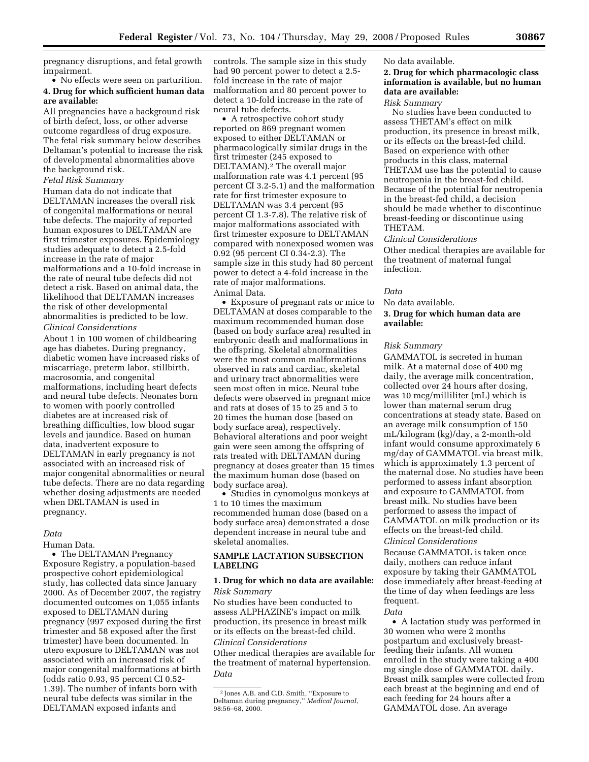pregnancy disruptions, and fetal growth impairment.

# • No effects were seen on parturition. **4. Drug for which sufficient human data are available:**

All pregnancies have a background risk of birth defect, loss, or other adverse outcome regardless of drug exposure. The fetal risk summary below describes Deltaman's potential to increase the risk of developmental abnormalities above the background risk.

## *Fetal Risk Summary*

Human data do not indicate that DELTAMAN increases the overall risk of congenital malformations or neural tube defects. The majority of reported human exposures to DELTAMAN are first trimester exposures. Epidemiology studies adequate to detect a 2.5-fold increase in the rate of major malformations and a 10-fold increase in the rate of neural tube defects did not detect a risk. Based on animal data, the likelihood that DELTAMAN increases the risk of other developmental abnormalities is predicted to be low. *Clinical Considerations* 

About 1 in 100 women of childbearing age has diabetes. During pregnancy, diabetic women have increased risks of miscarriage, preterm labor, stillbirth, macrosomia, and congenital malformations, including heart defects and neural tube defects. Neonates born to women with poorly controlled diabetes are at increased risk of breathing difficulties, low blood sugar levels and jaundice. Based on human data, inadvertent exposure to DELTAMAN in early pregnancy is not associated with an increased risk of major congenital abnormalities or neural tube defects. There are no data regarding whether dosing adjustments are needed when DELTAMAN is used in pregnancy.

# *Data*

Human Data.

• The DELTAMAN Pregnancy Exposure Registry, a population-based prospective cohort epidemiological study, has collected data since January 2000. As of December 2007, the registry documented outcomes on 1,055 infants exposed to DELTAMAN during pregnancy (997 exposed during the first trimester and 58 exposed after the first trimester) have been documented. In utero exposure to DELTAMAN was not associated with an increased risk of major congenital malformations at birth (odds ratio 0.93, 95 percent CI 0.52- 1.39). The number of infants born with neural tube defects was similar in the DELTAMAN exposed infants and

controls. The sample size in this study had 90 percent power to detect a 2.5 fold increase in the rate of major malformation and 80 percent power to detect a 10-fold increase in the rate of neural tube defects.

• A retrospective cohort study reported on 869 pregnant women exposed to either DELTAMAN or pharmacologically similar drugs in the first trimester (245 exposed to DELTAMAN).2 The overall major malformation rate was 4.1 percent (95 percent CI 3.2-5.1) and the malformation rate for first trimester exposure to DELTAMAN was 3.4 percent (95 percent CI 1.3-7.8). The relative risk of major malformations associated with first trimester exposure to DELTAMAN compared with nonexposed women was 0.92 (95 percent CI 0.34-2.3). The sample size in this study had 80 percent power to detect a 4-fold increase in the rate of major malformations. Animal Data.

• Exposure of pregnant rats or mice to DELTAMAN at doses comparable to the maximum recommended human dose (based on body surface area) resulted in embryonic death and malformations in the offspring. Skeletal abnormalities were the most common malformations observed in rats and cardiac, skeletal and urinary tract abnormalities were seen most often in mice. Neural tube defects were observed in pregnant mice and rats at doses of 15 to 25 and 5 to 20 times the human dose (based on body surface area), respectively. Behavioral alterations and poor weight gain were seen among the offspring of rats treated with DELTAMAN during pregnancy at doses greater than 15 times the maximum human dose (based on body surface area).

• Studies in cynomolgus monkeys at 1 to 10 times the maximum recommended human dose (based on a body surface area) demonstrated a dose dependent increase in neural tube and skeletal anomalies.

# **SAMPLE LACTATION SUBSECTION LABELING**

# **1. Drug for which no data are available:**  *Risk Summary*

No studies have been conducted to assess ALPHAZINE's impact on milk production, its presence in breast milk or its effects on the breast-fed child. *Clinical Considerations* 

Other medical therapies are available for the treatment of maternal hypertension. *Data* 

No data available.

# **2. Drug for which pharmacologic class information is available, but no human data are available:**

## *Risk Summary*

No studies have been conducted to assess THETAM's effect on milk production, its presence in breast milk, or its effects on the breast-fed child. Based on experience with other products in this class, maternal THETAM use has the potential to cause neutropenia in the breast-fed child. Because of the potential for neutropenia in the breast-fed child, a decision should be made whether to discontinue breast-feeding or discontinue using THETAM.

#### *Clinical Considerations*

Other medical therapies are available for the treatment of maternal fungal infection.

# *Data*

No data available.

# **3. Drug for which human data are available:**

# *Risk Summary*

GAMMATOL is secreted in human milk. At a maternal dose of 400 mg daily, the average milk concentration, collected over 24 hours after dosing, was 10 mcg/milliliter (mL) which is lower than maternal serum drug concentrations at steady state. Based on an average milk consumption of 150 mL/kilogram (kg)/day, a 2-month-old infant would consume approximately 6 mg/day of GAMMATOL via breast milk, which is approximately 1.3 percent of the maternal dose. No studies have been performed to assess infant absorption and exposure to GAMMATOL from breast milk. No studies have been performed to assess the impact of GAMMATOL on milk production or its effects on the breast-fed child.

*Clinical Considerations* 

Because GAMMATOL is taken once daily, mothers can reduce infant exposure by taking their GAMMATOL dose immediately after breast-feeding at the time of day when feedings are less frequent.

#### *Data*

• A lactation study was performed in 30 women who were 2 months postpartum and exclusively breastfeeding their infants. All women enrolled in the study were taking a 400 mg single dose of GAMMATOL daily. Breast milk samples were collected from each breast at the beginning and end of each feeding for 24 hours after a GAMMATOL dose. An average

<sup>2</sup> Jones A.B. and C.D. Smith, ''Exposure to Deltaman during pregnancy,'' *Medical Journal*, 98:56–68, 2000.